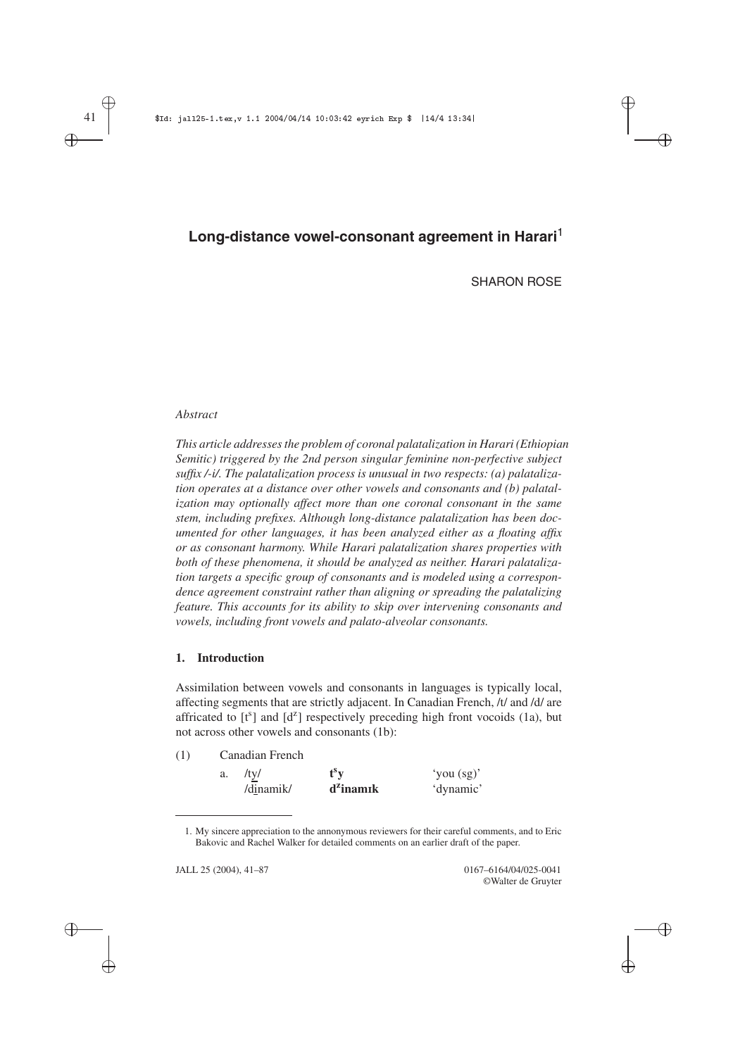SHARON ROSE

✐

✐

## *Abstract*

*This article addresses the problem of coronal palatalization in Harari (Ethiopian Semitic) triggered by the 2nd person singular feminine non-perfective subject suffix /-i/. The palatalization process is unusual in two respects: (a) palatalization operates at a distance over other vowels and consonants and (b) palatalization may optionally affect more than one coronal consonant in the same stem, including prefixes. Although long-distance palatalization has been documented for other languages, it has been analyzed either as a floating affix or as consonant harmony. While Harari palatalization shares properties with both of these phenomena, it should be analyzed as neither. Harari palatalization targets a specific group of consonants and is modeled using a correspondence agreement constraint rather than aligning or spreading the palatalizing feature. This accounts for its ability to skip over intervening consonants and vowels, including front vowels and palato-alveolar consonants.*

#### **1. Introduction**

Assimilation between vowels and consonants in languages is typically local, affecting segments that are strictly adjacent. In Canadian French, /t/ and /d/ are affricated to  $[t^s]$  and  $[d^z]$  respectively preceding high front vocoids (1a), but not across other vowels and consonants (1b):

| (1) | Canadian French |              |              |  |  |
|-----|-----------------|--------------|--------------|--|--|
|     | /tv/<br>a.      | $f^s v$      | 'you $(sg)'$ |  |  |
|     | /dinamik/       | $d^2$ inamık | 'dynamic'    |  |  |

<sup>1.</sup> My sincere appreciation to the annonymous reviewers for their careful comments, and to Eric Bakovic and Rachel Walker for detailed comments on an earlier draft of the paper.

✐

✐

JALL 25 (2004), 41–87 0167–6164/04/025-0041 ©Walter de Gruyter

 $\oplus$ 

✐

✐ ✐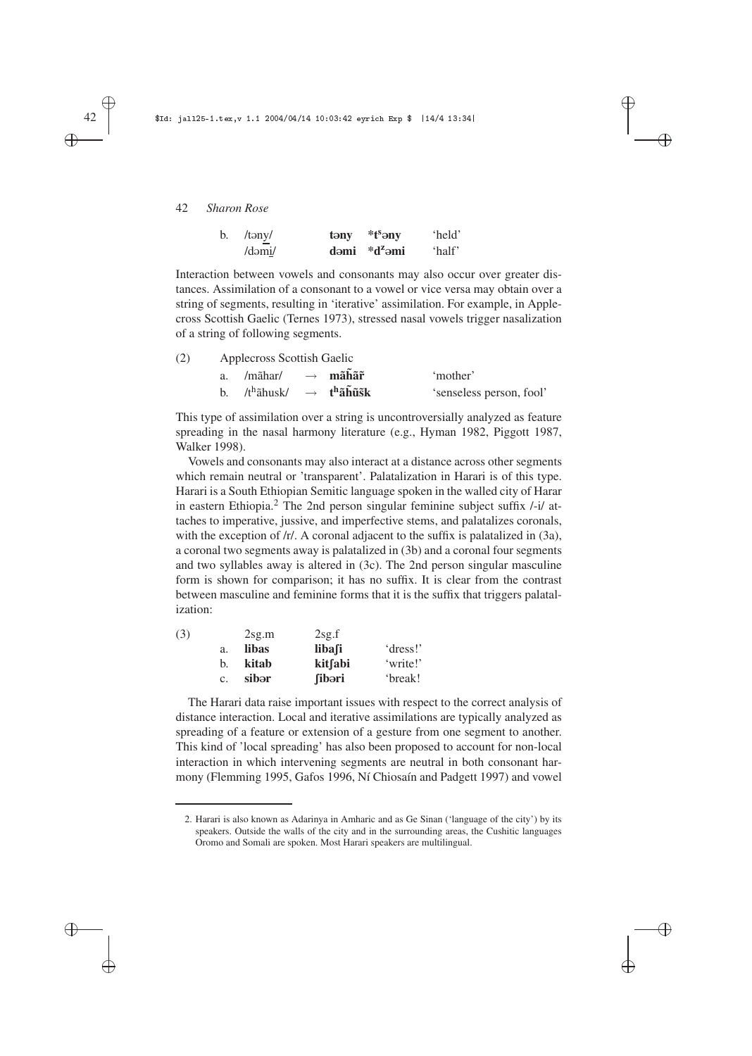| b. /təny/ | $tany$ * $tseny$ | 'held' |
|-----------|------------------|--------|
| /dəmi/    | dəmi $*d^z$ əmi  | 'half' |

Interaction between vowels and consonants may also occur over greater distances. Assimilation of a consonant to a vowel or vice versa may obtain over a string of segments, resulting in 'iterative' assimilation. For example, in Applecross Scottish Gaelic (Ternes 1973), stressed nasal vowels trigger nasalization of a string of following segments.

✐

✐

✐

✐

| (2)<br>Applecross Scottish Gaelic |  |  |
|-----------------------------------|--|--|
|-----------------------------------|--|--|

| /mãhar/                                                                | $\rightarrow$ mãhãr | 'mother'                 |
|------------------------------------------------------------------------|---------------------|--------------------------|
| b. /t <sup>h</sup> ãhusk/ $\rightarrow$ t <sup>h</sup> ãh̃ <b>ũs̃k</b> |                     | 'senseless person, fool' |

This type of assimilation over a string is uncontroversially analyzed as feature spreading in the nasal harmony literature (e.g., Hyman 1982, Piggott 1987, Walker 1998).

Vowels and consonants may also interact at a distance across other segments which remain neutral or 'transparent'. Palatalization in Harari is of this type. Harari is a South Ethiopian Semitic language spoken in the walled city of Harar in eastern Ethiopia.<sup>2</sup> The 2nd person singular feminine subject suffix /-i/ attaches to imperative, jussive, and imperfective stems, and palatalizes coronals, with the exception of /r/. A coronal adjacent to the suffix is palatalized in (3a), a coronal two segments away is palatalized in (3b) and a coronal four segments and two syllables away is altered in (3c). The 2nd person singular masculine form is shown for comparison; it has no suffix. It is clear from the contrast between masculine and feminine forms that it is the suffix that triggers palatalization:

| (3) |                | 2sg.m | 2sg.f          |          |
|-----|----------------|-------|----------------|----------|
|     | a.             | libas | libafi         | 'dress!' |
|     | b.             | kitab | kitfabi        | 'write!' |
|     | $\mathbf{c}$ . | sibər | <b>fib</b> əri | 'break!  |

The Harari data raise important issues with respect to the correct analysis of distance interaction. Local and iterative assimilations are typically analyzed as spreading of a feature or extension of a gesture from one segment to another. This kind of 'local spreading' has also been proposed to account for non-local interaction in which intervening segments are neutral in both consonant harmony (Flemming 1995, Gafos 1996, Ní Chiosaín and Padgett 1997) and vowel

✐

✐

✐

<sup>2.</sup> Harari is also known as Adarinya in Amharic and as Ge Sinan ('language of the city') by its speakers. Outside the walls of the city and in the surrounding areas, the Cushitic languages Oromo and Somali are spoken. Most Harari speakers are multilingual.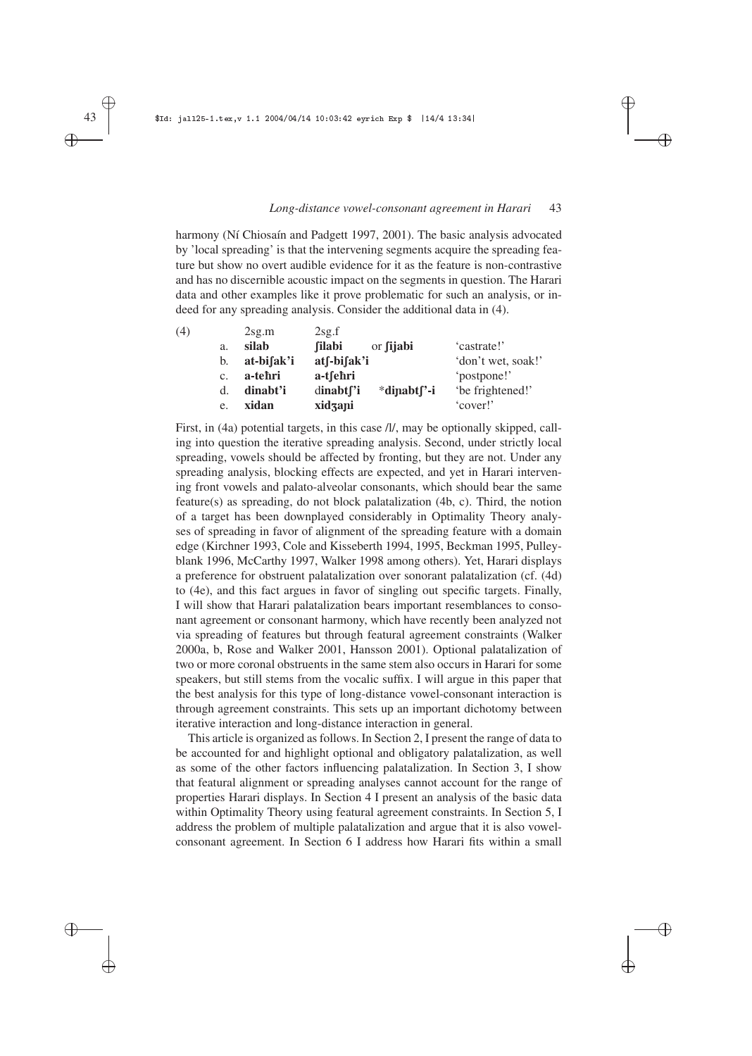✐

✐

✐

✐

harmony (Ní Chiosaín and Padgett 1997, 2001). The basic analysis advocated by 'local spreading' is that the intervening segments acquire the spreading feature but show no overt audible evidence for it as the feature is non-contrastive and has no discernible acoustic impact on the segments in question. The Harari data and other examples like it prove problematic for such an analysis, or indeed for any spreading analysis. Consider the additional data in (4).

|    | 2sg.m      | 2sg.f                   |                          |                    |
|----|------------|-------------------------|--------------------------|--------------------|
| a. | silab      | <b>filabi</b>           | or <i>fijabi</i>         | 'castrate!'        |
| b. | at-bifak'i |                         |                          | 'don't wet, soak!' |
| c. | a-tehri    | a-tsehri                |                          | 'postpone!'        |
| d. | dinabt'i   | $dinabt$ <sup>'</sup> i | *dipabt <sup>['</sup> -i | 'be frightened!'   |
| e. | xidan      | xidzani                 |                          | 'cover!'           |
|    |            |                         |                          | atf-bifak'i        |

First, in (4a) potential targets, in this case  $\pi$ , may be optionally skipped, calling into question the iterative spreading analysis. Second, under strictly local spreading, vowels should be affected by fronting, but they are not. Under any spreading analysis, blocking effects are expected, and yet in Harari intervening front vowels and palato-alveolar consonants, which should bear the same feature(s) as spreading, do not block palatalization (4b, c). Third, the notion of a target has been downplayed considerably in Optimality Theory analyses of spreading in favor of alignment of the spreading feature with a domain edge (Kirchner 1993, Cole and Kisseberth 1994, 1995, Beckman 1995, Pulleyblank 1996, McCarthy 1997, Walker 1998 among others). Yet, Harari displays a preference for obstruent palatalization over sonorant palatalization (cf. (4d) to (4e), and this fact argues in favor of singling out specific targets. Finally, I will show that Harari palatalization bears important resemblances to consonant agreement or consonant harmony, which have recently been analyzed not via spreading of features but through featural agreement constraints (Walker 2000a, b, Rose and Walker 2001, Hansson 2001). Optional palatalization of two or more coronal obstruents in the same stem also occurs in Harari for some speakers, but still stems from the vocalic suffix. I will argue in this paper that the best analysis for this type of long-distance vowel-consonant interaction is through agreement constraints. This sets up an important dichotomy between iterative interaction and long-distance interaction in general.

This article is organized as follows. In Section 2, I present the range of data to be accounted for and highlight optional and obligatory palatalization, as well as some of the other factors influencing palatalization. In Section 3, I show that featural alignment or spreading analyses cannot account for the range of properties Harari displays. In Section 4 I present an analysis of the basic data within Optimality Theory using featural agreement constraints. In Section 5, I address the problem of multiple palatalization and argue that it is also vowelconsonant agreement. In Section 6 I address how Harari fits within a small

✐ ✐

✐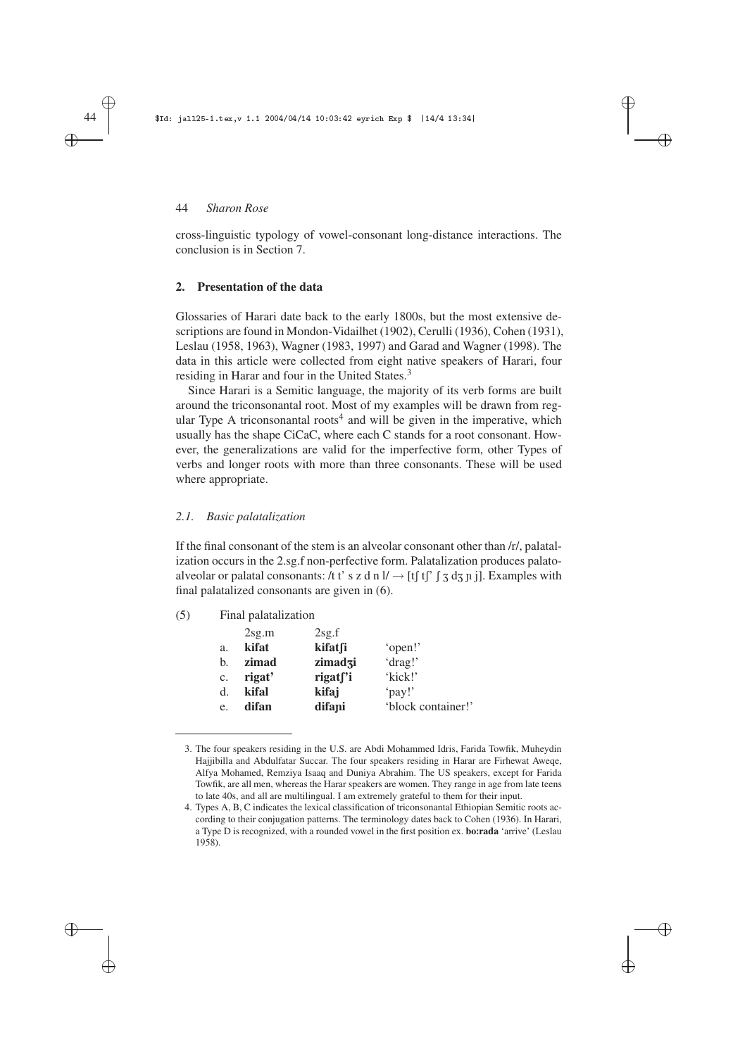cross-linguistic typology of vowel-consonant long-distance interactions. The conclusion is in Section 7.

✐

✐

✐

✐

## **2. Presentation of the data**

Glossaries of Harari date back to the early 1800s, but the most extensive descriptions are found in Mondon-Vidailhet (1902), Cerulli (1936), Cohen (1931), Leslau (1958, 1963), Wagner (1983, 1997) and Garad and Wagner (1998). The data in this article were collected from eight native speakers of Harari, four residing in Harar and four in the United States.<sup>3</sup>

Since Harari is a Semitic language, the majority of its verb forms are built around the triconsonantal root. Most of my examples will be drawn from regular Type A triconsonantal roots<sup>4</sup> and will be given in the imperative, which usually has the shape CiCaC, where each C stands for a root consonant. However, the generalizations are valid for the imperfective form, other Types of verbs and longer roots with more than three consonants. These will be used where appropriate.

# *2.1. Basic palatalization*

If the final consonant of the stem is an alveolar consonant other than /r/, palatalization occurs in the 2.sg.f non-perfective form. Palatalization produces palatoalveolar or palatal consonants: /t t' s z d n  $l \rightarrow$  [t] t['  $\int$  5 d<sub>3</sub> n j]. Examples with final palatalized consonants are given in (6).

|                | 2sg.m  | 2sg.f                |                    |
|----------------|--------|----------------------|--------------------|
| a.             | kifat  | kifatfi              | 'open!'            |
| b.             | zimad  | zimadzi              | 'drag!'            |
| $\mathbf{c}$ . | rigat' | rigat <sup>r</sup> i | 'kick!'            |
| d.             | kifal  | kifaj                | 'pay!'             |
| e.             | difan  | difapi               | 'block container!' |

<sup>3.</sup> The four speakers residing in the U.S. are Abdi Mohammed Idris, Farida Towfik, Muheydin Hajjibilla and Abdulfatar Succar. The four speakers residing in Harar are Firhewat Aweqe, Alfya Mohamed, Remziya Isaaq and Duniya Abrahim. The US speakers, except for Farida Towfik, are all men, whereas the Harar speakers are women. They range in age from late teens to late 40s, and all are multilingual. I am extremely grateful to them for their input.

✐ ✐

✐

<sup>4.</sup> Types A, B, C indicates the lexical classification of triconsonantal Ethiopian Semitic roots according to their conjugation patterns. The terminology dates back to Cohen (1936). In Harari, a Type D is recognized, with a rounded vowel in the first position ex. **bo**:**rada** 'arrive' (Leslau 1958).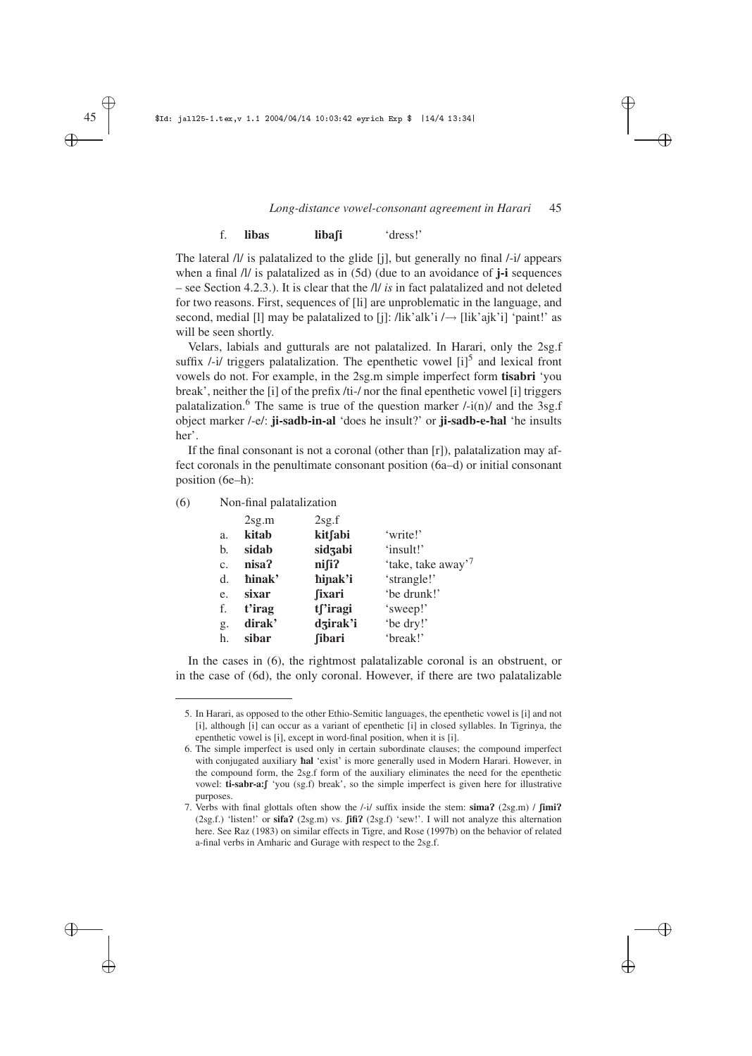✐

✐

✐

✐

#### f. **libas liba** $\parallel$ **i** 'dress!'

The lateral /l/ is palatalized to the glide [j], but generally no final /-i/ appears when a final /l/ is palatalized as in (5d) (due to an avoidance of **j-i** sequences – see Section 4.2.3.). It is clear that the /l/ *is* in fact palatalized and not deleted for two reasons. First, sequences of [li] are unproblematic in the language, and second, medial [l] may be palatalized to [j]: /lik'alk'i / $\rightarrow$  [lik'ajk'i] 'paint!' as will be seen shortly.

Velars, labials and gutturals are not palatalized. In Harari, only the 2sg.f suffix  $\frac{1}{i}$  triggers palatalization. The epenthetic vowel  $\left[ i \right]^5$  and lexical front vowels do not. For example, in the 2sg.m simple imperfect form **tisabri** 'you break', neither the [i] of the prefix /ti-/ nor the final epenthetic vowel [i] triggers palatalization.<sup>6</sup> The same is true of the question marker  $\frac{1}{\ln}$  and the 3sg.f object marker /-e/: **ji-sadb-in-al** 'does he insult?' or **ji-sadb-e-**è**al** 'he insults her'.

If the final consonant is not a coronal (other than [r]), palatalization may affect coronals in the penultimate consonant position (6a–d) or initial consonant position (6e–h):

(6) Non-final palatalization

| 2sg.m  | 2sg.f         |                                |
|--------|---------------|--------------------------------|
| kitab  | kitfabi       | 'write!'                       |
| sidab  | sidzabi       | 'insult!'                      |
| nisa?  | $n$ isi $n$   | 'take, take away' <sup>7</sup> |
| hinak' | hipak'i       | 'strangle!'                    |
| sixar  | <b>fixari</b> | 'be drunk!'                    |
| t'irag | tf'iragi      | 'sweep!'                       |
| dirak' | dzirak'i      | 'be dry!'                      |
| sibar  | <b>fibari</b> | 'break!'                       |
|        |               |                                |

In the cases in  $(6)$ , the rightmost palatalizable coronal is an obstruent, or in the case of (6d), the only coronal. However, if there are two palatalizable

✐ ✐

✐

<sup>5.</sup> In Harari, as opposed to the other Ethio-Semitic languages, the epenthetic vowel is [i] and not [i], although [i] can occur as a variant of epenthetic [i] in closed syllables. In Tigrinya, the epenthetic vowel is [i], except in word-final position, when it is [i].

<sup>6.</sup> The simple imperfect is used only in certain subordinate clauses; the compound imperfect with conjugated auxiliary *hal* 'exist' is more generally used in Modern Harari. However, in the compound form, the 2sg.f form of the auxiliary eliminates the need for the epenthetic vowel: **ti-sabr-a**: $\int$  'you (sg.f) break', so the simple imperfect is given here for illustrative purposes.

<sup>7.</sup> Verbs with final glottals often show the /-i/ suffix inside the stem: sima? (2sg.m) / fimi? (2sg.f.) 'listen!' or **sifa?** (2sg.m) vs. **fifi?** (2sg.f) 'sew!'. I will not analyze this alternation here. See Raz (1983) on similar effects in Tigre, and Rose (1997b) on the behavior of related a-final verbs in Amharic and Gurage with respect to the 2sg.f.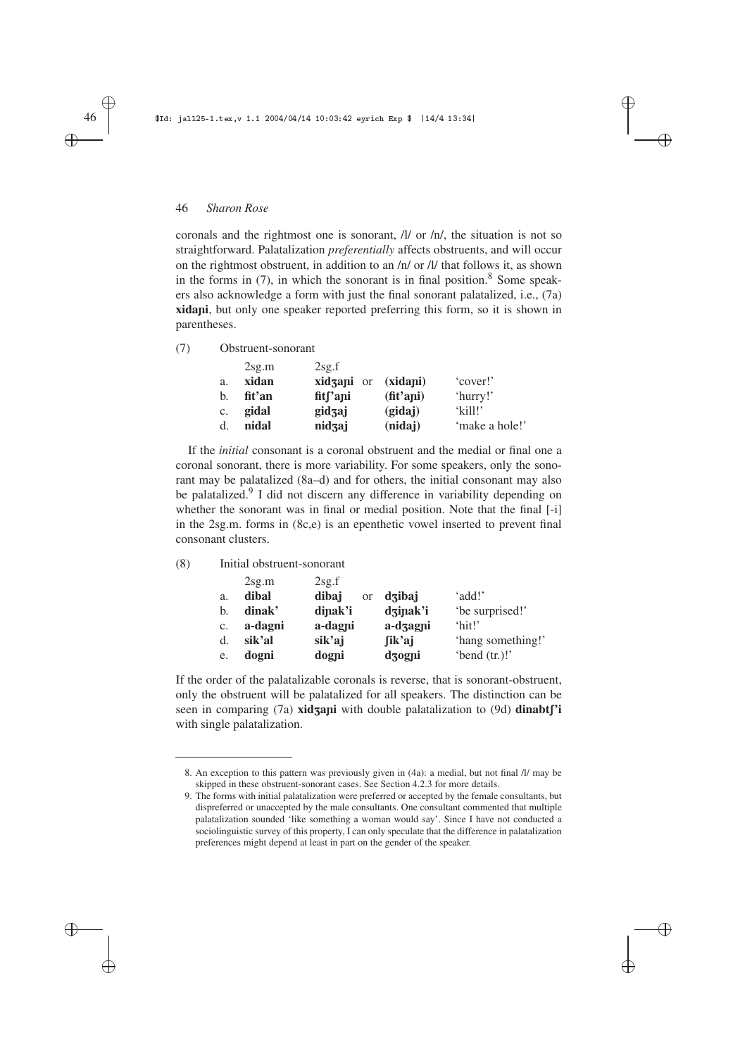coronals and the rightmost one is sonorant, /l/ or /n/, the situation is not so straightforward. Palatalization *preferentially* affects obstruents, and will occur on the rightmost obstruent, in addition to an /n/ or /l/ that follows it, as shown in the forms in  $(7)$ , in which the sonorant is in final position.<sup>8</sup> Some speakers also acknowledge a form with just the final sonorant palatalized, i.e., (7a) **xidapi**, but only one speaker reported preferring this form, so it is shown in parentheses.

✐

✐

✐

✐

(7) Obstruent-sonorant

|                | 2sg.m  | 2sg.f                |                     |                |
|----------------|--------|----------------------|---------------------|----------------|
| a.             | xidan  | <b>xidzani</b> or    | (xidani)            | 'cover!'       |
| b.             | fit'an | fit <sub>['api</sub> | $(\text{fit}'$ ani) | 'hurry!'       |
| $\mathbf{c}$ . | gidal  | gidzaj               | (gidaj)             | $'$ kill!'     |
| d.             | nidal  | nidzaj               | (nidaj)             | 'make a hole!' |

If the *initial* consonant is a coronal obstruent and the medial or final one a coronal sonorant, there is more variability. For some speakers, only the sonorant may be palatalized (8a–d) and for others, the initial consonant may also be palatalized.<sup>9</sup> I did not discern any difference in variability depending on whether the sonorant was in final or medial position. Note that the final [-i] in the 2sg.m. forms in (8c,e) is an epenthetic vowel inserted to prevent final consonant clusters.

# (8) Initial obstruent-sonorant

|    | 2sg.m   | 2sg.f                  |          |                   |
|----|---------|------------------------|----------|-------------------|
| a. | dibal   | dibaj<br><sub>or</sub> | dzibaj   | 'add!'            |
| b. | dinak'  | dinak'i                | dzinak'i | 'be surprised!'   |
| c. | a-dagni | a-dagni                | a-dzagni | 'hit!'            |
| d. | sik'al  | sik'aj                 | fik'aj   | 'hang something!' |
| e. | dogni   | dogni                  | dzogni   | 'bend $(tr.)!$ '  |

If the order of the palatalizable coronals is reverse, that is sonorant-obstruent, only the obstruent will be palatalized for all speakers. The distinction can be seen in comparing (7a) **xidzapi** with double palatalization to (9d) **dinabt**['i with single palatalization.

✐

✐

✐

<sup>8.</sup> An exception to this pattern was previously given in (4a): a medial, but not final /l/ may be skipped in these obstruent-sonorant cases. See Section 4.2.3 for more details.

<sup>9.</sup> The forms with initial palatalization were preferred or accepted by the female consultants, but dispreferred or unaccepted by the male consultants. One consultant commented that multiple palatalization sounded 'like something a woman would say'. Since I have not conducted a sociolinguistic survey of this property, I can only speculate that the difference in palatalization preferences might depend at least in part on the gender of the speaker.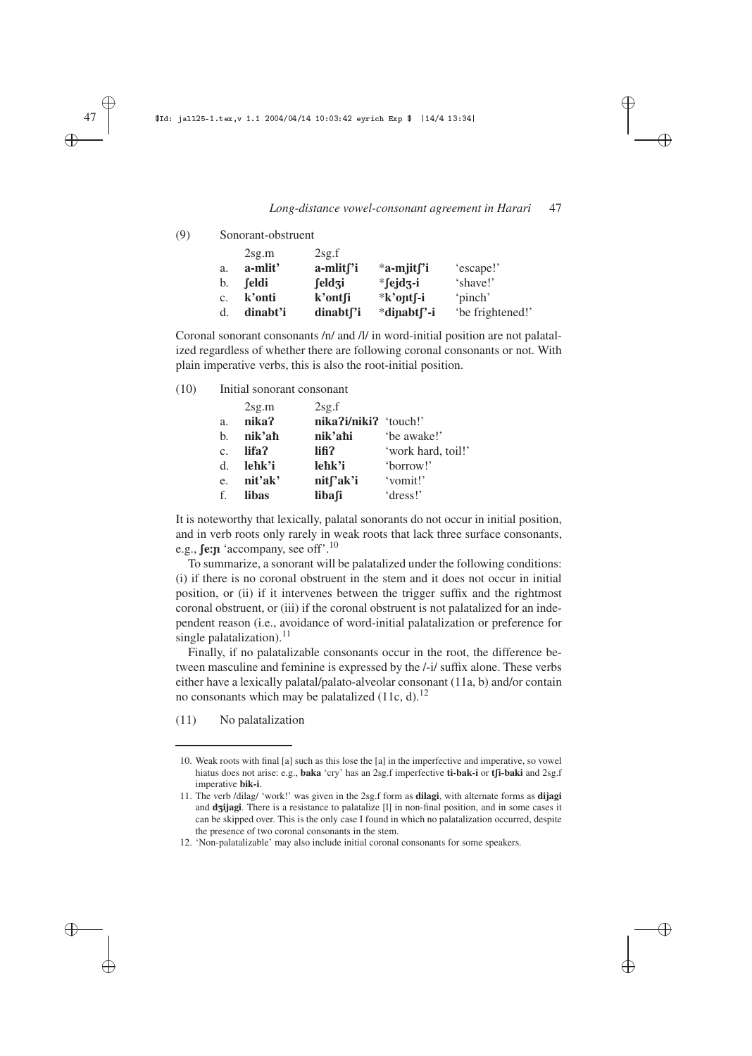✐

✐

✐

✐

#### (9) Sonorant-obstruent

|    | $2$ sg.m | 2sg.f               |                          |                  |
|----|----------|---------------------|--------------------------|------------------|
| a. | a-mlit'  | $a$ -mlit $\int$ 'i | $*$ a-mjit $\int$ 'i     | 'escape!'        |
| b. | feldi    | feldzi              | $*$ fejdz-i              | 'shave!'         |
| c. | k'onti   | k'ontsi             | *k'ontf-i                | 'pinch'          |
| d. | dinabt'i | $dinabt$ [ $'i$ ]   | *dinabt <sub>[</sub> '-i | 'be frightened!' |

Coronal sonorant consonants /n/ and /l/ in word-initial position are not palatalized regardless of whether there are following coronal consonants or not. With plain imperative verbs, this is also the root-initial position.

(10) Initial sonorant consonant

|             | 2sg.m   | 2sg.f                 |                    |
|-------------|---------|-----------------------|--------------------|
| a.          | nika?   | nika?i/niki? 'touch!' |                    |
| b.          | nik'aħ  | nik'ahi               | 'be awake!'        |
| $C_{\star}$ | lifa?   | lifi?                 | 'work hard, toil!' |
| $d_{\cdot}$ | leħk'i  | lehk'i                | 'borrow!'          |
| e.          | nit'ak' | nit <sub>['ak'i</sub> | 'vomit!'           |
| f.          | libas   | libafi                | 'dress!'           |

It is noteworthy that lexically, palatal sonorants do not occur in initial position, and in verb roots only rarely in weak roots that lack three surface consonants, e.g., **fe:n** 'accompany, see off'.<sup>10</sup>

To summarize, a sonorant will be palatalized under the following conditions: (i) if there is no coronal obstruent in the stem and it does not occur in initial position, or (ii) if it intervenes between the trigger suffix and the rightmost coronal obstruent, or (iii) if the coronal obstruent is not palatalized for an independent reason (i.e., avoidance of word-initial palatalization or preference for single palatalization). $^{11}$ 

Finally, if no palatalizable consonants occur in the root, the difference between masculine and feminine is expressed by the /-i/ suffix alone. These verbs either have a lexically palatal/palato-alveolar consonant (11a, b) and/or contain no consonants which may be palatalized  $(11c, d)$ .<sup>12</sup>

(11) No palatalization

✐ ✐

✐

<sup>10.</sup> Weak roots with final [a] such as this lose the [a] in the imperfective and imperative, so vowel hiatus does not arise: e.g., **baka** 'cry' has an 2sg.f imperfective **ti-bak-i** or **t**fi-baki and 2sg.f imperative **bik-i**.

<sup>11.</sup> The verb /dilag/ 'work!' was given in the 2sg.f form as **dilagi**, with alternate forms as **dijagi** and d<sub>3</sub>ijagi. There is a resistance to palatalize [1] in non-final position, and in some cases it can be skipped over. This is the only case I found in which no palatalization occurred, despite the presence of two coronal consonants in the stem.

<sup>12. &#</sup>x27;Non-palatalizable' may also include initial coronal consonants for some speakers.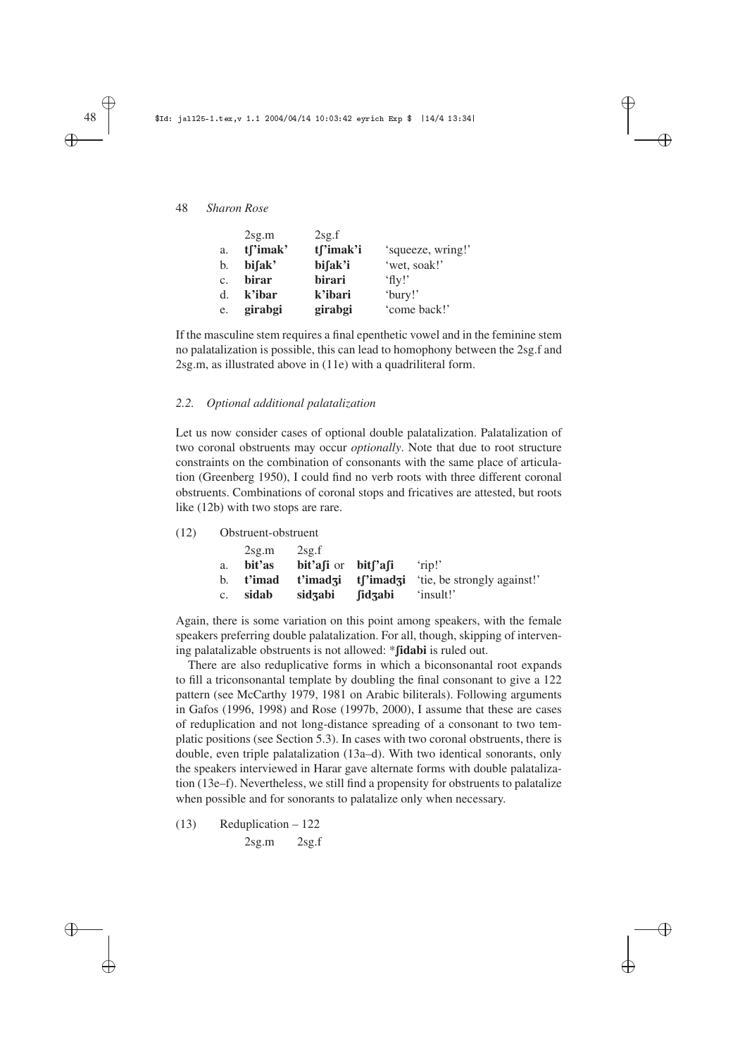|    | 2sg.m        | 2sg.f     |                   |
|----|--------------|-----------|-------------------|
| a. | tf'imak'     | tf'imak'i | 'squeeze, wring!' |
| b. | bifak'       | bifak'i   | 'wet, soak!'      |
| c. | <b>birar</b> | birari    | $^{\circ}$ flv!'  |
| d. | k'ibar       | k'ibari   | 'bury!'           |
| e. | girabgi      | girabgi   | 'come back!'      |

If the masculine stem requires a final epenthetic vowel and in the feminine stem no palatalization is possible, this can lead to homophony between the 2sg.f and 2sg.m, as illustrated above in (11e) with a quadriliteral form.

✐

✐

✐

✐

# *2.2. Optional additional palatalization*

Let us now consider cases of optional double palatalization. Palatalization of two coronal obstruents may occur *optionally*. Note that due to root structure constraints on the combination of consonants with the same place of articulation (Greenberg 1950), I could find no verb roots with three different coronal obstruents. Combinations of coronal stops and fricatives are attested, but roots like (12b) with two stops are rare.

(12) Obstruent-obstruent

|             | $2$ sg.m  | 2scf                     |         |                                                        |
|-------------|-----------|--------------------------|---------|--------------------------------------------------------|
| a.          | bit'as    | $bit'$ afi or $bit'$ afi |         | rip!'                                                  |
|             | b. t'imad |                          |         | <b>t'imadzi t</b> ['imadzi 'tie, be strongly against!' |
| $c_{\cdot}$ | sidab     | sidzabi                  | fidzabi | insult!'                                               |

Again, there is some variation on this point among speakers, with the female speakers preferring double palatalization. For all, though, skipping of intervening palatalizable obstruents is not allowed: \***fidabi** is ruled out.

There are also reduplicative forms in which a biconsonantal root expands to fill a triconsonantal template by doubling the final consonant to give a 122 pattern (see McCarthy 1979, 1981 on Arabic biliterals). Following arguments in Gafos (1996, 1998) and Rose (1997b, 2000), I assume that these are cases of reduplication and not long-distance spreading of a consonant to two templatic positions (see Section 5.3). In cases with two coronal obstruents, there is double, even triple palatalization (13a–d). With two identical sonorants, only the speakers interviewed in Harar gave alternate forms with double palatalization (13e–f). Nevertheless, we still find a propensity for obstruents to palatalize when possible and for sonorants to palatalize only when necessary.

(13) Reduplication – 122 2sg.m 2sg.f

✐ ✐

✐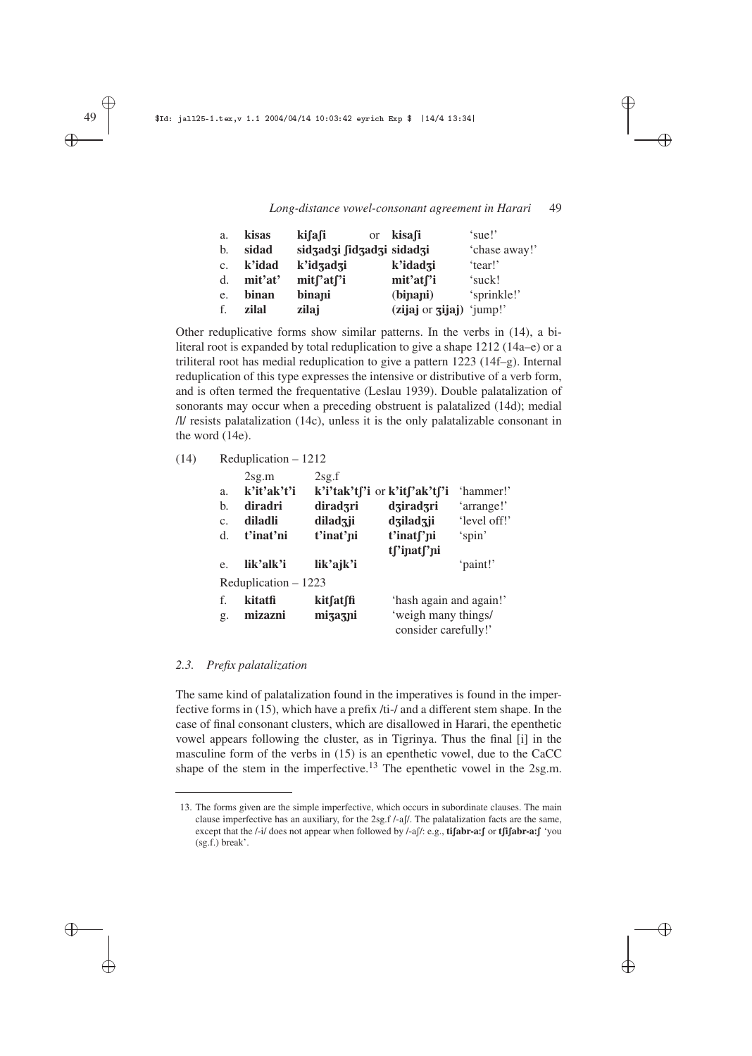✐

✐

✐

✐

| a. | kisas   | ki∫a∫i<br><b>or</b>       | kisafi                     | 'sue!'        |
|----|---------|---------------------------|----------------------------|---------------|
| b. | sidad   | sidzadzi fidzadzi sidadzi |                            | 'chase away!' |
| c. | k'idad  | k'idzadzi                 | k'idadzi                   | 'tear!'       |
| d. | mit'at' | mitf'atf'i                | mit'atf'i                  | 'suck!        |
| e. | binan   | binapi                    | (binani)                   | 'sprinkle!'   |
| f. | zilal   | zilaj                     | $(zijaj or zijaj)$ 'jump!' |               |

Other reduplicative forms show similar patterns. In the verbs in (14), a biliteral root is expanded by total reduplication to give a shape 1212 (14a–e) or a triliteral root has medial reduplication to give a pattern 1223 (14f–g). Internal reduplication of this type expresses the intensive or distributive of a verb form, and is often termed the frequentative (Leslau 1939). Double palatalization of sonorants may occur when a preceding obstruent is palatalized (14d); medial /l/ resists palatalization (14c), unless it is the only palatalizable consonant in the word (14e).

# (14) Reduplication – 1212

|    | 2sg.m                | 2sg.f     |                               |              |
|----|----------------------|-----------|-------------------------------|--------------|
| a. | k'it'ak't'i          |           | k'i'tak't['i or k'it['ak't['i | 'hammer!'    |
| b. | diradri              | diradzri  | dziradzri                     | 'arrange!'   |
| C. | diladli              | diladzji  | dziladzji                     | 'level off!' |
| d. | t'inat'ni            | t'inat'ni | t'inat <sub>['ni</sub>        | 'spin'       |
|    |                      |           | tf'inatf'ni                   |              |
| e. | lik'alk'i            | lik'ajk'i |                               | 'paint!'     |
|    | Reduplication - 1223 |           |                               |              |
| f. | kitatfi              | kitfatffi | 'hash again and again!'       |              |
| g. | mizazni              | mizazni   | 'weigh many things/           |              |
|    |                      |           | consider carefully!'          |              |

# *2.3. Prefix palatalization*

The same kind of palatalization found in the imperatives is found in the imperfective forms in (15), which have a prefix /ti-/ and a different stem shape. In the case of final consonant clusters, which are disallowed in Harari, the epenthetic vowel appears following the cluster, as in Tigrinya. Thus the final [i] in the masculine form of the verbs in (15) is an epenthetic vowel, due to the CaCC shape of the stem in the imperfective.<sup>13</sup> The epenthetic vowel in the 2sg.m.

✐ ✐

✐

<sup>13.</sup> The forms given are the simple imperfective, which occurs in subordinate clauses. The main clause imperfective has an auxiliary, for the 2sg.f /-af/. The palatalization facts are the same, except that the /-i/ does not appear when followed by /-a[/: e.g., **ti** $\int$ **abr-a**: $\int$  or **t** $\int$ **i** $\int$ **abr-a**: $\int$  'you (sg.f.) break'.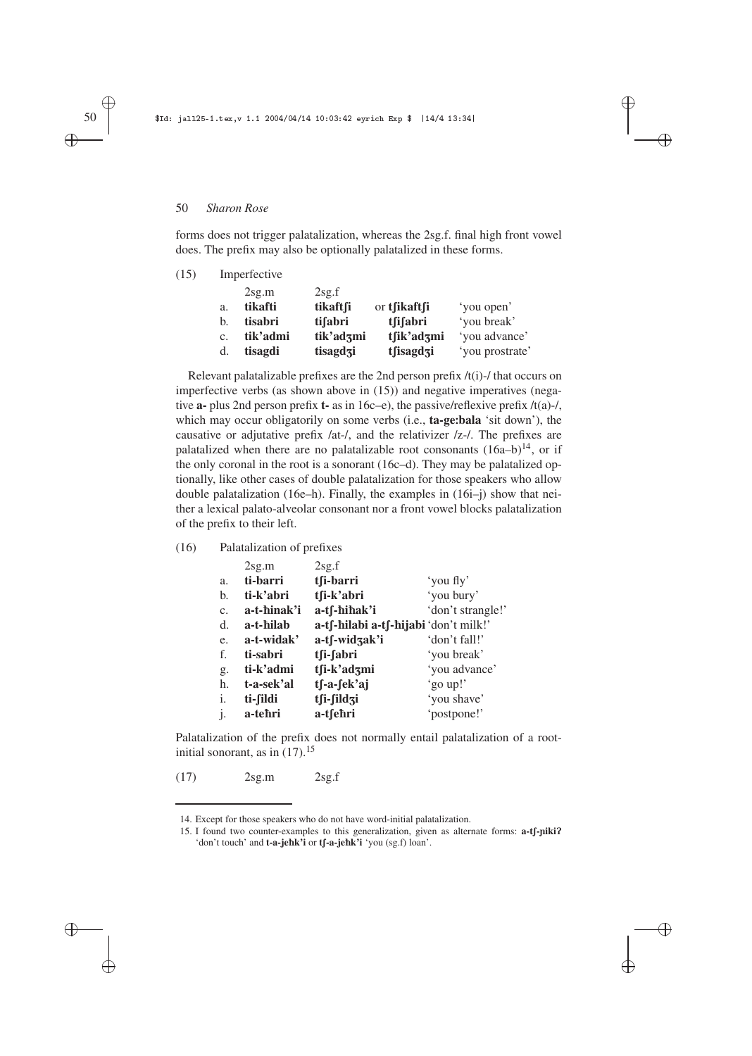forms does not trigger palatalization, whereas the 2sg.f. final high front vowel does. The prefix may also be optionally palatalized in these forms.

✐

✐

✐

✐

| (15) |    | Imperfective |           |              |                 |  |  |
|------|----|--------------|-----------|--------------|-----------------|--|--|
|      |    | $2$ sg.m     | 2sg.f     |              |                 |  |  |
|      | a. | tikafti      | tikaftfi  | or tfikaftfi | 'you open'      |  |  |
|      | b. | tisabri      | tifabri   | tsistemi     | 'you break'     |  |  |
|      | c. | tik'admi     | tik'adzmi | tfik'adzmi   | 'you advance'   |  |  |
|      | d. | tisagdi      | tisagdzi  | tfisagdzi    | 'you prostrate' |  |  |

Relevant palatalizable prefixes are the 2nd person prefix /t(i)-/ that occurs on imperfective verbs (as shown above in (15)) and negative imperatives (negative **a-** plus 2nd person prefix **t-** as in 16c–e), the passive/reflexive prefix /t(a)-/, which may occur obligatorily on some verbs (i.e., **ta-ge**:**bala** 'sit down'), the causative or adjutative prefix /at-/, and the relativizer /z-/. The prefixes are palatalized when there are no palatalizable root consonants  $(16a-b)^{14}$ , or if the only coronal in the root is a sonorant (16c–d). They may be palatalized optionally, like other cases of double palatalization for those speakers who allow double palatalization (16e–h). Finally, the examples in (16i–j) show that neither a lexical palato-alveolar consonant nor a front vowel blocks palatalization of the prefix to their left.

#### (16) Palatalization of prefixes

|                | 2sg.m       | 2sg.f                                 |                   |
|----------------|-------------|---------------------------------------|-------------------|
| a.             | ti-barri    | tsi-barri                             | 'you fly'         |
| b.             | ti-k'abri   | tfi-k'abri                            | 'you bury'        |
| C <sub>1</sub> | a-t-hinak'i | a-tf-hihak'i                          | 'don't strangle!' |
| d.             | a-t-hilab   | a-tf-hilabi a-tf-hijabi 'don't milk!' |                   |
| e.             | a-t-widak'  | a-tf-widzak'i                         | 'don't fall!'     |
| f.             | ti-sabri    | tfi-fabri                             | 'you break'       |
| g.             | ti-k'admi   | tfi-k'adzmi                           | 'you advance'     |
| h.             | t-a-sek'al  | tf-a-fek'aj                           | 'go up!'          |
| i.             | ti-fildi    | tfi-fildzi                            | 'you shave'       |
| $\mathbf{1}$   | a-tehri     | a-tsehri                              | 'postpone!'       |

Palatalization of the prefix does not normally entail palatalization of a rootinitial sonorant, as in  $(17).^{15}$ 

(17) 2sg.m 2sg.f

✐

✐

✐

<sup>14.</sup> Except for those speakers who do not have word-initial palatalization.

<sup>15.</sup> I found two counter-examples to this generalization, given as alternate forms: **a-t**[-**niki**? 'don't touch' and **t-a-jehk'i** or **t** $\int$ **-a-jehk'i** 'you (sg.f) loan'.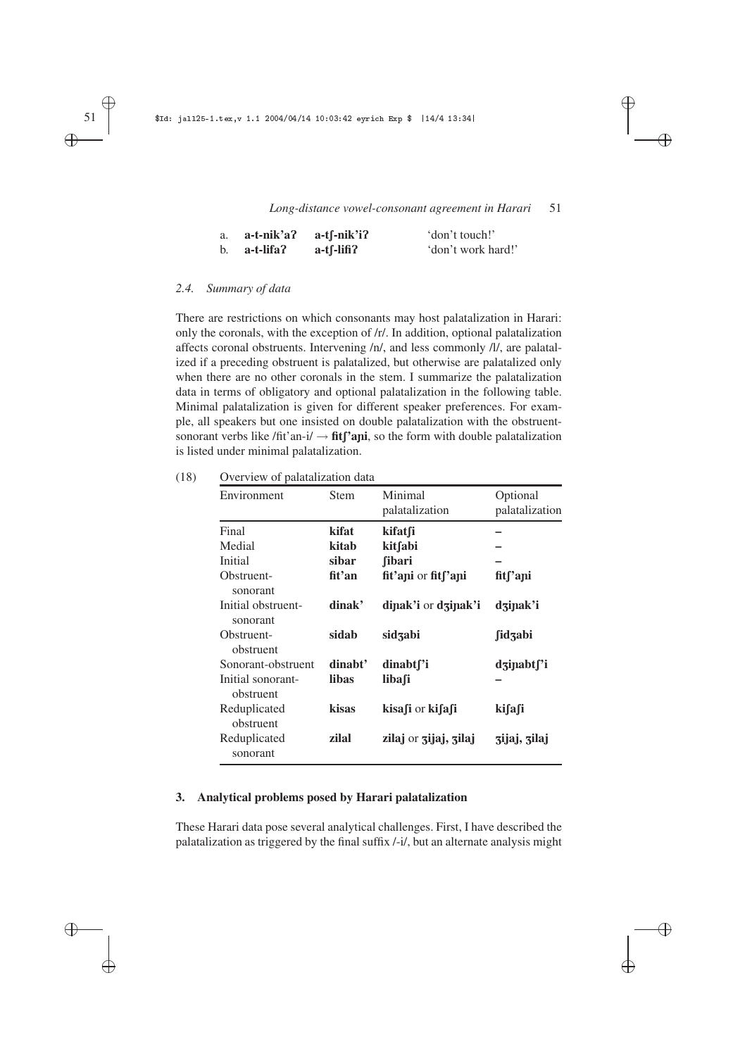✐

 $\oplus$ 

✐

✐

| a. | a-t-nik'a? | a-tſ-nik'i?  | 'don't touch!'     |
|----|------------|--------------|--------------------|
| b. | a-t-lifa?  | $a-t$ -lifi? | 'don't work hard!' |

#### *2.4. Summary of data*

There are restrictions on which consonants may host palatalization in Harari: only the coronals, with the exception of /r/. In addition, optional palatalization affects coronal obstruents. Intervening /n/, and less commonly /l/, are palatalized if a preceding obstruent is palatalized, but otherwise are palatalized only when there are no other coronals in the stem. I summarize the palatalization data in terms of obligatory and optional palatalization in the following table. Minimal palatalization is given for different speaker preferences. For example, all speakers but one insisted on double palatalization with the obstruentsonorant verbs like /fit'an-i/  $\rightarrow$  **fit<sup>'</sup>** $\alpha$ **ni**, so the form with double palatalization is listed under minimal palatalization.

| (18) | Overview of palatalization data |
|------|---------------------------------|
|------|---------------------------------|

| Environment                    | <b>Stem</b> | Minimal<br>palatalization | Optional<br>palatalization |
|--------------------------------|-------------|---------------------------|----------------------------|
| Final                          | kifat       | kifatsi                   |                            |
| Medial                         | kitab       | kitfabi                   |                            |
| Initial                        | sibar       | <b>fibari</b>             |                            |
| Obstruent-<br>sonorant         | fit'an      | fit'ani or fitf'ani       | fit <sub>['api</sub>       |
| Initial obstruent-<br>sonorant | dinak'      | dinak'i or dzinak'i       | dzinak'i                   |
| Obstruent-<br>obstruent        | sidab       | sidzabi                   | fidzabi                    |
| Sonorant-obstruent             | dinabt'     | dinabt <sub>['i</sub>     | dzinabtf'i                 |
| Initial sonorant-<br>obstruent | libas       | libasi                    |                            |
| Reduplicated<br>obstruent      | kisas       | kisafi or kifafi          | ki∫a∫i                     |
| Reduplicated<br>sonorant       | zilal       | zilaj or zijaj, zilaj     | zijaj, zilaj               |

#### **3. Analytical problems posed by Harari palatalization**

These Harari data pose several analytical challenges. First, I have described the palatalization as triggered by the final suffix /-i/, but an alternate analysis might

✐

✐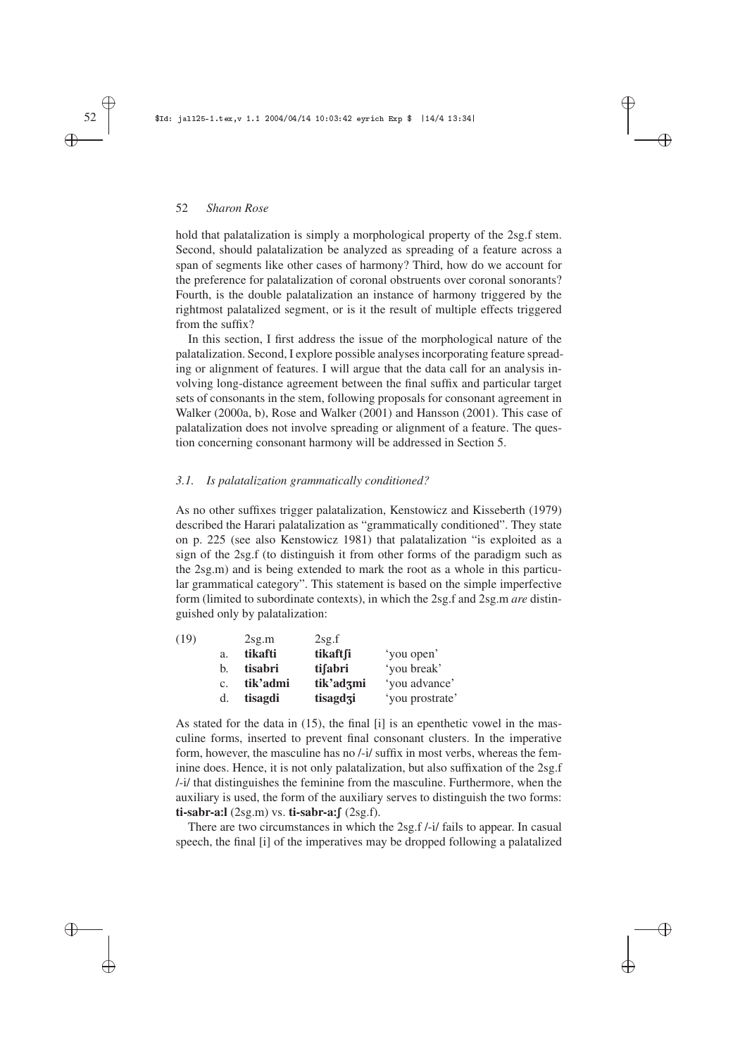hold that palatalization is simply a morphological property of the 2sg.f stem. Second, should palatalization be analyzed as spreading of a feature across a span of segments like other cases of harmony? Third, how do we account for the preference for palatalization of coronal obstruents over coronal sonorants? Fourth, is the double palatalization an instance of harmony triggered by the rightmost palatalized segment, or is it the result of multiple effects triggered from the suffix?

✐

✐

✐

✐

In this section, I first address the issue of the morphological nature of the palatalization. Second, I explore possible analyses incorporating feature spreading or alignment of features. I will argue that the data call for an analysis involving long-distance agreement between the final suffix and particular target sets of consonants in the stem, following proposals for consonant agreement in Walker (2000a, b), Rose and Walker (2001) and Hansson (2001). This case of palatalization does not involve spreading or alignment of a feature. The question concerning consonant harmony will be addressed in Section 5.

#### *3.1. Is palatalization grammatically conditioned?*

As no other suffixes trigger palatalization, Kenstowicz and Kisseberth (1979) described the Harari palatalization as "grammatically conditioned". They state on p. 225 (see also Kenstowicz 1981) that palatalization "is exploited as a sign of the 2sg.f (to distinguish it from other forms of the paradigm such as the 2sg.m) and is being extended to mark the root as a whole in this particular grammatical category". This statement is based on the simple imperfective form (limited to subordinate contexts), in which the 2sg.f and 2sg.m *are* distinguished only by palatalization:

| (19) |                | 2sg.m    | $2$ sg.f  |                 |
|------|----------------|----------|-----------|-----------------|
|      | a.             | tikafti  | tikaftfi  | 'you open'      |
|      | b.             | tisabri  | tifabri   | 'you break'     |
|      | C <sub>1</sub> | tik'admi | tik'adzmi | 'you advance'   |
|      | d.             | tisagdi  | tisagdzi  | 'you prostrate' |

As stated for the data in (15), the final [i] is an epenthetic vowel in the masculine forms, inserted to prevent final consonant clusters. In the imperative form, however, the masculine has no /-i/ suffix in most verbs, whereas the feminine does. Hence, it is not only palatalization, but also suffixation of the 2sg.f /-i/ that distinguishes the feminine from the masculine. Furthermore, when the auxiliary is used, the form of the auxiliary serves to distinguish the two forms:  $\mathbf{ti}\text{-}$ sabr-a:**l** (2sg.m) vs.  $\mathbf{ti}\text{-}$ sabr-a: $\int$  (2sg.f).

There are two circumstances in which the 2sg.f /-i/ fails to appear. In casual speech, the final [i] of the imperatives may be dropped following a palatalized

✐

✐

✐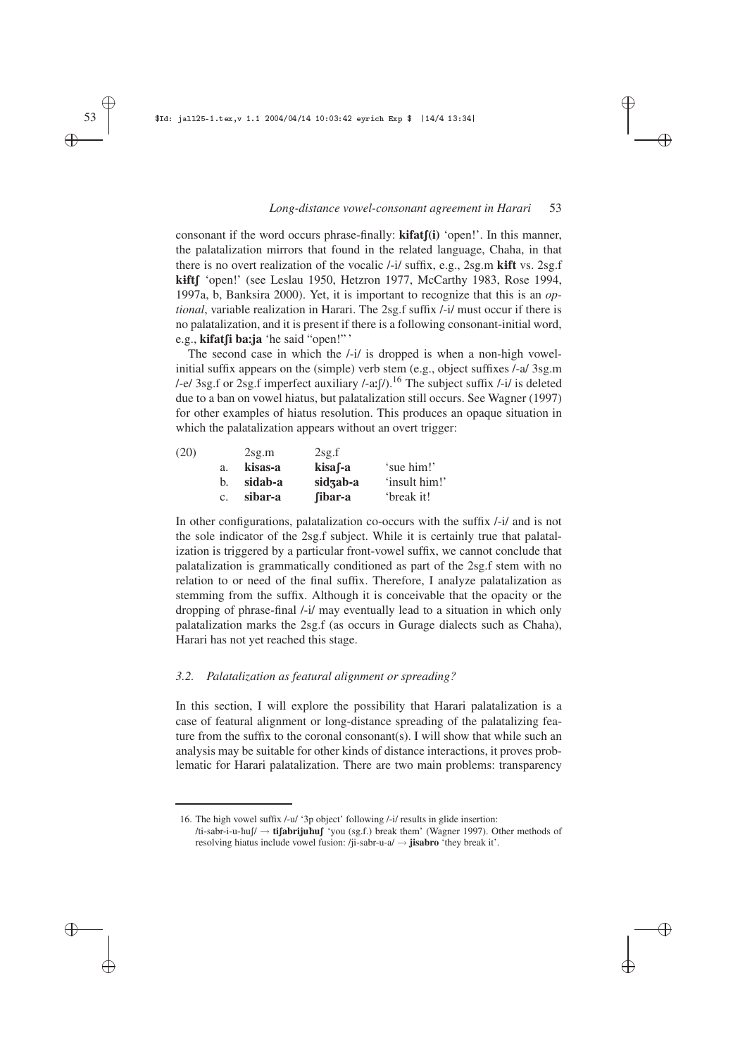✐

✐

✐

✐

consonant if the word occurs phrase-finally: **kifat** $f(i)$  'open!'. In this manner, the palatalization mirrors that found in the related language, Chaha, in that there is no overt realization of the vocalic /-i/ suffix, e.g., 2sg.m **k**1**ft** vs. 2sg.f **kift** [ 'open!' (see Leslau 1950, Hetzron 1977, McCarthy 1983, Rose 1994, 1997a, b, Banksira 2000). Yet, it is important to recognize that this is an *optional*, variable realization in Harari. The 2sg.f suffix /-i/ must occur if there is no palatalization, and it is present if there is a following consonant-initial word, e.g., **kifat**[i ba:ja 'he said "open!"'

The second case in which the /-i/ is dropped is when a non-high vowelinitial suffix appears on the (simple) verb stem (e.g., object suffixes /-a/ 3sg.m /-e/ 3sg.f or 2sg.f imperfect auxiliary /-a: $\int$ /).<sup>16</sup> The subject suffix /-i/ is deleted due to a ban on vowel hiatus, but palatalization still occurs. See Wagner (1997) for other examples of hiatus resolution. This produces an opaque situation in which the palatalization appears without an overt trigger:

| (20) |                | 2sg.m   | $2$ sg.f |               |
|------|----------------|---------|----------|---------------|
|      | a.             | kisas-a | kisa f-a | 'sue him!'    |
|      | b.             | sidab-a | sidzab-a | 'insult him!' |
|      | $\mathbf{c}$ . | sibar-a | fibar-a  | 'break it!    |

In other configurations, palatalization co-occurs with the suffix /-i/ and is not the sole indicator of the 2sg.f subject. While it is certainly true that palatalization is triggered by a particular front-vowel suffix, we cannot conclude that palatalization is grammatically conditioned as part of the 2sg.f stem with no relation to or need of the final suffix. Therefore, I analyze palatalization as stemming from the suffix. Although it is conceivable that the opacity or the dropping of phrase-final /-i/ may eventually lead to a situation in which only palatalization marks the 2sg.f (as occurs in Gurage dialects such as Chaha), Harari has not yet reached this stage.

# *3.2. Palatalization as featural alignment or spreading?*

In this section, I will explore the possibility that Harari palatalization is a case of featural alignment or long-distance spreading of the palatalizing feature from the suffix to the coronal consonant(s). I will show that while such an analysis may be suitable for other kinds of distance interactions, it proves problematic for Harari palatalization. There are two main problems: transparency

✐ ✐

✐

<sup>16.</sup> The high vowel suffix /-u/ '3p object' following /-i/ results in glide insertion: /ti-sabr-i-u-ħuʃ/ → **tifabrijuħuf** 'you (sg.f.) break them' (Wagner 1997). Other methods of resolving hiatus include vowel fusion: /ji-sabr-u-a/ → **jisabro** 'they break it'.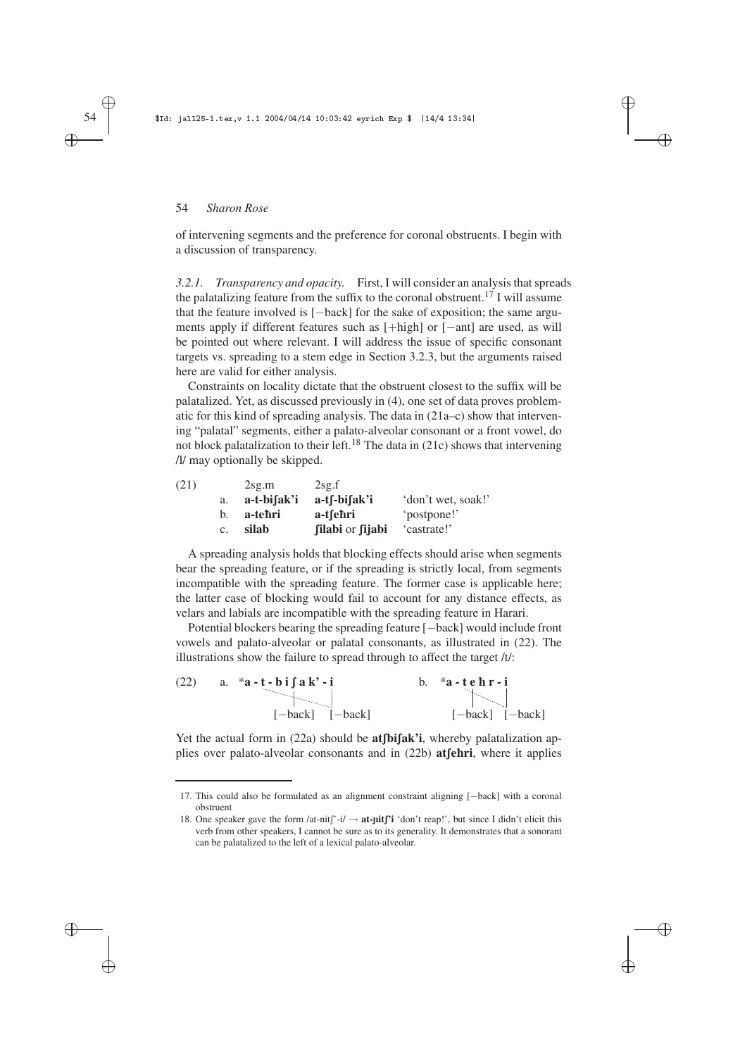of intervening segments and the preference for coronal obstruents. I begin with a discussion of transparency.

✐

✐

✐

✐

*3.2.1. Transparency and opacity.* First, I will consider an analysis that spreads the palatalizing feature from the suffix to the coronal obstruent.<sup>17</sup> I will assume that the feature involved is [−back] for the sake of exposition; the same arguments apply if different features such as [+high] or [−ant] are used, as will be pointed out where relevant. I will address the issue of specific consonant targets vs. spreading to a stem edge in Section 3.2.3, but the arguments raised here are valid for either analysis.

Constraints on locality dictate that the obstruent closest to the suffix will be palatalized. Yet, as discussed previously in (4), one set of data proves problematic for this kind of spreading analysis. The data in (21a–c) show that intervening "palatal" segments, either a palato-alveolar consonant or a front vowel, do not block palatalization to their left.<sup>18</sup> The data in  $(21c)$  shows that intervening /l/ may optionally be skipped.

| (21) |             | $2$ sg.m    | 2sg.f            |                    |
|------|-------------|-------------|------------------|--------------------|
|      | a.          | a-t-bifak'i | $a$ -tf-bifak'i  | 'don't wet, soak!' |
|      | b.          | a-tehri     | a-tsehri         | 'postpone!'        |
|      | $c_{\cdot}$ | silab       | filabi or fijabi | 'castrate!'        |

A spreading analysis holds that blocking effects should arise when segments bear the spreading feature, or if the spreading is strictly local, from segments incompatible with the spreading feature. The former case is applicable here; the latter case of blocking would fail to account for any distance effects, as velars and labials are incompatible with the spreading feature in Harari.

Potential blockers bearing the spreading feature [−back] would include front vowels and palato-alveolar or palatal consonants, as illustrated in (22). The illustrations show the failure to spread through to affect the target /t/:

| (22) | a. $a - t - b$ i $\int a k' - i$ | *a-tehr-i           |
|------|----------------------------------|---------------------|
|      |                                  |                     |
|      | $[-back]$ $[-back]$              | $[-back]$ $[-back]$ |

Yet the actual form in (22a) should be **atfbifak'i**, whereby palatalization applies over palato-alveolar consonants and in (22b) **at fehri**, where it applies

✐

✐

✐

<sup>17.</sup> This could also be formulated as an alignment constraint aligning [−back] with a coronal obstruent

<sup>18.</sup> One speaker gave the form /at-nit $\int$ <sup>-i</sup>/  $\rightarrow$  **at-pit** $\int$ **<sup>3</sup>** 'don't reap!', but since I didn't elicit this verb from other speakers, I cannot be sure as to its generality. It demonstrates that a sonorant can be palatalized to the left of a lexical palato-alveolar.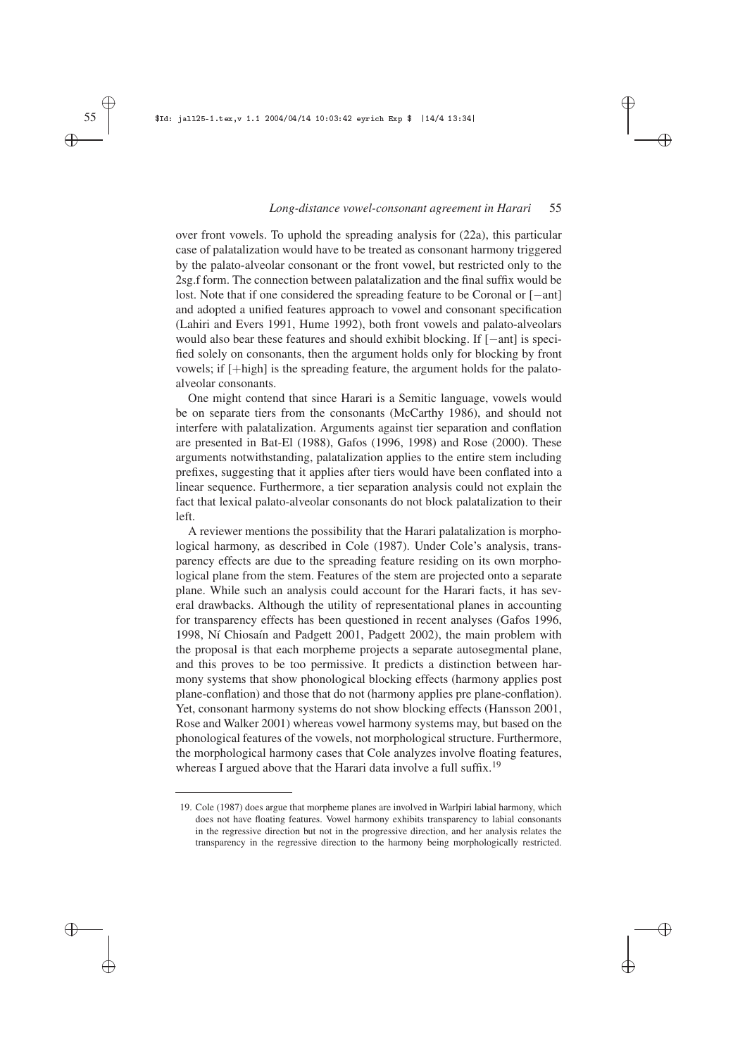✐

✐

✐

✐

#### *Long-distance vowel-consonant agreement in Harari* 55

✐

✐

✐

✐

over front vowels. To uphold the spreading analysis for (22a), this particular case of palatalization would have to be treated as consonant harmony triggered by the palato-alveolar consonant or the front vowel, but restricted only to the 2sg.f form. The connection between palatalization and the final suffix would be lost. Note that if one considered the spreading feature to be Coronal or [−ant] and adopted a unified features approach to vowel and consonant specification (Lahiri and Evers 1991, Hume 1992), both front vowels and palato-alveolars would also bear these features and should exhibit blocking. If [−ant] is specified solely on consonants, then the argument holds only for blocking by front vowels; if [+high] is the spreading feature, the argument holds for the palatoalveolar consonants.

One might contend that since Harari is a Semitic language, vowels would be on separate tiers from the consonants (McCarthy 1986), and should not interfere with palatalization. Arguments against tier separation and conflation are presented in Bat-El (1988), Gafos (1996, 1998) and Rose (2000). These arguments notwithstanding, palatalization applies to the entire stem including prefixes, suggesting that it applies after tiers would have been conflated into a linear sequence. Furthermore, a tier separation analysis could not explain the fact that lexical palato-alveolar consonants do not block palatalization to their left.

A reviewer mentions the possibility that the Harari palatalization is morphological harmony, as described in Cole (1987). Under Cole's analysis, transparency effects are due to the spreading feature residing on its own morphological plane from the stem. Features of the stem are projected onto a separate plane. While such an analysis could account for the Harari facts, it has several drawbacks. Although the utility of representational planes in accounting for transparency effects has been questioned in recent analyses (Gafos 1996, 1998, Ní Chiosaín and Padgett 2001, Padgett 2002), the main problem with the proposal is that each morpheme projects a separate autosegmental plane, and this proves to be too permissive. It predicts a distinction between harmony systems that show phonological blocking effects (harmony applies post plane-conflation) and those that do not (harmony applies pre plane-conflation). Yet, consonant harmony systems do not show blocking effects (Hansson 2001, Rose and Walker 2001) whereas vowel harmony systems may, but based on the phonological features of the vowels, not morphological structure. Furthermore, the morphological harmony cases that Cole analyzes involve floating features, whereas I argued above that the Harari data involve a full suffix.<sup>19</sup>

<sup>19.</sup> Cole (1987) does argue that morpheme planes are involved in Warlpiri labial harmony, which does not have floating features. Vowel harmony exhibits transparency to labial consonants in the regressive direction but not in the progressive direction, and her analysis relates the transparency in the regressive direction to the harmony being morphologically restricted.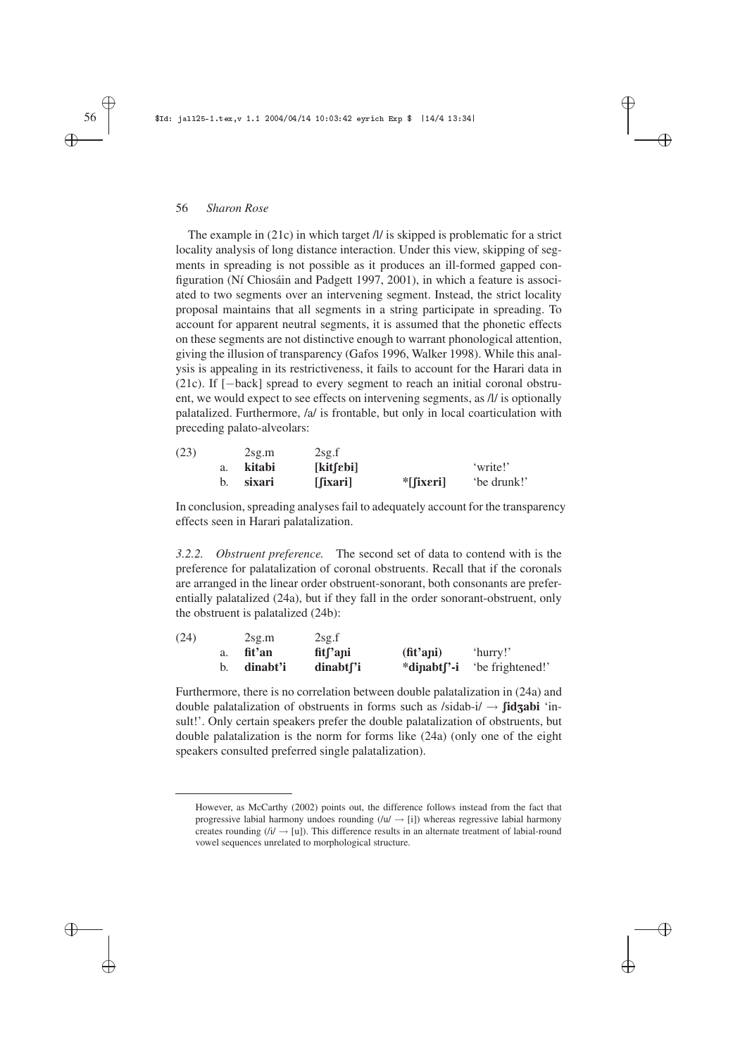The example in (21c) in which target /l/ is skipped is problematic for a strict locality analysis of long distance interaction. Under this view, skipping of segments in spreading is not possible as it produces an ill-formed gapped configuration (Ní Chiosáin and Padgett 1997, 2001), in which a feature is associated to two segments over an intervening segment. Instead, the strict locality proposal maintains that all segments in a string participate in spreading. To account for apparent neutral segments, it is assumed that the phonetic effects on these segments are not distinctive enough to warrant phonological attention, giving the illusion of transparency (Gafos 1996, Walker 1998). While this analysis is appealing in its restrictiveness, it fails to account for the Harari data in (21c). If [−back] spread to every segment to reach an initial coronal obstruent, we would expect to see effects on intervening segments, as /l/ is optionally palatalized. Furthermore, /a/ is frontable, but only in local coarticulation with preceding palato-alveolars:

✐

✐

✐

✐

| (23) | 2sg.m  | 2sg.f     |                         |             |
|------|--------|-----------|-------------------------|-------------|
|      | kitabi | [kit[ebi] |                         | 'write!'    |
|      | sixari | [fixari]  | $*$ [[ix $\epsilon$ ri] | 'be drunk!' |

In conclusion, spreading analyses fail to adequately account for the transparency effects seen in Harari palatalization.

*3.2.2. Obstruent preference.* The second set of data to contend with is the preference for palatalization of coronal obstruents. Recall that if the coronals are arranged in the linear order obstruent-sonorant, both consonants are preferentially palatalized (24a), but if they fall in the order sonorant-obstruent, only the obstruent is palatalized (24b):

| (24) |    | 2sg.m    | 2sg.f                             |                         |                 |
|------|----|----------|-----------------------------------|-------------------------|-----------------|
|      | a. | fit'an   | fit <sub>s</sub> <sup>'</sup> ani | $(\text{fit}'$ ani)     | 'hurry!'        |
|      |    | dinabt'i | dinabt <sup>r</sup> i             | *dinabt <sup>r</sup> -i | be frightened!' |

Furthermore, there is no correlation between double palatalization in (24a) and double palatalization of obstruents in forms such as  $/sidab-i \rightarrow \int idzabi$  'insult!'. Only certain speakers prefer the double palatalization of obstruents, but double palatalization is the norm for forms like (24a) (only one of the eight speakers consulted preferred single palatalization).

# ✐

✐

✐

However, as McCarthy (2002) points out, the difference follows instead from the fact that progressive labial harmony undoes rounding  $(lu / \rightarrow [i])$  whereas regressive labial harmony creates rounding ( $(i) \rightarrow [u]$ ). This difference results in an alternate treatment of labial-round vowel sequences unrelated to morphological structure.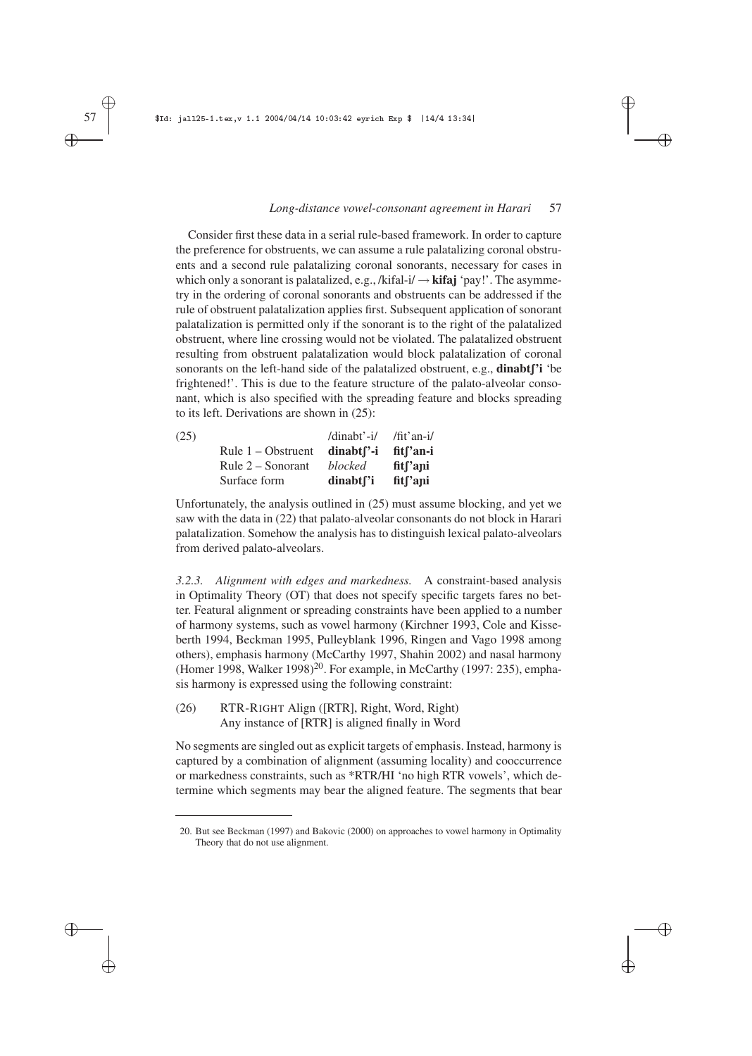✐

✐

✐

✐

Consider first these data in a serial rule-based framework. In order to capture the preference for obstruents, we can assume a rule palatalizing coronal obstruents and a second rule palatalizing coronal sonorants, necessary for cases in which only a sonorant is palatalized, e.g., /kifal-i/ → **kifaj** 'pay!'. The asymmetry in the ordering of coronal sonorants and obstruents can be addressed if the rule of obstruent palatalization applies first. Subsequent application of sonorant palatalization is permitted only if the sonorant is to the right of the palatalized obstruent, where line crossing would not be violated. The palatalized obstruent resulting from obstruent palatalization would block palatalization of coronal sonorants on the left-hand side of the palatalized obstruent, e.g., **dinabt**<sup>''</sup>**i** 'be frightened!'. This is due to the feature structure of the palato-alveolar consonant, which is also specified with the spreading feature and blocks spreading to its left. Derivations are shown in (25):

| (25) |                      | /dinabt'-i/            | /fit'an-i/            |
|------|----------------------|------------------------|-----------------------|
|      | Rule $1 -$ Obstruent | dinabt <sup>"</sup> -i | fit <sup>r</sup> an-i |
|      | Rule $2 -$ Sonorant  | blocked                | fit <sup>r</sup> ani  |
|      | Surface form         | dinabt <sup>r</sup> i  | fit <sup>r</sup> ani  |

Unfortunately, the analysis outlined in (25) must assume blocking, and yet we saw with the data in (22) that palato-alveolar consonants do not block in Harari palatalization. Somehow the analysis has to distinguish lexical palato-alveolars from derived palato-alveolars.

*3.2.3. Alignment with edges and markedness.* A constraint-based analysis in Optimality Theory (OT) that does not specify specific targets fares no better. Featural alignment or spreading constraints have been applied to a number of harmony systems, such as vowel harmony (Kirchner 1993, Cole and Kisseberth 1994, Beckman 1995, Pulleyblank 1996, Ringen and Vago 1998 among others), emphasis harmony (McCarthy 1997, Shahin 2002) and nasal harmony (Homer 1998, Walker 1998)<sup>20</sup>. For example, in McCarthy (1997: 235), emphasis harmony is expressed using the following constraint:

(26) RTR-RIGHT Align ([RTR], Right, Word, Right) Any instance of [RTR] is aligned finally in Word

No segments are singled out as explicit targets of emphasis. Instead, harmony is captured by a combination of alignment (assuming locality) and cooccurrence or markedness constraints, such as \*RTR/HI 'no high RTR vowels', which determine which segments may bear the aligned feature. The segments that bear

✐ ✐

✐

<sup>20.</sup> But see Beckman (1997) and Bakovic (2000) on approaches to vowel harmony in Optimality Theory that do not use alignment.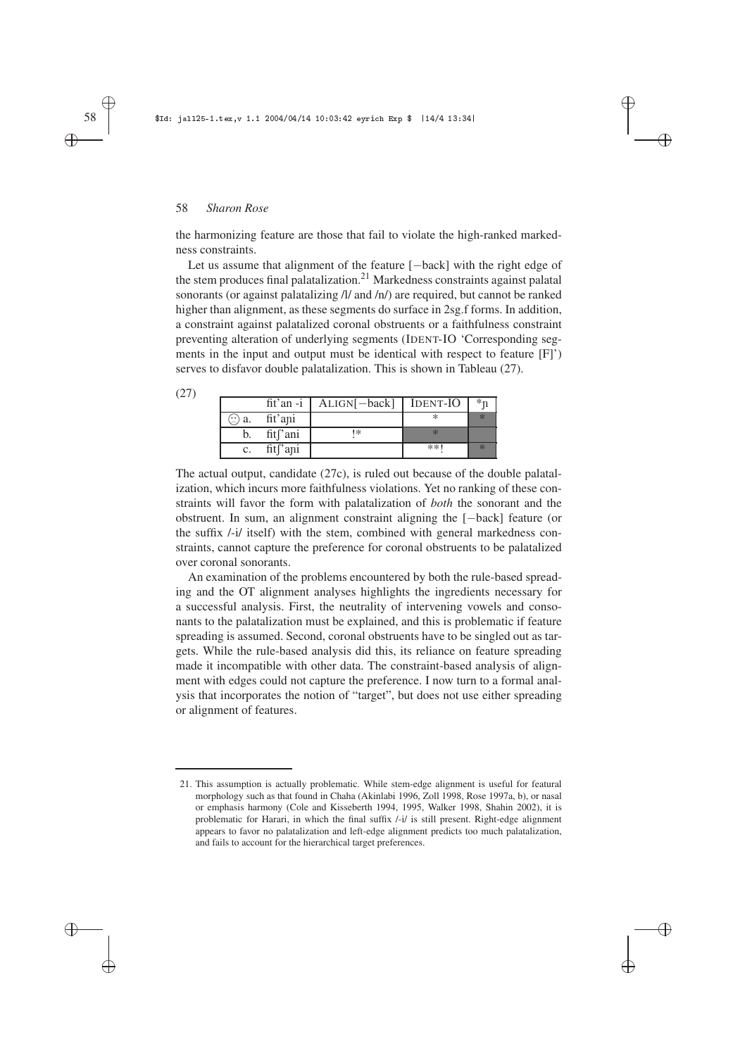the harmonizing feature are those that fail to violate the high-ranked markedness constraints.

✐

✐

✐

✐

Let us assume that alignment of the feature [−back] with the right edge of the stem produces final palatalization.<sup>21</sup> Markedness constraints against palatal sonorants (or against palatalizing /l/ and /n/) are required, but cannot be ranked higher than alignment, as these segments do surface in 2sg.f forms. In addition, a constraint against palatalized coronal obstruents or a faithfulness constraint preventing alteration of underlying segments (IDENT-IO 'Corresponding segments in the input and output must be identical with respect to feature [F]') serves to disfavor double palatalization. This is shown in Tableau (27).

| (27 |                               |                       |                                           |       |         |
|-----|-------------------------------|-----------------------|-------------------------------------------|-------|---------|
|     |                               |                       | $fit'$ an -i   ALIGN $[-back]$   IDENT-IO |       | $*_{n}$ |
|     | $\left(\frac{1}{2}\right)$ a. | fit'ani               |                                           |       |         |
|     | b.                            | fit <sup>['</sup> ani | 1*                                        |       |         |
|     | c.                            | fit <sup>['</sup> ani |                                           | $**1$ |         |

The actual output, candidate (27c), is ruled out because of the double palatalization, which incurs more faithfulness violations. Yet no ranking of these constraints will favor the form with palatalization of *both* the sonorant and the obstruent. In sum, an alignment constraint aligning the [−back] feature (or the suffix /-i/ itself) with the stem, combined with general markedness constraints, cannot capture the preference for coronal obstruents to be palatalized over coronal sonorants.

An examination of the problems encountered by both the rule-based spreading and the OT alignment analyses highlights the ingredients necessary for a successful analysis. First, the neutrality of intervening vowels and consonants to the palatalization must be explained, and this is problematic if feature spreading is assumed. Second, coronal obstruents have to be singled out as targets. While the rule-based analysis did this, its reliance on feature spreading made it incompatible with other data. The constraint-based analysis of alignment with edges could not capture the preference. I now turn to a formal analysis that incorporates the notion of "target", but does not use either spreading or alignment of features.

✐

✐

✐

<sup>21.</sup> This assumption is actually problematic. While stem-edge alignment is useful for featural morphology such as that found in Chaha (Akinlabi 1996, Zoll 1998, Rose 1997a, b), or nasal or emphasis harmony (Cole and Kisseberth 1994, 1995, Walker 1998, Shahin 2002), it is problematic for Harari, in which the final suffix /-i/ is still present. Right-edge alignment appears to favor no palatalization and left-edge alignment predicts too much palatalization, and fails to account for the hierarchical target preferences.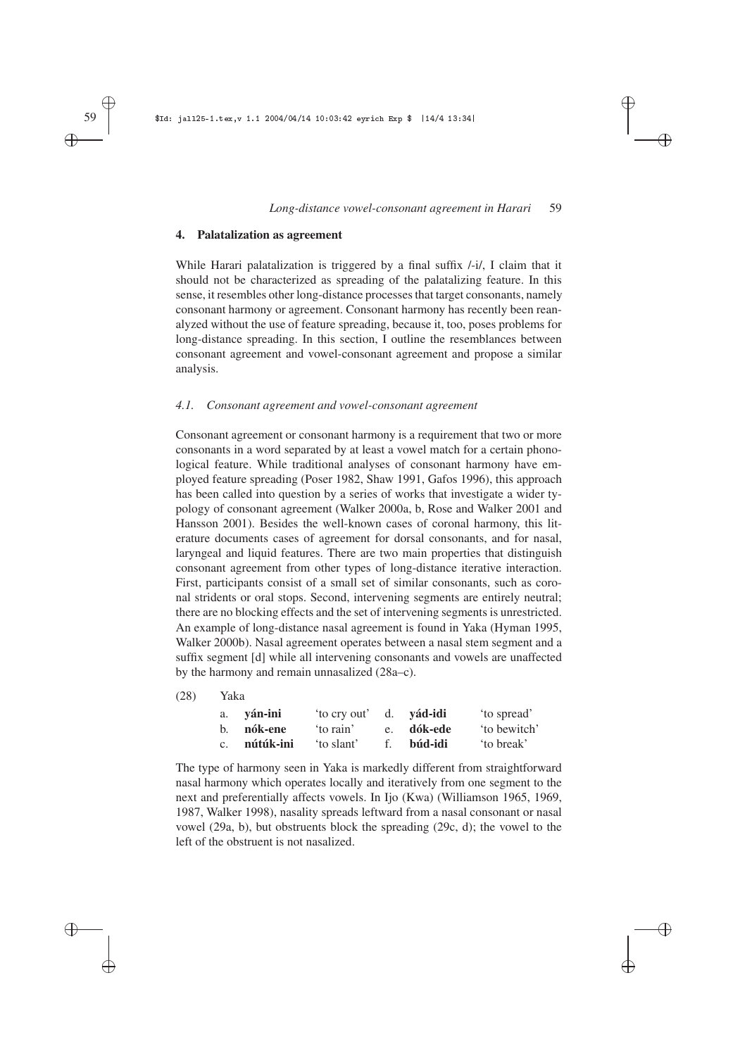✐

✐

✐

✐

#### **4. Palatalization as agreement**

While Harari palatalization is triggered by a final suffix  $/$ -i $/$ , I claim that it should not be characterized as spreading of the palatalizing feature. In this sense, it resembles other long-distance processes that target consonants, namely consonant harmony or agreement. Consonant harmony has recently been reanalyzed without the use of feature spreading, because it, too, poses problems for long-distance spreading. In this section, I outline the resemblances between consonant agreement and vowel-consonant agreement and propose a similar analysis.

## *4.1. Consonant agreement and vowel-consonant agreement*

Consonant agreement or consonant harmony is a requirement that two or more consonants in a word separated by at least a vowel match for a certain phonological feature. While traditional analyses of consonant harmony have employed feature spreading (Poser 1982, Shaw 1991, Gafos 1996), this approach has been called into question by a series of works that investigate a wider typology of consonant agreement (Walker 2000a, b, Rose and Walker 2001 and Hansson 2001). Besides the well-known cases of coronal harmony, this literature documents cases of agreement for dorsal consonants, and for nasal, laryngeal and liquid features. There are two main properties that distinguish consonant agreement from other types of long-distance iterative interaction. First, participants consist of a small set of similar consonants, such as coronal stridents or oral stops. Second, intervening segments are entirely neutral; there are no blocking effects and the set of intervening segments is unrestricted. An example of long-distance nasal agreement is found in Yaka (Hyman 1995, Walker 2000b). Nasal agreement operates between a nasal stem segment and a suffix segment [d] while all intervening consonants and vowels are unaffected by the harmony and remain unnasalized (28a–c).

(28) Yaka

| a. ván-ini   | to cry out' |                | d. vád-idi | 'to spread'  |
|--------------|-------------|----------------|------------|--------------|
| b. nók-ene   | to rain'    |                | e. dók-ede | 'to bewitch' |
| c. nútúk-ini | 'to slant'  | $f_{\rm{eff}}$ | búd-idi    | to break'    |

The type of harmony seen in Yaka is markedly different from straightforward nasal harmony which operates locally and iteratively from one segment to the next and preferentially affects vowels. In Ijo (Kwa) (Williamson 1965, 1969, 1987, Walker 1998), nasality spreads leftward from a nasal consonant or nasal vowel (29a, b), but obstruents block the spreading (29c, d); the vowel to the left of the obstruent is not nasalized.

✐ ✐

✐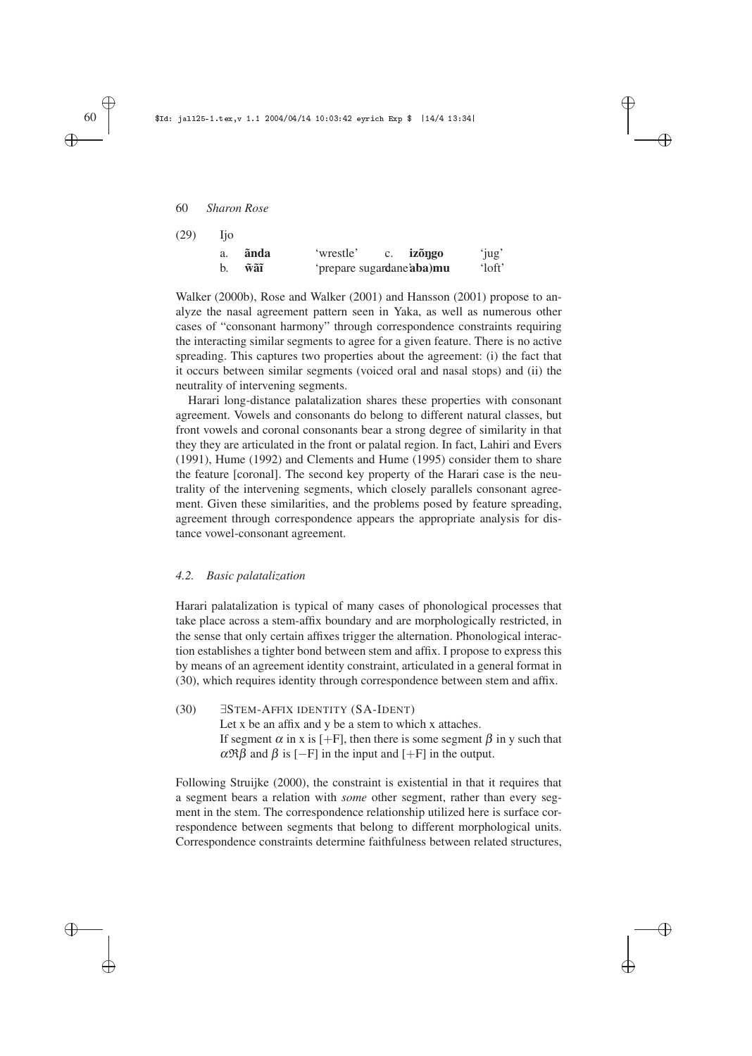| (29) | <b>Tio</b> |      |                                   |           |           |
|------|------------|------|-----------------------------------|-----------|-----------|
|      | a.         | ãnda | 'wrestle'                         | c. izõngo | 'jug'     |
|      | b.         | wãĩ  | 'prepare sugardane <b>aba</b> )mu |           | $'$ loft' |

Walker (2000b), Rose and Walker (2001) and Hansson (2001) propose to analyze the nasal agreement pattern seen in Yaka, as well as numerous other cases of "consonant harmony" through correspondence constraints requiring the interacting similar segments to agree for a given feature. There is no active spreading. This captures two properties about the agreement: (i) the fact that it occurs between similar segments (voiced oral and nasal stops) and (ii) the neutrality of intervening segments.

✐

✐

✐

✐

Harari long-distance palatalization shares these properties with consonant agreement. Vowels and consonants do belong to different natural classes, but front vowels and coronal consonants bear a strong degree of similarity in that they they are articulated in the front or palatal region. In fact, Lahiri and Evers (1991), Hume (1992) and Clements and Hume (1995) consider them to share the feature [coronal]. The second key property of the Harari case is the neutrality of the intervening segments, which closely parallels consonant agreement. Given these similarities, and the problems posed by feature spreading, agreement through correspondence appears the appropriate analysis for distance vowel-consonant agreement.

#### *4.2. Basic palatalization*

Harari palatalization is typical of many cases of phonological processes that take place across a stem-affix boundary and are morphologically restricted, in the sense that only certain affixes trigger the alternation. Phonological interaction establishes a tighter bond between stem and affix. I propose to express this by means of an agreement identity constraint, articulated in a general format in (30), which requires identity through correspondence between stem and affix.

(30) ∃STEM-AFFIX IDENTITY (SA-IDENT) Let x be an affix and y be a stem to which x attaches. If segment  $\alpha$  in x is [+F], then there is some segment  $\beta$  in y such that  $\alpha \mathfrak{R} \beta$  and  $\beta$  is [-F] in the input and [+F] in the output.

Following Struijke (2000), the constraint is existential in that it requires that a segment bears a relation with *some* other segment, rather than every segment in the stem. The correspondence relationship utilized here is surface correspondence between segments that belong to different morphological units. Correspondence constraints determine faithfulness between related structures,

# ✐

✐

✐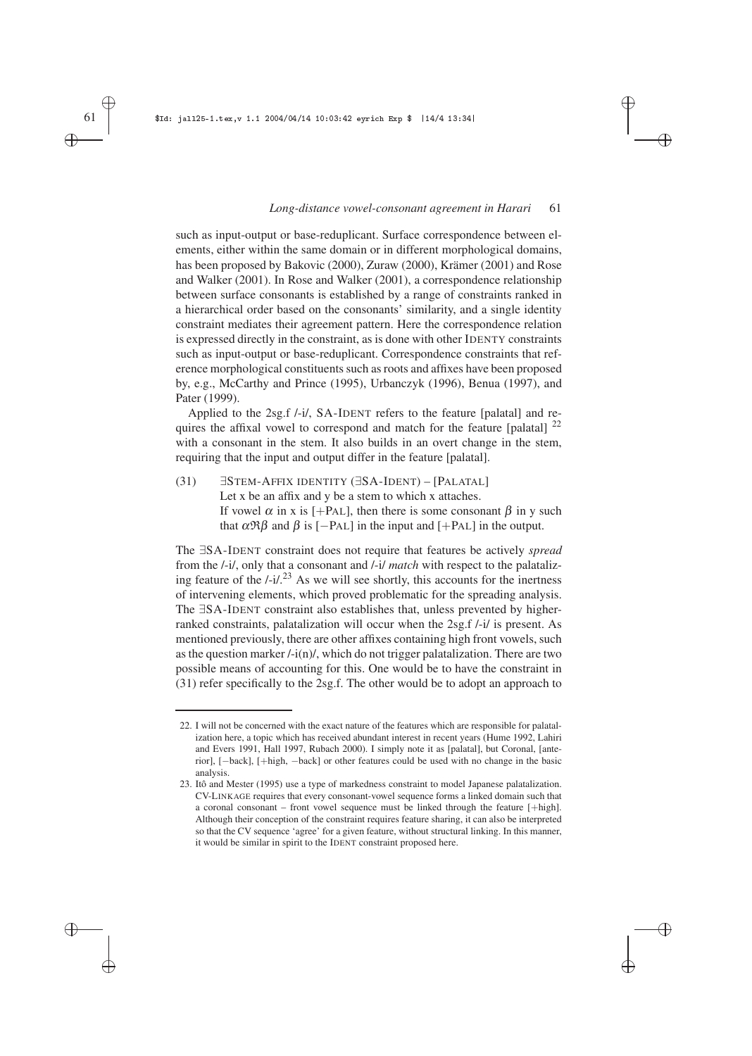✐

✐

✐

✐

such as input-output or base-reduplicant. Surface correspondence between elements, either within the same domain or in different morphological domains, has been proposed by Bakovic (2000), Zuraw (2000), Krämer (2001) and Rose and Walker (2001). In Rose and Walker (2001), a correspondence relationship between surface consonants is established by a range of constraints ranked in a hierarchical order based on the consonants' similarity, and a single identity constraint mediates their agreement pattern. Here the correspondence relation is expressed directly in the constraint, as is done with other IDENTY constraints such as input-output or base-reduplicant. Correspondence constraints that reference morphological constituents such as roots and affixes have been proposed by, e.g., McCarthy and Prince (1995), Urbanczyk (1996), Benua (1997), and Pater (1999).

Applied to the 2sg.f /-i/, SA-IDENT refers to the feature [palatal] and requires the affixal vowel to correspond and match for the feature [palatal] <sup>22</sup> with a consonant in the stem. It also builds in an overt change in the stem, requiring that the input and output differ in the feature [palatal].

(31) ∃STEM-AFFIX IDENTITY (∃SA-IDENT) – [PALATAL] Let x be an affix and y be a stem to which x attaches. If vowel  $\alpha$  in x is [+PAL], then there is some consonant  $\beta$  in y such that  $\alpha \mathfrak{R} \beta$  and  $\beta$  is [−PAL] in the input and [+PAL] in the output.

The ∃SA-IDENT constraint does not require that features be actively *spread* from the /-i/, only that a consonant and /-i/ *match* with respect to the palatalizing feature of the  $/-i/$ <sup>23</sup> As we will see shortly, this accounts for the inertness of intervening elements, which proved problematic for the spreading analysis. The ∃SA-IDENT constraint also establishes that, unless prevented by higherranked constraints, palatalization will occur when the 2sg.f /-i/ is present. As mentioned previously, there are other affixes containing high front vowels, such as the question marker  $\frac{1-i(n)}{n}$ , which do not trigger palatalization. There are two possible means of accounting for this. One would be to have the constraint in (31) refer specifically to the 2sg.f. The other would be to adopt an approach to

✐

✐

✐

<sup>22.</sup> I will not be concerned with the exact nature of the features which are responsible for palatalization here, a topic which has received abundant interest in recent years (Hume 1992, Lahiri and Evers 1991, Hall 1997, Rubach 2000). I simply note it as [palatal], but Coronal, [anterior], [−back], [+high, −back] or other features could be used with no change in the basic analysis.

<sup>23.</sup> Itô and Mester (1995) use a type of markedness constraint to model Japanese palatalization. CV-LINKAGE requires that every consonant-vowel sequence forms a linked domain such that a coronal consonant – front vowel sequence must be linked through the feature [+high]. Although their conception of the constraint requires feature sharing, it can also be interpreted so that the CV sequence 'agree' for a given feature, without structural linking. In this manner, it would be similar in spirit to the IDENT constraint proposed here.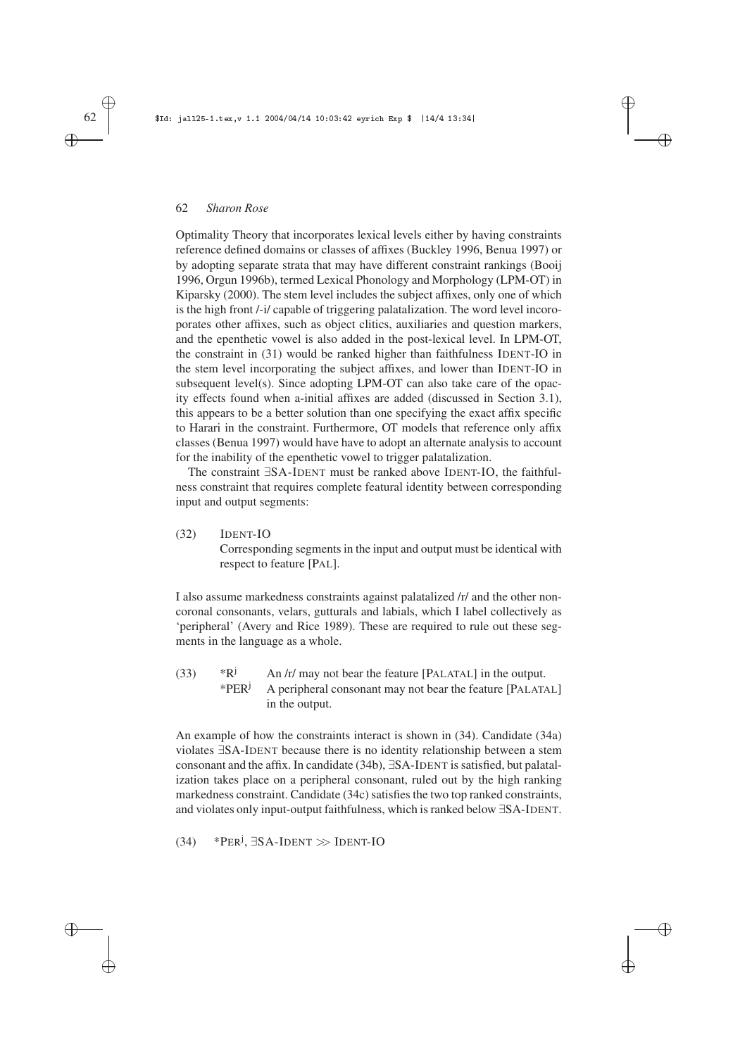Optimality Theory that incorporates lexical levels either by having constraints reference defined domains or classes of affixes (Buckley 1996, Benua 1997) or by adopting separate strata that may have different constraint rankings (Booij 1996, Orgun 1996b), termed Lexical Phonology and Morphology (LPM-OT) in Kiparsky (2000). The stem level includes the subject affixes, only one of which is the high front /-i/ capable of triggering palatalization. The word level incoroporates other affixes, such as object clitics, auxiliaries and question markers, and the epenthetic vowel is also added in the post-lexical level. In LPM-OT, the constraint in (31) would be ranked higher than faithfulness IDENT-IO in the stem level incorporating the subject affixes, and lower than IDENT-IO in subsequent level(s). Since adopting LPM-OT can also take care of the opacity effects found when a-initial affixes are added (discussed in Section 3.1), this appears to be a better solution than one specifying the exact affix specific to Harari in the constraint. Furthermore, OT models that reference only affix classes (Benua 1997) would have have to adopt an alternate analysis to account for the inability of the epenthetic vowel to trigger palatalization.

✐

✐

✐

✐

The constraint ∃SA-IDENT must be ranked above IDENT-IO, the faithfulness constraint that requires complete featural identity between corresponding input and output segments:

(32) IDENT-IO Corresponding segments in the input and output must be identical with respect to feature [PAL].

I also assume markedness constraints against palatalized /r/ and the other noncoronal consonants, velars, gutturals and labials, which I label collectively as 'peripheral' (Avery and Rice 1989). These are required to rule out these segments in the language as a whole.

(33)  $*R^j$  An /r/ may not bear the feature [PALATAL] in the output. \*PER<sup>j</sup> A peripheral consonant may not bear the feature [PALATAL] in the output.

An example of how the constraints interact is shown in (34). Candidate (34a) violates ∃SA-IDENT because there is no identity relationship between a stem consonant and the affix. In candidate (34b), ∃SA-IDENT is satisfied, but palatalization takes place on a peripheral consonant, ruled out by the high ranking markedness constraint. Candidate (34c) satisfies the two top ranked constraints, and violates only input-output faithfulness, which is ranked below ∃SA-IDENT.

(34) \* $PER^j$ ,  $\exists SA\text{-}IDENT \gg \text{IDENT-IO}$ 

# ✐

✐

✐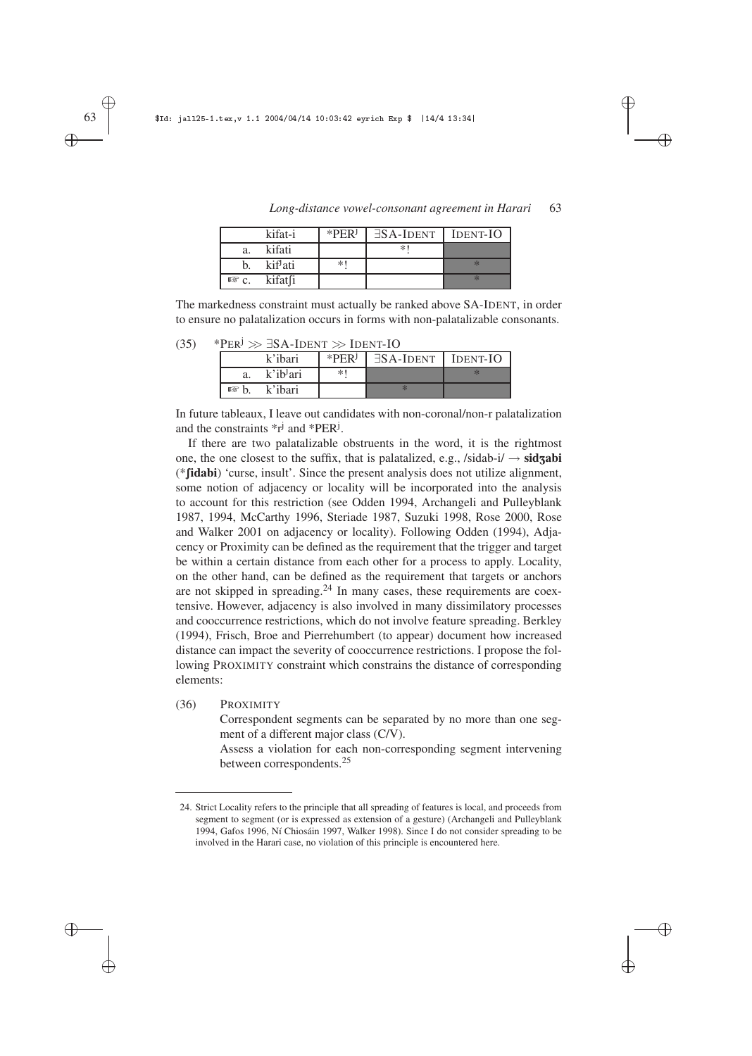

✐

✐

|            | kifat-i              | $*PERj$ | $\exists$ SA-IDENT   IDENT-IO |  |
|------------|----------------------|---------|-------------------------------|--|
| a.         | kifati               |         | *1                            |  |
|            | kif <sup>j</sup> ati | $*1$    |                               |  |
| $R\$ $C$ . | kifat fi             |         |                               |  |

*Long-distance vowel-consonant agreement in Harari* 63

The markedness constraint must actually be ranked above SA-IDENT, in order to ensure no palatalization occurs in forms with non-palatalizable consonants.

 $(35)$  \*PER<sup>j</sup>  $\gg \exists$ SA-IDENT  $\gg$  IDENT-IO

|    | k'ibari                 | $*PERj$ | $\exists$ SA-IDENT   IDENT-IO |  |
|----|-------------------------|---------|-------------------------------|--|
| a. | k'ib <sup>j</sup> ari   | $*1$    |                               |  |
|    | $\mathbb{R}$ b. k'ibari |         |                               |  |

In future tableaux, I leave out candidates with non-coronal/non-r palatalization and the constraints  $\ast_{r}^{j}$  and  $\ast$ PER<sup>j</sup>.

If there are two palatalizable obstruents in the word, it is the rightmost one, the one closest to the suffix, that is palatalized, e.g.,  $\delta$ *sidab-i* $\rightarrow$ **sidzabi** (\***fidabi**) 'curse, insult'. Since the present analysis does not utilize alignment, some notion of adjacency or locality will be incorporated into the analysis to account for this restriction (see Odden 1994, Archangeli and Pulleyblank 1987, 1994, McCarthy 1996, Steriade 1987, Suzuki 1998, Rose 2000, Rose and Walker 2001 on adjacency or locality). Following Odden (1994), Adjacency or Proximity can be defined as the requirement that the trigger and target be within a certain distance from each other for a process to apply. Locality, on the other hand, can be defined as the requirement that targets or anchors are not skipped in spreading. $24$  In many cases, these requirements are coextensive. However, adjacency is also involved in many dissimilatory processes and cooccurrence restrictions, which do not involve feature spreading. Berkley (1994), Frisch, Broe and Pierrehumbert (to appear) document how increased distance can impact the severity of cooccurrence restrictions. I propose the following PROXIMITY constraint which constrains the distance of corresponding elements:

(36) PROXIMITY

Correspondent segments can be separated by no more than one segment of a different major class (C/V).

Assess a violation for each non-corresponding segment intervening between correspondents.<sup>25</sup>

✐ ✐

✐

<sup>24.</sup> Strict Locality refers to the principle that all spreading of features is local, and proceeds from segment to segment (or is expressed as extension of a gesture) (Archangeli and Pulleyblank 1994, Gafos 1996, Ní Chiosáin 1997, Walker 1998). Since I do not consider spreading to be involved in the Harari case, no violation of this principle is encountered here.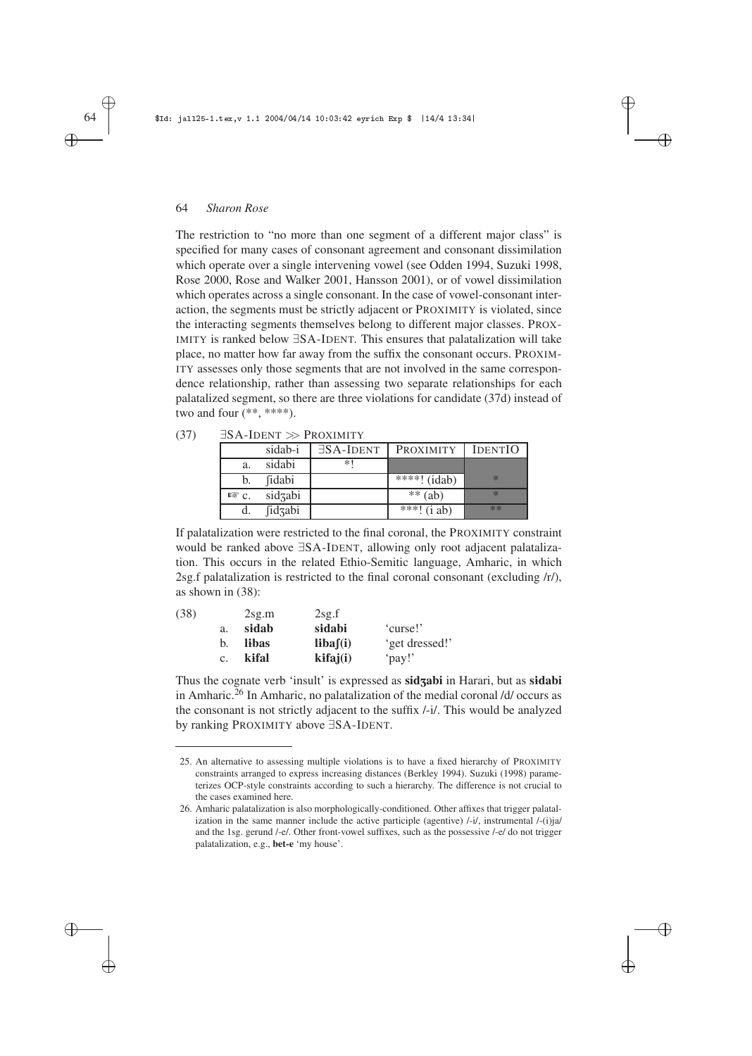The restriction to "no more than one segment of a different major class" is specified for many cases of consonant agreement and consonant dissimilation which operate over a single intervening vowel (see Odden 1994, Suzuki 1998, Rose 2000, Rose and Walker 2001, Hansson 2001), or of vowel dissimilation which operates across a single consonant. In the case of vowel-consonant interaction, the segments must be strictly adjacent or PROXIMITY is violated, since the interacting segments themselves belong to different major classes. PROX-IMITY is ranked below ∃SA-IDENT. This ensures that palatalization will take place, no matter how far away from the suffix the consonant occurs. PROXIM-ITY assesses only those segments that are not involved in the same correspondence relationship, rather than assessing two separate relationships for each palatalized segment, so there are three violations for candidate (37d) instead of two and four (\*\*, \*\*\*\*).

✐

✐

✐

✐

|                 | sidab-i | $\exists$ SA-IDENT | <b>PROXIMITY</b>          | <b>IDENTIO</b> |
|-----------------|---------|--------------------|---------------------------|----------------|
| a.              | sidabi  | *1                 |                           |                |
| b.              | fidabi  |                    | $\overline{***}$ ! (idab) | $*$            |
| $R \otimes C$ . | sidzabi |                    | $**$ (ab)                 | $\ast$         |
|                 | fidzabi |                    | ***! $(i ab)$             | **             |

 $(37)$   $\exists$ SA-IDENT  $\gg$  PROXIMITY

If palatalization were restricted to the final coronal, the PROXIMITY constraint would be ranked above ∃SA-IDENT, allowing only root adjacent palatalization. This occurs in the related Ethio-Semitic language, Amharic, in which 2sg.f palatalization is restricted to the final coronal consonant (excluding /r/), as shown in (38):

| (38) |                | 2sg.m | 2sg.f          |                |
|------|----------------|-------|----------------|----------------|
|      | a.             | sidab | sidabi         | 'curse!'       |
|      | b.             | libas | libaf(i)       | 'get dressed!' |
|      | $\mathbf{c}$ . | kifal | $k$ ifaj $(i)$ | 'pay!'         |

Thus the cognate verb 'insult' is expressed as **sidzabi** in Harari, but as **sidabi** in Amharic.<sup>26</sup> In Amharic, no palatalization of the medial coronal  $/d/$  occurs as the consonant is not strictly adjacent to the suffix /-i/. This would be analyzed by ranking PROXIMITY above ∃SA-IDENT.

✐

✐

✐

<sup>25.</sup> An alternative to assessing multiple violations is to have a fixed hierarchy of PROXIMITY constraints arranged to express increasing distances (Berkley 1994). Suzuki (1998) parameterizes OCP-style constraints according to such a hierarchy. The difference is not crucial to the cases examined here.

<sup>26.</sup> Amharic palatalization is also morphologically-conditioned. Other affixes that trigger palatalization in the same manner include the active participle (agentive)  $\frac{1}{i}$ , instrumental  $\frac{1}{i}$  (i)ja/ and the 1sg. gerund /-e/. Other front-vowel suffixes, such as the possessive /-e/ do not trigger palatalization, e.g., **bet-e** 'my house'.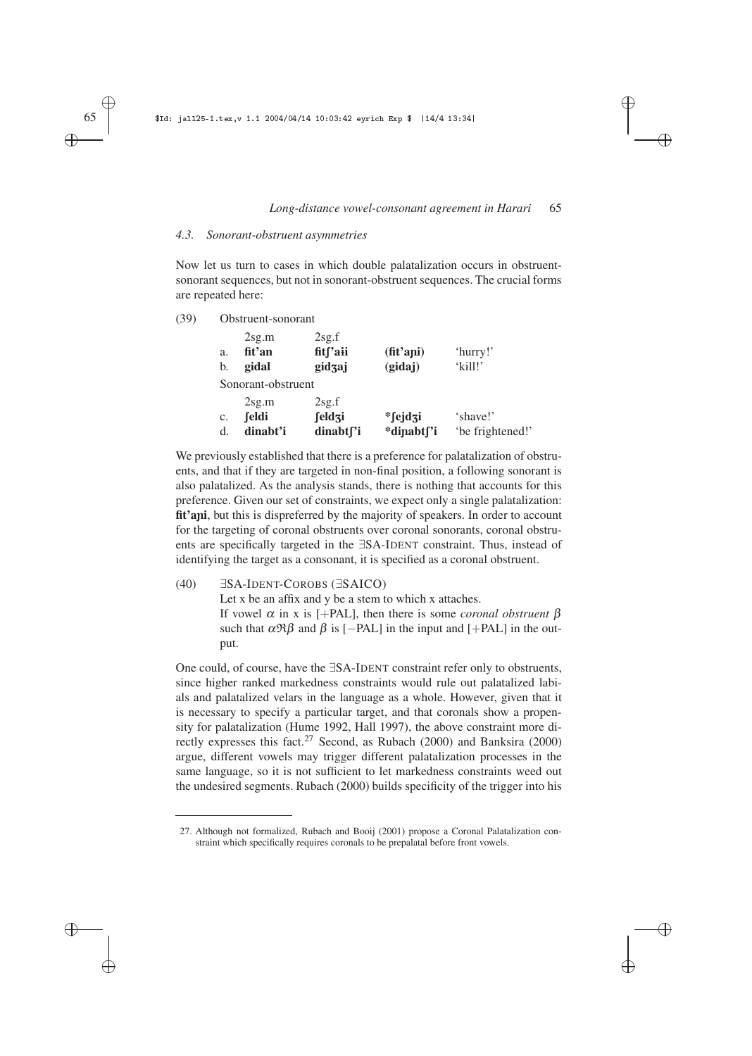✐

✐

✐

✐

# *4.3. Sonorant-obstruent asymmetries*

Now let us turn to cases in which double palatalization occurs in obstruentsonorant sequences, but not in sonorant-obstruent sequences. The crucial forms are repeated here:

(39) Obstruent-sonorant

| a.<br>b. | 2sg.m<br>fit'an<br>gidal | 2sg.f<br>fitf'aii<br>gidzaj | $(\text{fit}'$ ani)<br>(gidaj) | 'hurry!'<br>'kill!' |
|----------|--------------------------|-----------------------------|--------------------------------|---------------------|
|          | Sonorant-obstruent       |                             |                                |                     |
|          | 2sg.m                    | 2sg.f                       |                                |                     |
| c.       | feldi                    | feldzi                      | $*$ fejdzi                     | 'shave!'            |
| d.       | dinabt'i                 | dinabt <sub>['i</sub>       | *dinabt <sub>['i</sub>         | 'be frightened!'    |

We previously established that there is a preference for palatalization of obstruents, and that if they are targeted in non-final position, a following sonorant is also palatalized. As the analysis stands, there is nothing that accounts for this preference. Given our set of constraints, we expect only a single palatalization: fit'ani, but this is dispreferred by the majority of speakers. In order to account for the targeting of coronal obstruents over coronal sonorants, coronal obstruents are specifically targeted in the ∃SA-IDENT constraint. Thus, instead of identifying the target as a consonant, it is specified as a coronal obstruent.

# (40) ∃SA-IDENT-COROBS (∃SAICO)

Let x be an affix and y be a stem to which x attaches. If vowel <sup>α</sup> in x is [+PAL], then there is some *coronal obstruent* β such that  $\alpha \mathfrak{R} \beta$  and  $\beta$  is [−PAL] in the input and [+PAL] in the output.

One could, of course, have the ∃SA-IDENT constraint refer only to obstruents, since higher ranked markedness constraints would rule out palatalized labials and palatalized velars in the language as a whole. However, given that it is necessary to specify a particular target, and that coronals show a propensity for palatalization (Hume 1992, Hall 1997), the above constraint more directly expresses this fact.<sup>27</sup> Second, as Rubach (2000) and Banksira (2000) argue, different vowels may trigger different palatalization processes in the same language, so it is not sufficient to let markedness constraints weed out the undesired segments. Rubach (2000) builds specificity of the trigger into his

✐ ✐

✐

<sup>27.</sup> Although not formalized, Rubach and Booij (2001) propose a Coronal Palatalization constraint which specifically requires coronals to be prepalatal before front vowels.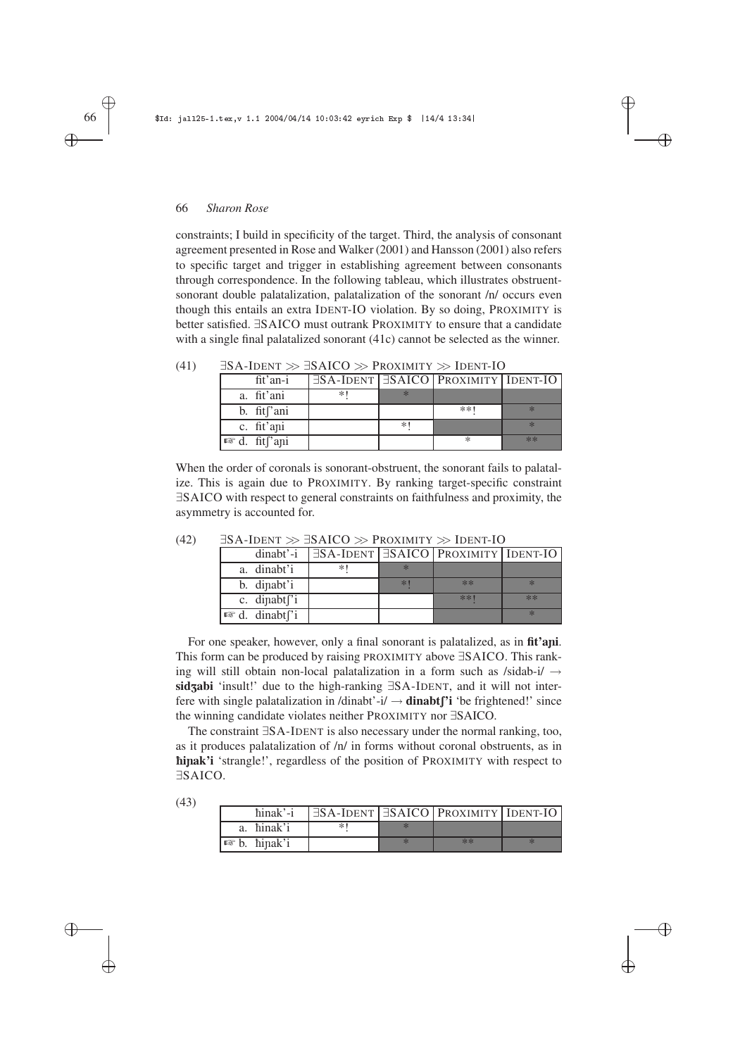constraints; I build in specificity of the target. Third, the analysis of consonant agreement presented in Rose and Walker (2001) and Hansson (2001) also refers to specific target and trigger in establishing agreement between consonants through correspondence. In the following tableau, which illustrates obstruentsonorant double palatalization, palatalization of the sonorant /n/ occurs even though this entails an extra IDENT-IO violation. By so doing, PROXIMITY is better satisfied. ∃SAICO must outrank PROXIMITY to ensure that a candidate with a single final palatalized sonorant (41c) cannot be selected as the winner.

✐

 $\oplus$ 

✐

✐

| $\mu$ Then $\gg$ DAICO $\gg$ I RUAIMILI $\gg$ IDENI-IO |    |      |                                                       |      |  |  |
|--------------------------------------------------------|----|------|-------------------------------------------------------|------|--|--|
| fit'an-i                                               |    |      | $\exists$ SA-IDENT $\exists$ SAICO PROXIMITY IDENT-IO |      |  |  |
| a. fit'ani                                             | *1 |      |                                                       |      |  |  |
| b. fit <sup>['</sup> ani                               |    |      | $**1$                                                 |      |  |  |
| c. fit'ani                                             |    | $*1$ |                                                       |      |  |  |
| $\mathbb{R}$ d. fit and                                |    |      | ∗                                                     | $**$ |  |  |

(41)  $\exists$ SA-IDENT  $\gg$   $\exists$ SAICO  $\gg$  Proximity  $\gg$  IDENT-IO

When the order of coronals is sonorant-obstruent, the sonorant fails to palatalize. This is again due to PROXIMITY. By ranking target-specific constraint ∃SAICO with respect to general constraints on faithfulness and proximity, the asymmetry is accounted for.

| $dinabt'-i$                            |    |     | $\exists$ SA-IDENT $\exists$ SAICO   PROXIMITY   IDENT-IO |        |
|----------------------------------------|----|-----|-----------------------------------------------------------|--------|
| a. dinabt'i                            | *1 |     |                                                           |        |
| b. dipabt'i                            |    | $*$ | **                                                        | $\ast$ |
| c. dipabt <sup>"</sup> i               |    |     | $* * 1$                                                   | $**$   |
| $\mathbb{R}$ d. dinabt <sup>r'</sup> i |    |     |                                                           |        |

(42) ∃SA-IDENT >> ∃SAICO >> PROXIMITY >> IDENT-IO

For one speaker, however, only a final sonorant is palatalized, as in **fit'ani**. This form can be produced by raising PROXIMITY above ∃SAICO. This ranking will still obtain non-local palatalization in a form such as  $/sidab-i/ \rightarrow$ sidzabi 'insult!' due to the high-ranking ∃SA-IDENT, and it will not interfere with single palatalization in /dinabt'-i/  $\rightarrow$  **dinabt**<sup> $\prime$ </sup>**i** 'be frightened!' since the winning candidate violates neither PROXIMITY nor ∃SAICO.

The constraint ∃SA-IDENT is also necessary under the normal ranking, too, as it produces palatalization of /n/ in forms without coronal obstruents, as in è**i**ñ**ak'i** 'strangle!', regardless of the position of PROXIMITY with respect to ∃SAICO.

✐

✐

| (43) |                         |                                                             |      |  |
|------|-------------------------|-------------------------------------------------------------|------|--|
|      | hinak'-i                | $ \exists$ SA-IDENT $ \exists$ SAICO   PROXIMITY   IDENT-IO |      |  |
|      | a. hinak'i              |                                                             |      |  |
|      | $\mathbb{R}$ b. hinak'i |                                                             | $**$ |  |

✐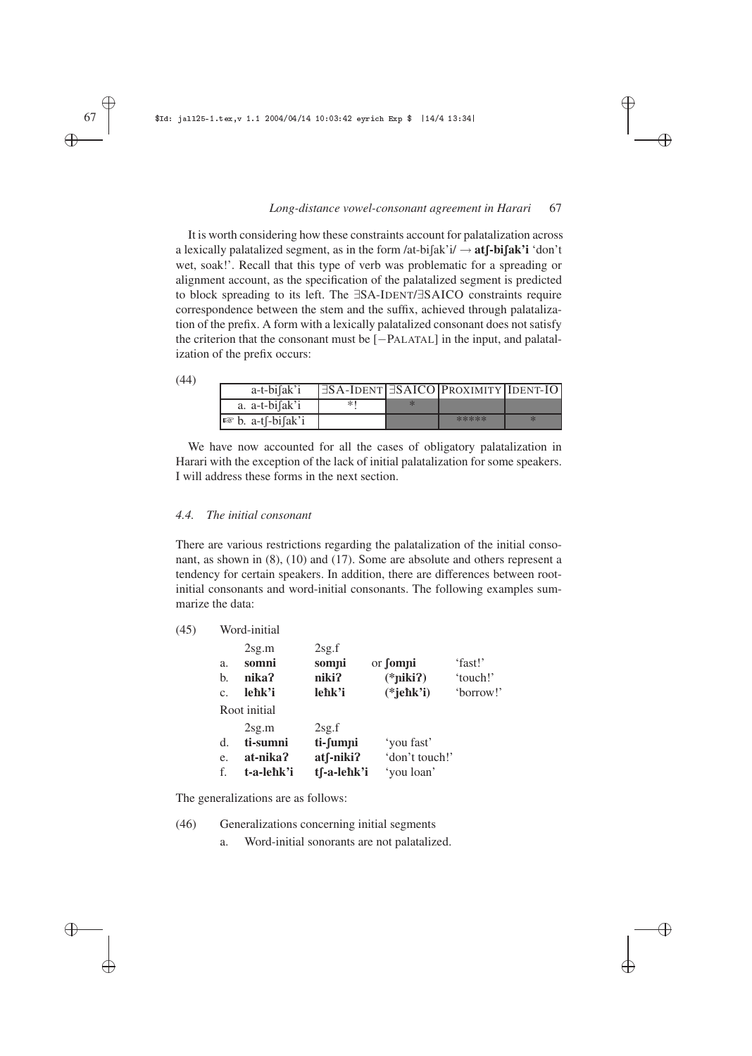✐

 $\oplus$ 

✐

✐

It is worth considering how these constraints account for palatalization across a lexically palatalized segment, as in the form  $\text{lat-bi}$   $\text{ak'i} \rightarrow \text{at}$  **f**-bi $\text{fab}$ **i** 'don't wet, soak!'. Recall that this type of verb was problematic for a spreading or alignment account, as the specification of the palatalized segment is predicted to block spreading to its left. The ∃SA-IDENT/∃SAICO constraints require correspondence between the stem and the suffix, achieved through palatalization of the prefix. A form with a lexically palatalized consonant does not satisfy the criterion that the consonant must be [−PALATAL] in the input, and palatalization of the prefix occurs:

| (44) |                                                     |                                          |       |  |
|------|-----------------------------------------------------|------------------------------------------|-------|--|
|      | $a-t-bi[ak']$                                       | ∃SA-IDENT  ∃SAICO   PROXIMITY   IDENT-IO |       |  |
|      | a. a-t-bifak'i                                      | *'                                       |       |  |
|      | $\sqrt{a^2 + b^2 + b^2}$ a-t $\int$ -bi $\int$ ak'i |                                          | ***** |  |

We have now accounted for all the cases of obligatory palatalization in Harari with the exception of the lack of initial palatalization for some speakers. I will address these forms in the next section.

#### *4.4. The initial consonant*

There are various restrictions regarding the palatalization of the initial consonant, as shown in (8), (10) and (17). Some are absolute and others represent a tendency for certain speakers. In addition, there are differences between rootinitial consonants and word-initial consonants. The following examples summarize the data:

| (45) | Word-initial   |                                                   |                                                  |                                              |                                  |  |  |
|------|----------------|---------------------------------------------------|--------------------------------------------------|----------------------------------------------|----------------------------------|--|--|
|      | a.<br>b.<br>c. | 2sg.m<br>somni<br>nika?<br>leħk'i<br>Root initial | 2sg.f<br>sompi<br>niki?<br>lehk'i                | or <b>fompi</b><br>$(*piki?)$<br>$(*jehk'i)$ | 'fast!'<br>'touch!'<br>'borrow!' |  |  |
|      | d.<br>e.<br>f. | 2sg.m<br>ti-sumni<br>at-nika?<br>t-a-lehk'i       | 2sg.f<br>ti-fumni<br>$at$ f-niki?<br>tf-a-lehk'i | 'you fast'<br>'don't touch!'<br>'you loan'   |                                  |  |  |

The generalizations are as follows:

(46) Generalizations concerning initial segments

a. Word-initial sonorants are not palatalized.

✐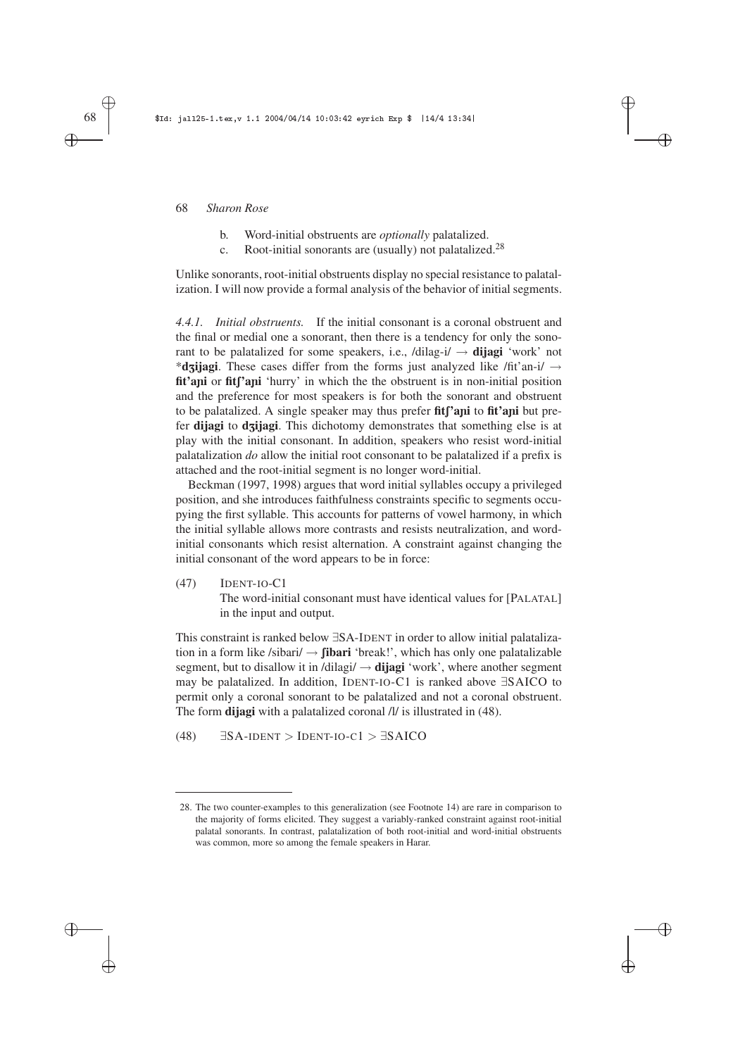- b. Word-initial obstruents are *optionally* palatalized.
- c. Root-initial sonorants are (usually) not palatalized.<sup>28</sup>

Unlike sonorants, root-initial obstruents display no special resistance to palatalization. I will now provide a formal analysis of the behavior of initial segments. ✐

✐

✐

✐

*4.4.1. Initial obstruents.* If the initial consonant is a coronal obstruent and the final or medial one a sonorant, then there is a tendency for only the sonorant to be palatalized for some speakers, i.e.,  $/di \log i / \rightarrow$  **dijagi** 'work' not \***dzijagi**. These cases differ from the forms just analyzed like /fit'an-i/ → fit'ani or fit<sup>'</sup>ani 'hurry' in which the the obstruent is in non-initial position and the preference for most speakers is for both the sonorant and obstruent to be palatalized. A single speaker may thus prefer fit<sup>['</sup>ani to fit<sup>'</sup>ani but prefer **dijagi** to **dzijagi**. This dichotomy demonstrates that something else is at play with the initial consonant. In addition, speakers who resist word-initial palatalization *do* allow the initial root consonant to be palatalized if a prefix is attached and the root-initial segment is no longer word-initial.

Beckman (1997, 1998) argues that word initial syllables occupy a privileged position, and she introduces faithfulness constraints specific to segments occupying the first syllable. This accounts for patterns of vowel harmony, in which the initial syllable allows more contrasts and resists neutralization, and wordinitial consonants which resist alternation. A constraint against changing the initial consonant of the word appears to be in force:

(47) IDENT-IO-C1

The word-initial consonant must have identical values for [PALATAL] in the input and output.

This constraint is ranked below ∃SA-IDENT in order to allow initial palatalization in a form like /sibari/  $\rightarrow$  **fibari** 'break!', which has only one palatalizable segment, but to disallow it in /dilagi/  $\rightarrow$  **dijagi** 'work', where another segment may be palatalized. In addition, IDENT-IO-C1 is ranked above ∃SAICO to permit only a coronal sonorant to be palatalized and not a coronal obstruent. The form **dijagi** with a palatalized coronal /l/ is illustrated in (48).

(48)  $\exists$ SA-IDENT > IDENT-IO-C1 >  $\exists$ SAICO

✐

✐

✐

<sup>28.</sup> The two counter-examples to this generalization (see Footnote 14) are rare in comparison to the majority of forms elicited. They suggest a variably-ranked constraint against root-initial palatal sonorants. In contrast, palatalization of both root-initial and word-initial obstruents was common, more so among the female speakers in Harar.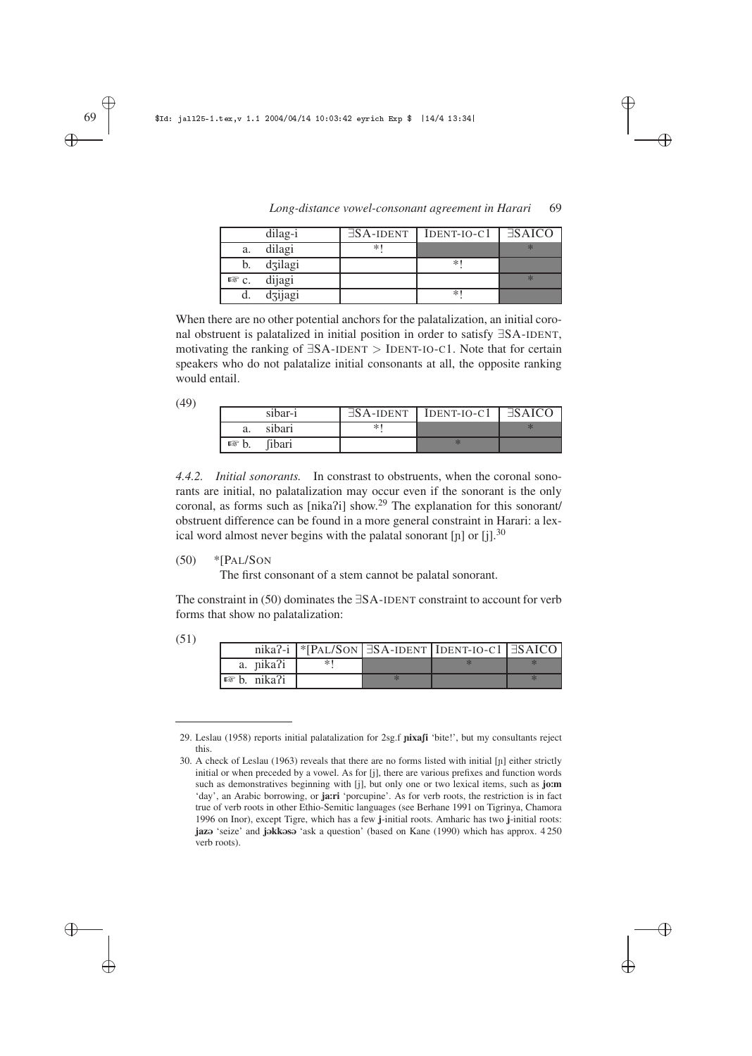|                 | dilag-i | $\exists$ SA-IDENT | $IDENT-IO-C1$ | $\exists$ SAICO |
|-----------------|---------|--------------------|---------------|-----------------|
| a.              | dilagi  | $\ast$             |               |                 |
| b.              | dzilagi |                    | $*$           |                 |
| $R \otimes C$ . | dijagi  |                    |               |                 |
|                 | dzijagi |                    | $*$           |                 |

*Long-distance vowel-consonant agreement in Harari* 69

✐

✐

✐

✐

When there are no other potential anchors for the palatalization, an initial coronal obstruent is palatalized in initial position in order to satisfy ∃SA-IDENT, motivating the ranking of ∃SA-IDENT > IDENT-IO-C1. Note that for certain speakers who do not palatalize initial consonants at all, the opposite ranking would entail.

| (49) |                 |         |        |                                                    |  |
|------|-----------------|---------|--------|----------------------------------------------------|--|
|      |                 | sibar-i |        | $\exists$ SA-IDENT   IDENT-IO-C1   $\exists$ SAICO |  |
|      | a.              | sibari  | $\ast$ |                                                    |  |
|      | $\mathbb{R}$ b. | fibari  |        |                                                    |  |

*4.4.2. Initial sonorants.* In constrast to obstruents, when the coronal sonorants are initial, no palatalization may occur even if the sonorant is the only coronal, as forms such as [nika?i] show.<sup>29</sup> The explanation for this sonorant/ obstruent difference can be found in a more general constraint in Harari: a lexical word almost never begins with the palatal sonorant [ $\text{p}$ ] or [j].<sup>30</sup>

 $(50)$  \*[P<sub>AL</sub>/S<sub>ON</sub>

The first consonant of a stem cannot be palatal sonorant.

The constraint in (50) dominates the ∃SA-IDENT constraint to account for verb forms that show no palatalization:

✐

✐

| (51) |                        |  |                                                                          |  |
|------|------------------------|--|--------------------------------------------------------------------------|--|
|      |                        |  | nika?-i   *[PAL/SON   $\exists$ SA-IDENT   IDENT-IO-C1   $\exists$ SAICO |  |
|      | a. nika?i              |  |                                                                          |  |
|      | $\mathbb{R}$ b. nika?i |  |                                                                          |  |

<sup>29.</sup> Leslau (1958) reports initial palatalization for 2sg.f pixafi 'bite!', but my consultants reject this.

✐

<sup>30.</sup> A check of Leslau (1963) reveals that there are no forms listed with initial [ñ] either strictly initial or when preceded by a vowel. As for [j], there are various prefixes and function words such as demonstratives beginning with [j], but only one or two lexical items, such as **jo**:**m** 'day', an Arabic borrowing, or **ja**:**ri** 'porcupine'. As for verb roots, the restriction is in fact true of verb roots in other Ethio-Semitic languages (see Berhane 1991 on Tigrinya, Chamora 1996 on Inor), except Tigre, which has a few **j**-initial roots. Amharic has two **j**-initial roots: **jaz** 'seize' and **j**okkoso 'ask a question' (based on Kane (1990) which has approx. 4 250 verb roots).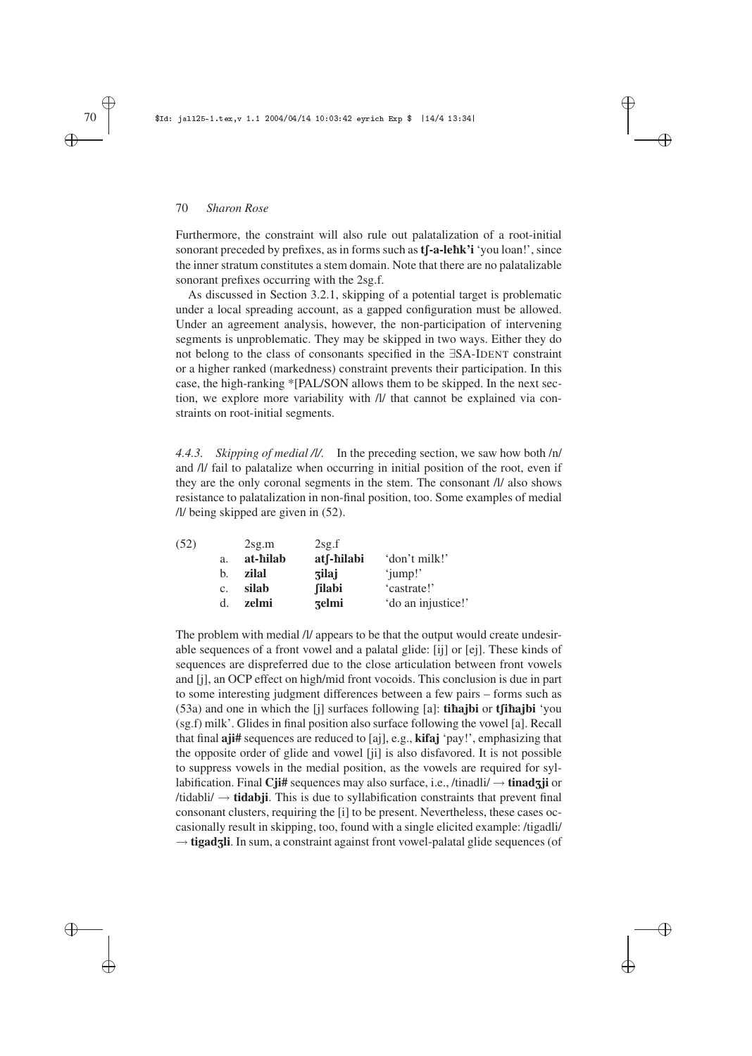Furthermore, the constraint will also rule out palatalization of a root-initial sonorant preceded by prefixes, as in forms such as **t** $\int$ **-a-lehk'i** 'you loan!', since the inner stratum constitutes a stem domain. Note that there are no palatalizable sonorant prefixes occurring with the 2sg.f.

✐

✐

✐

✐

As discussed in Section 3.2.1, skipping of a potential target is problematic under a local spreading account, as a gapped configuration must be allowed. Under an agreement analysis, however, the non-participation of intervening segments is unproblematic. They may be skipped in two ways. Either they do not belong to the class of consonants specified in the ∃SA-IDENT constraint or a higher ranked (markedness) constraint prevents their participation. In this case, the high-ranking \*[PAL/SON allows them to be skipped. In the next section, we explore more variability with /l/ that cannot be explained via constraints on root-initial segments.

*4.4.3. Skipping of medial /l/.* In the preceding section, we saw how both /n/ and /l/ fail to palatalize when occurring in initial position of the root, even if they are the only coronal segments in the stem. The consonant /l/ also shows resistance to palatalization in non-final position, too. Some examples of medial /l/ being skipped are given in (52).

|             | 2sg.m    | 2sg.f         |                    |
|-------------|----------|---------------|--------------------|
| a.          | at-hilab | atf-hilabi    | 'don't milk!'      |
| b.          | zilal    | <b>zilaj</b>  | 'jump!'            |
| $C_{\star}$ | silab    | <b>filabi</b> | 'castrate!'        |
| d.          | zelmi    | zelmi         | 'do an injustice!' |
|             |          |               |                    |

The problem with medial /l/ appears to be that the output would create undesirable sequences of a front vowel and a palatal glide: [ij] or [ej]. These kinds of sequences are dispreferred due to the close articulation between front vowels and [j], an OCP effect on high/mid front vocoids. This conclusion is due in part to some interesting judgment differences between a few pairs – forms such as  $(53a)$  and one in which the  $[i]$  surfaces following  $[a]$ : **tihajbi** or **t** $[i$ **hajbi** 'you (sg.f) milk'. Glides in final position also surface following the vowel [a]. Recall that final **aji#** sequences are reduced to [aj], e.g., **kifaj** 'pay!', emphasizing that the opposite order of glide and vowel [ji] is also disfavored. It is not possible to suppress vowels in the medial position, as the vowels are required for syllabification. Final **Cji#** sequences may also surface, i.e., /tinadli/ → **tinad**Z**ji** or  $\ell$ tidabli $\ell \rightarrow$  **tidabji**. This is due to syllabification constraints that prevent final consonant clusters, requiring the [i] to be present. Nevertheless, these cases occasionally result in skipping, too, found with a single elicited example: /tigadli/ → **tigadzli**. In sum, a constraint against front vowel-palatal glide sequences (of

# ✐ ✐

✐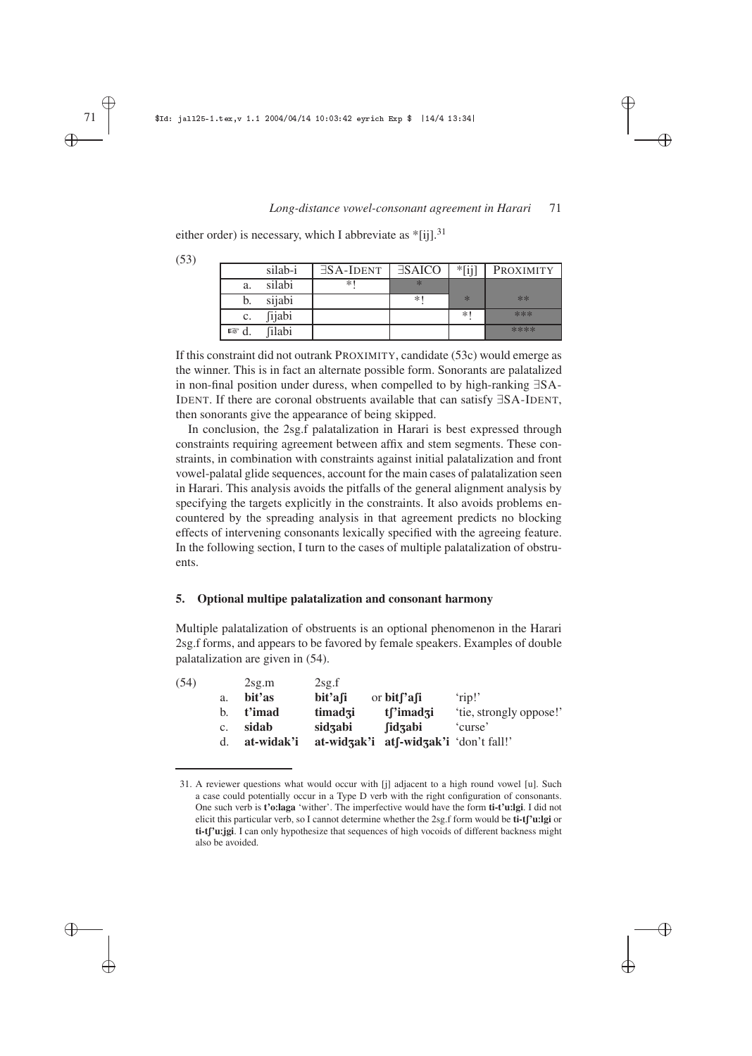✐

✐

✐

✐

either order) is necessary, which I abbreviate as  $*$ [ij].<sup>31</sup>

| (53) |                |               |                    |               |          |           |
|------|----------------|---------------|--------------------|---------------|----------|-----------|
|      |                | silab-i       | $\exists$ SA-IDENT | <b>ESAICO</b> | $*$ [ij] | PROXIMITY |
|      | a.             | silabi        | $*1$               | $\ast$        |          |           |
|      |                | sijabi        |                    | $\ast$        | $\ast$   | **        |
|      | c.             | <i>fijabi</i> |                    |               | $*1$     | ***       |
|      | $\mathbb{R}$ d | filabi        |                    |               |          | ****      |

If this constraint did not outrank PROXIMITY, candidate (53c) would emerge as the winner. This is in fact an alternate possible form. Sonorants are palatalized in non-final position under duress, when compelled to by high-ranking ∃SA-IDENT. If there are coronal obstruents available that can satisfy ∃SA-IDENT, then sonorants give the appearance of being skipped.

In conclusion, the 2sg.f palatalization in Harari is best expressed through constraints requiring agreement between affix and stem segments. These constraints, in combination with constraints against initial palatalization and front vowel-palatal glide sequences, account for the main cases of palatalization seen in Harari. This analysis avoids the pitfalls of the general alignment analysis by specifying the targets explicitly in the constraints. It also avoids problems encountered by the spreading analysis in that agreement predicts no blocking effects of intervening consonants lexically specified with the agreeing feature. In the following section, I turn to the cases of multiple palatalization of obstruents.

## **5. Optional multipe palatalization and consonant harmony**

Multiple palatalization of obstruents is an optional phenomenon in the Harari 2sg.f forms, and appears to be favored by female speakers. Examples of double palatalization are given in (54).

|                | 2sg.m      | 2sg.f   |                       |                                                                                              |
|----------------|------------|---------|-----------------------|----------------------------------------------------------------------------------------------|
| a.             | bit'as     | bit'afi |                       | 'rip!'                                                                                       |
| b.             | t'imad     | timadzi | tsimad <sub>3</sub> i | 'tie, strongly oppose!'                                                                      |
| $\mathbf{c}$ . | sidab      | sidzabi | fidzabi               | 'curse'                                                                                      |
| d.             | at-widak'i |         |                       |                                                                                              |
|                |            |         |                       | or $bit$ <sup>['afi']</sup><br>$at\text{-}widz{gak'i}$ $at\text{-}widz{gak'i}$ 'don't fall!' |

<sup>31.</sup> A reviewer questions what would occur with [j] adjacent to a high round vowel [u]. Such a case could potentially occur in a Type D verb with the right configuration of consonants. One such verb is **t'o**:**laga** 'wither'. The imperfective would have the form **ti-t'u**:**lgi**. I did not elicit this particular verb, so I cannot determine whether the 2sg.f form would be **ti-t** $\int$ 'u:lgi or ti-t<sub>I</sub>'u:jgi. I can only hypothesize that sequences of high vocoids of different backness might also be avoided.

✐

✐

✐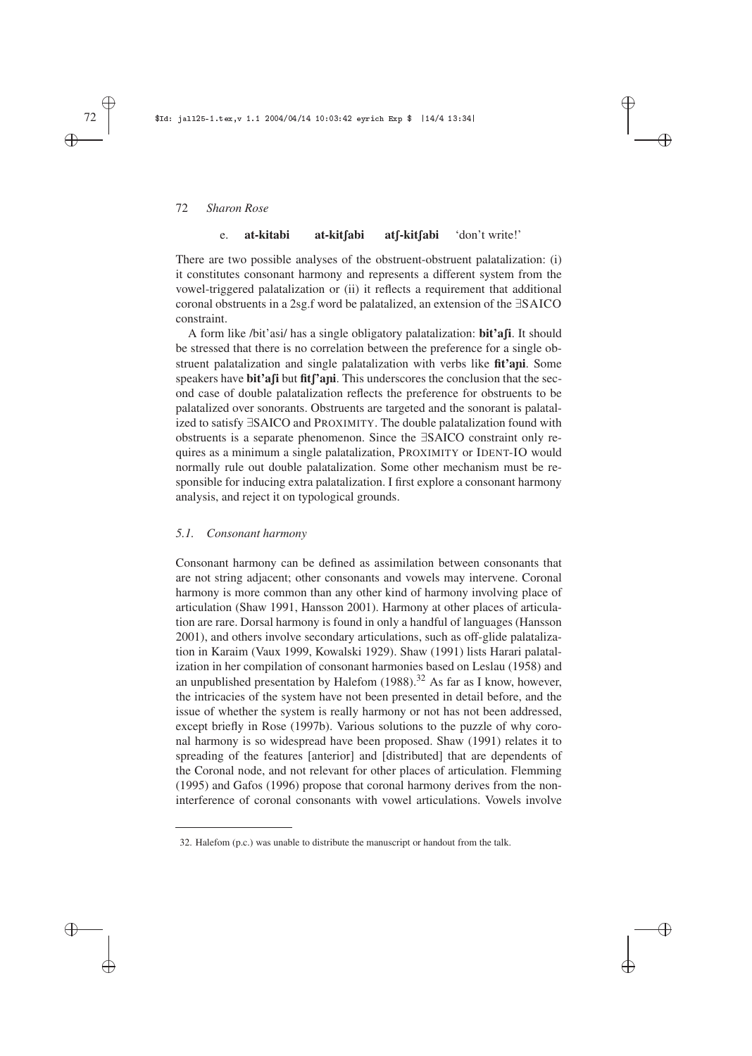#### e. **at-kitabi at-kit**[abi at[-kit[abi 'don't write!'

✐

✐

✐

✐

There are two possible analyses of the obstruent-obstruent palatalization: (i) it constitutes consonant harmony and represents a different system from the vowel-triggered palatalization or (ii) it reflects a requirement that additional coronal obstruents in a 2sg.f word be palatalized, an extension of the ∃SAICO constraint.

A form like /bit'asi/ has a single obligatory palatalization: **bit'a** $\boldsymbol{\beta}$ **i**. It should be stressed that there is no correlation between the preference for a single obstruent palatalization and single palatalization with verbs like **fit'a**ñ**i**. Some speakers have **bit'a**fi but fit<sup>'</sup>ani. This underscores the conclusion that the second case of double palatalization reflects the preference for obstruents to be palatalized over sonorants. Obstruents are targeted and the sonorant is palatalized to satisfy ∃SAICO and PROXIMITY. The double palatalization found with obstruents is a separate phenomenon. Since the ∃SAICO constraint only requires as a minimum a single palatalization, PROXIMITY or IDENT-IO would normally rule out double palatalization. Some other mechanism must be responsible for inducing extra palatalization. I first explore a consonant harmony analysis, and reject it on typological grounds.

# *5.1. Consonant harmony*

Consonant harmony can be defined as assimilation between consonants that are not string adjacent; other consonants and vowels may intervene. Coronal harmony is more common than any other kind of harmony involving place of articulation (Shaw 1991, Hansson 2001). Harmony at other places of articulation are rare. Dorsal harmony is found in only a handful of languages (Hansson 2001), and others involve secondary articulations, such as off-glide palatalization in Karaim (Vaux 1999, Kowalski 1929). Shaw (1991) lists Harari palatalization in her compilation of consonant harmonies based on Leslau (1958) and an unpublished presentation by Halefom  $(1988)$ .<sup>32</sup> As far as I know, however, the intricacies of the system have not been presented in detail before, and the issue of whether the system is really harmony or not has not been addressed, except briefly in Rose (1997b). Various solutions to the puzzle of why coronal harmony is so widespread have been proposed. Shaw (1991) relates it to spreading of the features [anterior] and [distributed] that are dependents of the Coronal node, and not relevant for other places of articulation. Flemming (1995) and Gafos (1996) propose that coronal harmony derives from the noninterference of coronal consonants with vowel articulations. Vowels involve

✐ ✐

✐

<sup>32.</sup> Halefom (p.c.) was unable to distribute the manuscript or handout from the talk.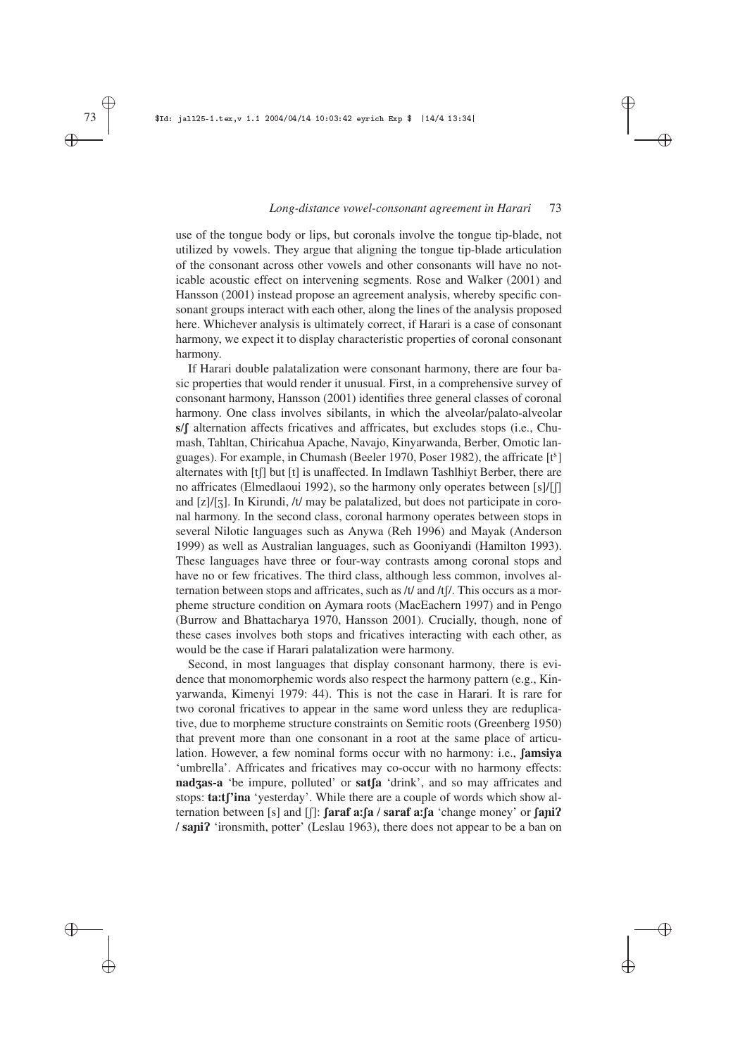✐

✐

✐

✐

use of the tongue body or lips, but coronals involve the tongue tip-blade, not utilized by vowels. They argue that aligning the tongue tip-blade articulation of the consonant across other vowels and other consonants will have no noticable acoustic effect on intervening segments. Rose and Walker (2001) and Hansson (2001) instead propose an agreement analysis, whereby specific consonant groups interact with each other, along the lines of the analysis proposed here. Whichever analysis is ultimately correct, if Harari is a case of consonant harmony, we expect it to display characteristic properties of coronal consonant harmony.

If Harari double palatalization were consonant harmony, there are four basic properties that would render it unusual. First, in a comprehensive survey of consonant harmony, Hansson (2001) identifies three general classes of coronal harmony. One class involves sibilants, in which the alveolar/palato-alveolar s/f alternation affects fricatives and affricates, but excludes stops (i.e., Chumash, Tahltan, Chiricahua Apache, Navajo, Kinyarwanda, Berber, Omotic languages). For example, in Chumash (Beeler 1970, Poser 1982), the affricate [t<sup>s</sup>] alternates with  $[t]$  but  $[t]$  is unaffected. In Imdlawn Tashlhiyt Berber, there are no affricates (Elmedlaoui 1992), so the harmony only operates between [s]/[f] and  $[z]/[z]$ . In Kirundi, /t/ may be palatalized, but does not participate in coronal harmony. In the second class, coronal harmony operates between stops in several Nilotic languages such as Anywa (Reh 1996) and Mayak (Anderson 1999) as well as Australian languages, such as Gooniyandi (Hamilton 1993). These languages have three or four-way contrasts among coronal stops and have no or few fricatives. The third class, although less common, involves alternation between stops and affricates, such as  $/t/$  and  $/t/$ . This occurs as a morpheme structure condition on Aymara roots (MacEachern 1997) and in Pengo (Burrow and Bhattacharya 1970, Hansson 2001). Crucially, though, none of these cases involves both stops and fricatives interacting with each other, as would be the case if Harari palatalization were harmony.

Second, in most languages that display consonant harmony, there is evidence that monomorphemic words also respect the harmony pattern (e.g., Kinyarwanda, Kimenyi 1979: 44). This is not the case in Harari. It is rare for two coronal fricatives to appear in the same word unless they are reduplicative, due to morpheme structure constraints on Semitic roots (Greenberg 1950) that prevent more than one consonant in a root at the same place of articulation. However, a few nominal forms occur with no harmony: i.e., **famsiya** 'umbrella'. Affricates and fricatives may co-occur with no harmony effects: **nadzas-a** 'be impure, polluted' or **sat**[a 'drink', and so may affricates and stops: **ta:t**['ina 'yesterday'. While there are a couple of words which show al**ternation between** [s] and  $\left[\right]$ : **faraf a**: **fa** / **saraf a**: **fa** 'change money' or **fani**P / **sa**ñ**i**P 'ironsmith, potter' (Leslau 1963), there does not appear to be a ban on

✐ ✐

✐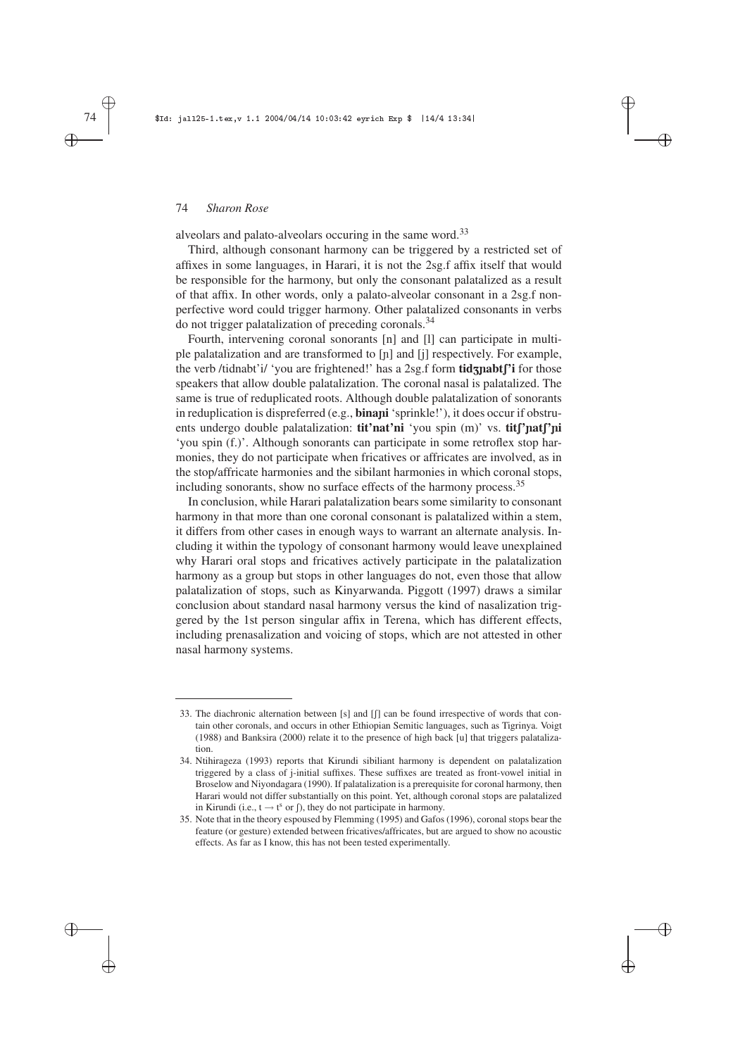alveolars and palato-alveolars occuring in the same word.<sup>33</sup>

Third, although consonant harmony can be triggered by a restricted set of affixes in some languages, in Harari, it is not the 2sg.f affix itself that would be responsible for the harmony, but only the consonant palatalized as a result of that affix. In other words, only a palato-alveolar consonant in a 2sg.f nonperfective word could trigger harmony. Other palatalized consonants in verbs do not trigger palatalization of preceding coronals.<sup>34</sup>

✐

✐

✐

✐

Fourth, intervening coronal sonorants [n] and [l] can participate in multiple palatalization and are transformed to [ñ] and [j] respectively. For example, the verb /tidnabt'i/ 'you are frightened!' has a 2sg.f form **tid**znabt<sup>r'</sup>i for those speakers that allow double palatalization. The coronal nasal is palatalized. The same is true of reduplicated roots. Although double palatalization of sonorants in reduplication is dispreferred (e.g., **bina**ñ**i** 'sprinkle!'), it does occur if obstruents undergo double palatalization: **tit'nat'ni** 'you spin (m)' vs. **tit**['nat['ni 'you spin (f.)'. Although sonorants can participate in some retroflex stop harmonies, they do not participate when fricatives or affricates are involved, as in the stop/affricate harmonies and the sibilant harmonies in which coronal stops, including sonorants, show no surface effects of the harmony process.<sup>35</sup>

In conclusion, while Harari palatalization bears some similarity to consonant harmony in that more than one coronal consonant is palatalized within a stem, it differs from other cases in enough ways to warrant an alternate analysis. Including it within the typology of consonant harmony would leave unexplained why Harari oral stops and fricatives actively participate in the palatalization harmony as a group but stops in other languages do not, even those that allow palatalization of stops, such as Kinyarwanda. Piggott (1997) draws a similar conclusion about standard nasal harmony versus the kind of nasalization triggered by the 1st person singular affix in Terena, which has different effects, including prenasalization and voicing of stops, which are not attested in other nasal harmony systems.

✐ ✐

✐

<sup>33.</sup> The diachronic alternation between  $[s]$  and  $[]$  can be found irrespective of words that contain other coronals, and occurs in other Ethiopian Semitic languages, such as Tigrinya. Voigt (1988) and Banksira (2000) relate it to the presence of high back [u] that triggers palatalization.

<sup>34.</sup> Ntihirageza (1993) reports that Kirundi sibiliant harmony is dependent on palatalization triggered by a class of j-initial suffixes. These suffixes are treated as front-vowel initial in Broselow and Niyondagara (1990). If palatalization is a prerequisite for coronal harmony, then Harari would not differ substantially on this point. Yet, although coronal stops are palatalized in Kirundi (i.e.,  $t \rightarrow t^s$  or  $\int$ ), they do not participate in harmony.

<sup>35.</sup> Note that in the theory espoused by Flemming (1995) and Gafos (1996), coronal stops bear the feature (or gesture) extended between fricatives/affricates, but are argued to show no acoustic effects. As far as I know, this has not been tested experimentally.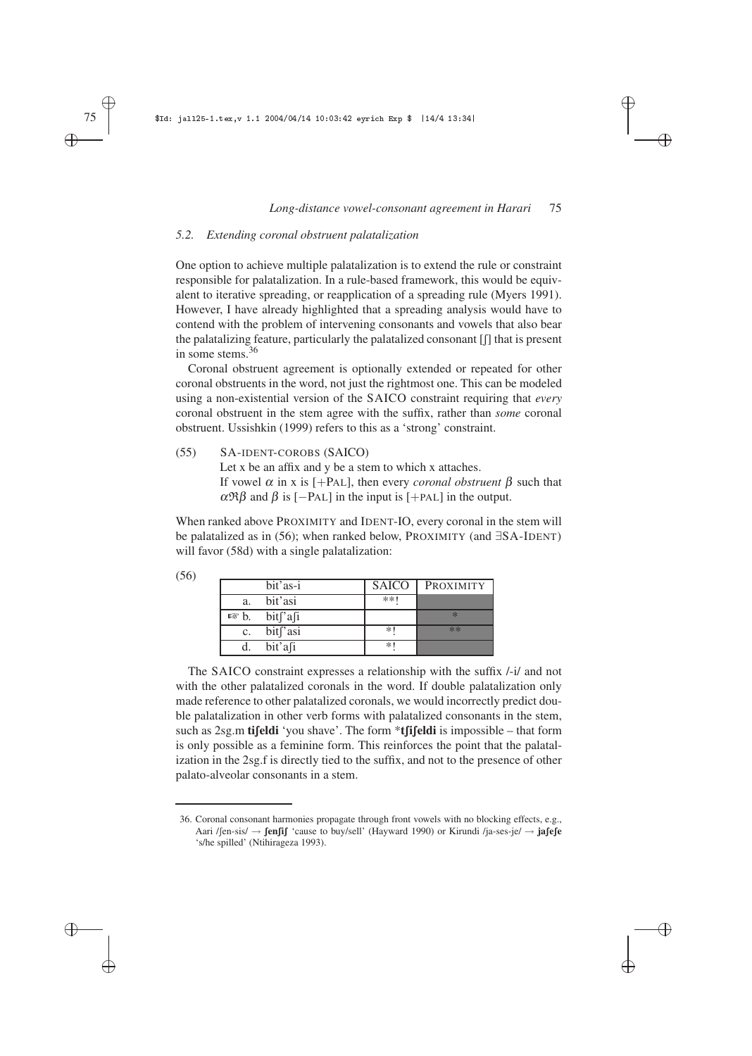✐

✐

✐

✐

# *5.2. Extending coronal obstruent palatalization*

One option to achieve multiple palatalization is to extend the rule or constraint responsible for palatalization. In a rule-based framework, this would be equivalent to iterative spreading, or reapplication of a spreading rule (Myers 1991). However, I have already highlighted that a spreading analysis would have to contend with the problem of intervening consonants and vowels that also bear the palatalizing feature, particularly the palatalized consonant [f] that is present in some stems.<sup>36</sup>

Coronal obstruent agreement is optionally extended or repeated for other coronal obstruents in the word, not just the rightmost one. This can be modeled using a non-existential version of the SAICO constraint requiring that *every* coronal obstruent in the stem agree with the suffix, rather than *some* coronal obstruent. Ussishkin (1999) refers to this as a 'strong' constraint.

(55) SA-IDENT-COROBS (SAICO) Let x be an affix and y be a stem to which x attaches. If vowel <sup>α</sup> in x is [+PAL], then every *coronal obstruent* β such that  $\alpha \mathfrak{R} \beta$  and  $\beta$  is [-PAL] in the input is [+PAL] in the output.

When ranked above PROXIMITY and IDENT-IO, every coronal in the stem will be palatalized as in (56); when ranked below, PROXIMITY (and ∃SA-IDENT) will favor (58d) with a single palatalization:

| (56) |                 |                      |              |           |
|------|-----------------|----------------------|--------------|-----------|
|      |                 | bit'as-i             | <b>SAICO</b> | PROXIMITY |
|      | a.              | bit'asi              | $**1$        |           |
|      | $\mathbb{R}$ b. | bit['a[i]            |              | $*$       |
|      | $\mathbf{c}$ .  | bit <sup>r</sup> asi | *            | **        |
|      |                 | bit'afi              | *            |           |

The SAICO constraint expresses a relationship with the suffix /-i/ and not with the other palatalized coronals in the word. If double palatalization only made reference to other palatalized coronals, we would incorrectly predict double palatalization in other verb forms with palatalized consonants in the stem, such as 2sg.m **tifeldi** 'you shave'. The form \***tfifeldi** is impossible – that form is only possible as a feminine form. This reinforces the point that the palatalization in the 2sg.f is directly tied to the suffix, and not to the presence of other palato-alveolar consonants in a stem.

✐ ✐

✐

<sup>36.</sup> Coronal consonant harmonies propagate through front vowels with no blocking effects, e.g., Aari /fen-sis/  $\rightarrow$  **fenfif** 'cause to buy/sell' (Hayward 1990) or Kirundi /ja-ses-je/  $\rightarrow$  **jafefe** 's/he spilled' (Ntihirageza 1993).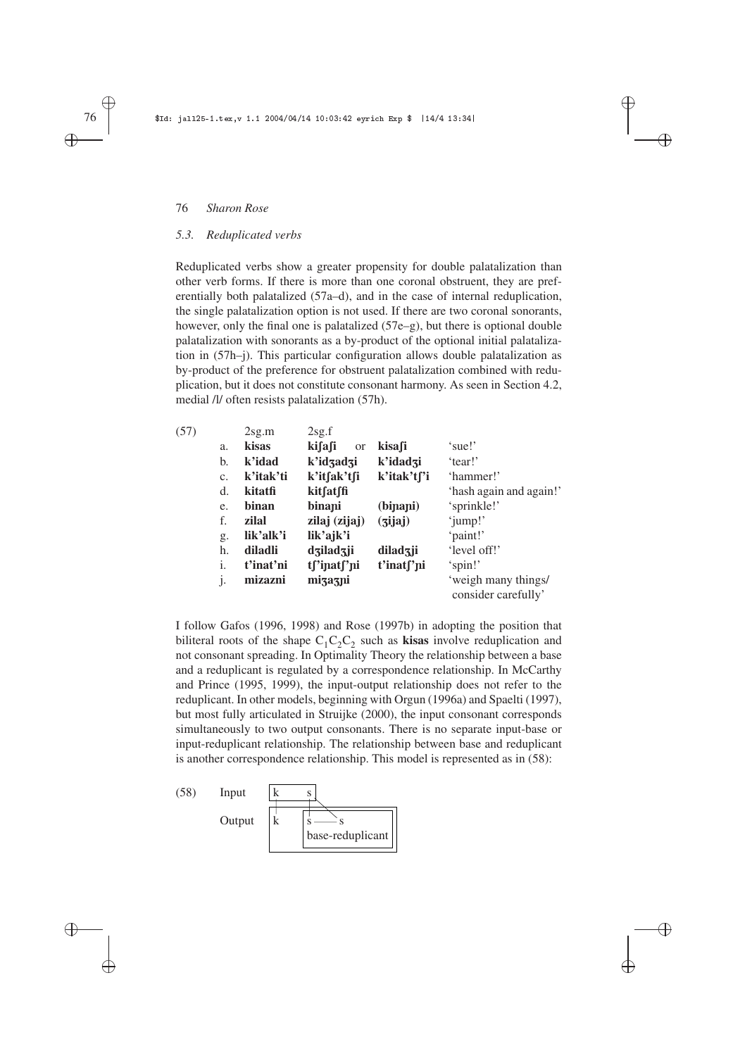# *5.3. Reduplicated verbs*

Reduplicated verbs show a greater propensity for double palatalization than other verb forms. If there is more than one coronal obstruent, they are preferentially both palatalized (57a–d), and in the case of internal reduplication, the single palatalization option is not used. If there are two coronal sonorants, however, only the final one is palatalized (57e–g), but there is optional double palatalization with sonorants as a by-product of the optional initial palatalization in (57h–j). This particular configuration allows double palatalization as by-product of the preference for obstruent palatalization combined with reduplication, but it does not constitute consonant harmony. As seen in Section 4.2, medial /l/ often resists palatalization (57h).

✐

 $\oplus$ 

✐

✐

| (57) |                | 2sg.m     | 2sg.f                   |                        |                                            |
|------|----------------|-----------|-------------------------|------------------------|--------------------------------------------|
|      | a.             | kisas     | kifafi<br><sub>or</sub> | kisafi                 | 'sue!'                                     |
|      | b.             | k'idad    | k'idzadzi               | k'idadzi               | 'tear!'                                    |
|      | C <sub>1</sub> | k'itak'ti | k'itfak'tfi             | k'itak't∫'i            | 'hammer!'                                  |
|      | d.             | kitatfi   | kitfatffi               |                        | 'hash again and again!'                    |
|      | e.             | binan     | binani                  | (binani)               | 'sprinkle!'                                |
|      | f.             | zilal     | zilaj (zijaj)           | (jijaj)                | 'jump!'                                    |
|      | g.             | lik'alk'i | lik'ajk'i               |                        | 'paint!'                                   |
|      | h.             | diladli   | dziladzji               | diladzji               | 'level off!'                               |
|      | i.             | t'inat'ni | tf'inatf'ni             | t'inat <sub>['ni</sub> | 'spin!'                                    |
|      | $\cdot$        | mizazni   | mizazni                 |                        | 'weigh many things/<br>consider carefully' |

I follow Gafos (1996, 1998) and Rose (1997b) in adopting the position that biliteral roots of the shape  $C_1C_2C_2$  such as **kisas** involve reduplication and not consonant spreading. In Optimality Theory the relationship between a base and a reduplicant is regulated by a correspondence relationship. In McCarthy and Prince (1995, 1999), the input-output relationship does not refer to the reduplicant. In other models, beginning with Orgun (1996a) and Spaelti (1997), but most fully articulated in Struijke (2000), the input consonant corresponds simultaneously to two output consonants. There is no separate input-base or input-reduplicant relationship. The relationship between base and reduplicant is another correspondence relationship. This model is represented as in (58):



✐ ✐

✐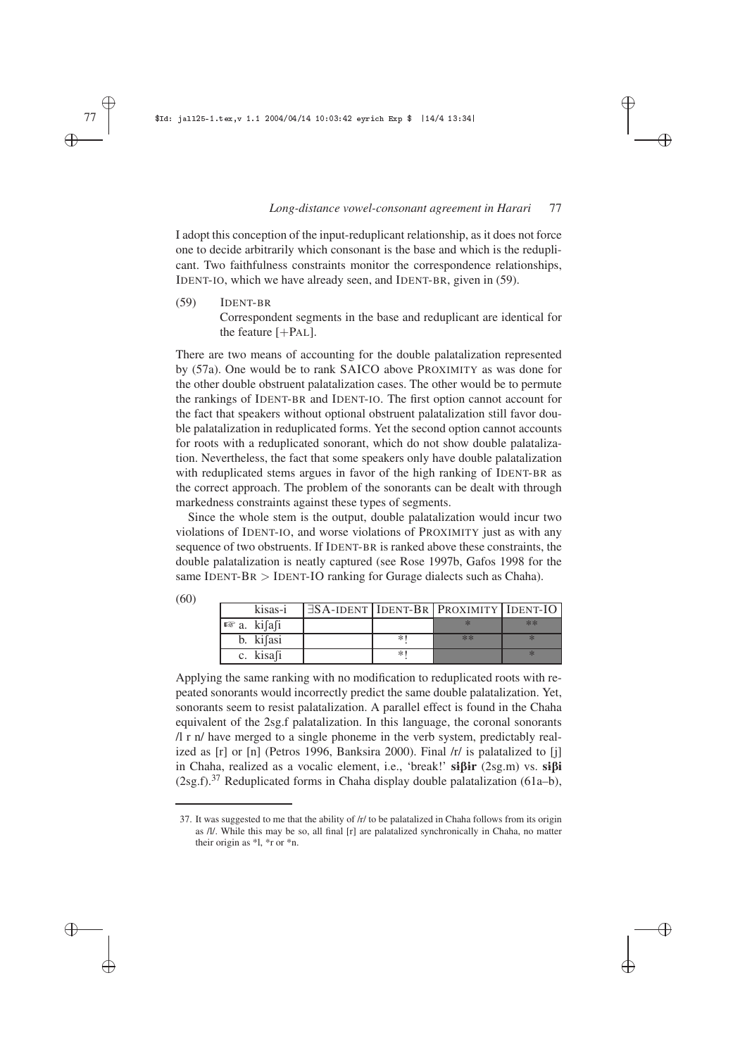✐

✐

✐

✐

I adopt this conception of the input-reduplicant relationship, as it does not force one to decide arbitrarily which consonant is the base and which is the reduplicant. Two faithfulness constraints monitor the correspondence relationships, IDENT-IO, which we have already seen, and IDENT-BR, given in (59).

(59) IDENT-BR Correspondent segments in the base and reduplicant are identical for the feature  $[+PAL]$ .

There are two means of accounting for the double palatalization represented by (57a). One would be to rank SAICO above PROXIMITY as was done for the other double obstruent palatalization cases. The other would be to permute the rankings of IDENT-BR and IDENT-IO. The first option cannot account for the fact that speakers without optional obstruent palatalization still favor double palatalization in reduplicated forms. Yet the second option cannot accounts for roots with a reduplicated sonorant, which do not show double palatalization. Nevertheless, the fact that some speakers only have double palatalization with reduplicated stems argues in favor of the high ranking of IDENT-BR as the correct approach. The problem of the sonorants can be dealt with through markedness constraints against these types of segments.

Since the whole stem is the output, double palatalization would incur two violations of IDENT-IO, and worse violations of PROXIMITY just as with any sequence of two obstruents. If IDENT-BR is ranked above these constraints, the double palatalization is neatly captured (see Rose 1997b, Gafos 1998 for the same IDENT-BR  $>$  IDENT-IO ranking for Gurage dialects such as Chaha).

| (60) |                        |        |                                                      |      |
|------|------------------------|--------|------------------------------------------------------|------|
|      | kisas-i                |        | $\exists$ SA-IDENT   IDENT-BR   PROXIMITY   IDENT-IO |      |
|      | $\mathbb{R}$ a. kifafi |        |                                                      | $**$ |
|      | b. kifasi              | $\ast$ | **                                                   |      |
|      | c. kisafi              | $*$ '  |                                                      |      |

Applying the same ranking with no modification to reduplicated roots with repeated sonorants would incorrectly predict the same double palatalization. Yet, sonorants seem to resist palatalization. A parallel effect is found in the Chaha equivalent of the 2sg.f palatalization. In this language, the coronal sonorants /l r n/ have merged to a single phoneme in the verb system, predictably realized as [r] or [n] (Petros 1996, Banksira 2000). Final /r/ is palatalized to [j] in Chaha, realized as a vocalic element, i.e., 'break!' **s**1B1**r** (2sg.m) vs. **s**1B**i**  $(2sg.f).<sup>37</sup>$  Reduplicated forms in Chaha display double palatalization (61a–b),

✐ ✐

✐

<sup>37.</sup> It was suggested to me that the ability of /r/ to be palatalized in Chaha follows from its origin as /l/. While this may be so, all final [r] are palatalized synchronically in Chaha, no matter their origin as \*l, \*r or \*n.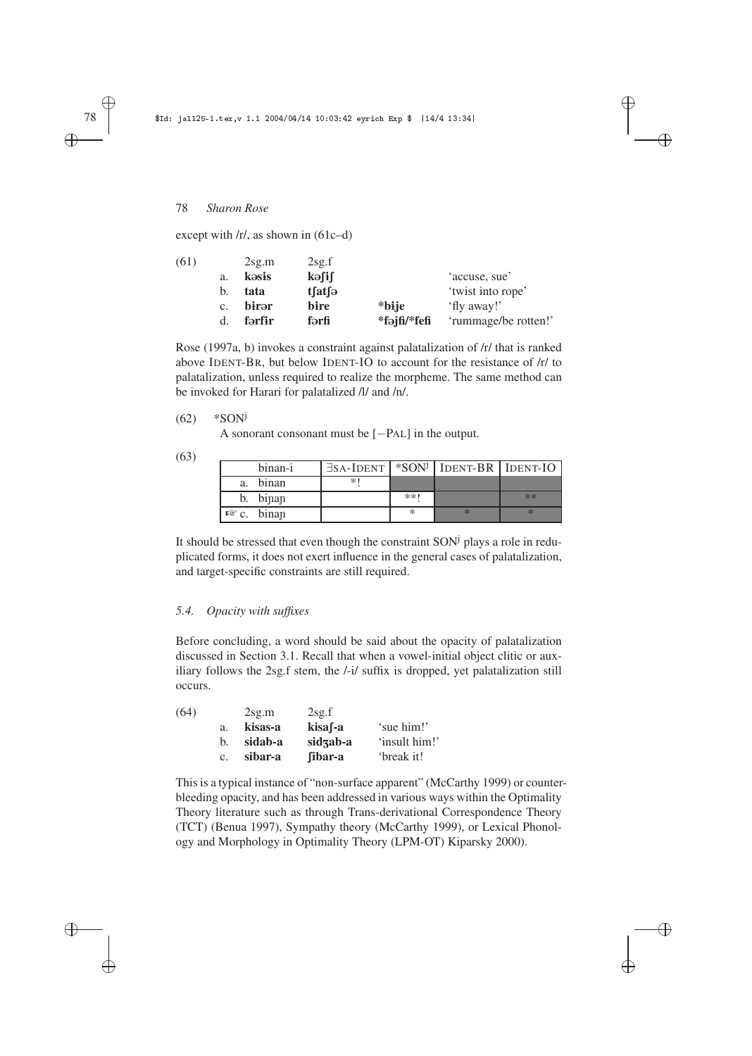except with  $\frac{r}{\pi}$ , as shown in (61c–d)

| (61) |                | 2sg.m  | 2sg.f             |              |                      |
|------|----------------|--------|-------------------|--------------|----------------------|
|      | a.             | kəsis  | kə∫i∫             |              | 'accuse, sue'        |
|      | b.             | tata   | $t$ fatf $\Theta$ |              | 'twist into rope'    |
|      | $\mathbf{c}$ . | birər  | bire              | *biie        | 'fly away!'          |
|      | d.             | fərfir | fərfi             | *fəjfi/*fefi | 'rummage/be rotten!' |
|      |                |        |                   |              |                      |

✐

 $\oplus$ 

✐

✐

Rose (1997a, b) invokes a constraint against palatalization of /r/ that is ranked above IDENT-BR, but below IDENT-IO to account for the resistance of /r/ to palatalization, unless required to realize the morpheme. The same method can be invoked for Harari for palatalized /l/ and /n/.

 $(62)$  \*SON<sup>j</sup>

A sonorant consonant must be [−PAL] in the output.

(63)

|    | binan-i                 | $\exists$ sa-Ident   *SON <sup>j</sup>   Ident-BR   Ident-IO |       |      |
|----|-------------------------|--------------------------------------------------------------|-------|------|
| a. | binan                   | $\ast$                                                       |       |      |
|    | b. binan                |                                                              | $**1$ | $**$ |
|    | $\mathbb{R}^n$ c. binan |                                                              |       |      |

It should be stressed that even though the constraint  $SON<sup>j</sup>$  plays a role in reduplicated forms, it does not exert influence in the general cases of palatalization, and target-specific constraints are still required.

# *5.4. Opacity with suffixes*

Before concluding, a word should be said about the opacity of palatalization discussed in Section 3.1. Recall that when a vowel-initial object clitic or auxiliary follows the 2sg.f stem, the /-i/ suffix is dropped, yet palatalization still occurs.

| (64) |             | 2sg.m   | 2sg.f    |               |
|------|-------------|---------|----------|---------------|
|      | a.          | kisas-a | kisa f-a | 'sue him!'    |
|      | b.          | sidab-a | sidzab-a | 'insult him!' |
|      | $c_{\cdot}$ | sibar-a | fibar-a  | 'break it!    |

This is a typical instance of "non-surface apparent" (McCarthy 1999) or counterbleeding opacity, and has been addressed in various ways within the Optimality Theory literature such as through Trans-derivational Correspondence Theory (TCT) (Benua 1997), Sympathy theory (McCarthy 1999), or Lexical Phonology and Morphology in Optimality Theory (LPM-OT) Kiparsky 2000).

✐

✐

✐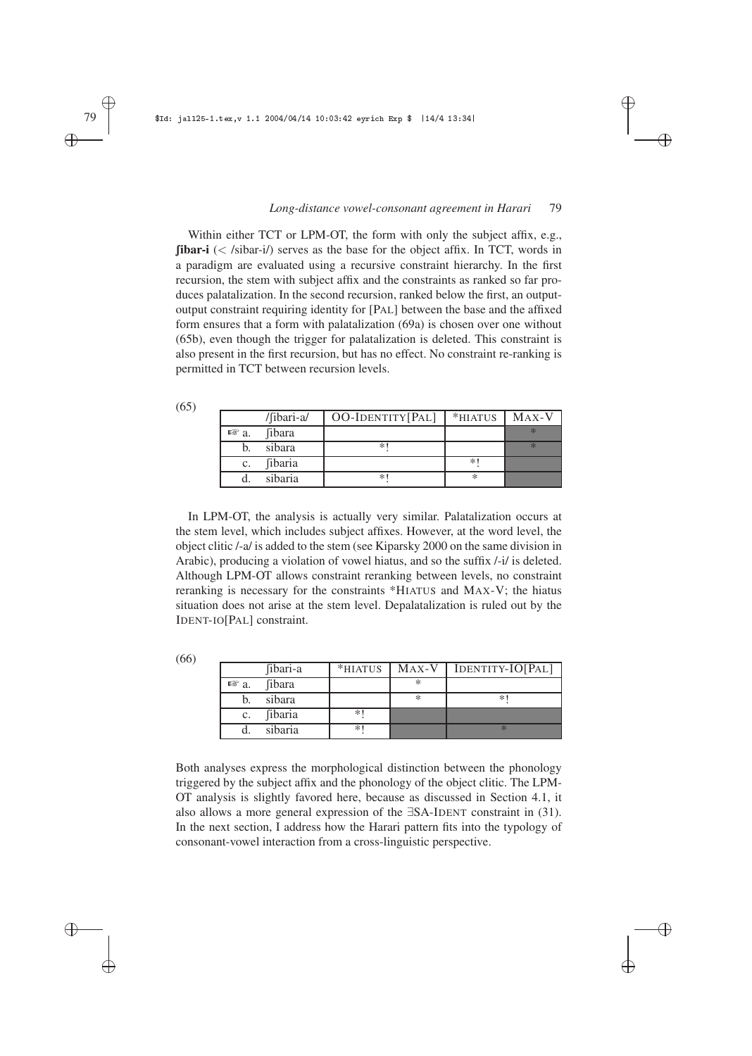✐

 $\oplus$ 

✐

✐

Within either TCT or LPM-OT, the form with only the subject affix, e.g.,  $\beta$  **fibar-i** (< /sibar-i/) serves as the base for the object affix. In TCT, words in a paradigm are evaluated using a recursive constraint hierarchy. In the first recursion, the stem with subject affix and the constraints as ranked so far produces palatalization. In the second recursion, ranked below the first, an outputoutput constraint requiring identity for [PAL] between the base and the affixed form ensures that a form with palatalization (69a) is chosen over one without (65b), even though the trigger for palatalization is deleted. This constraint is also present in the first recursion, but has no effect. No constraint re-ranking is permitted in TCT between recursion levels.

| (65) |                 |                |                  |         |       |
|------|-----------------|----------------|------------------|---------|-------|
|      |                 | /fibari-a/     | OO-IDENTITY[PAL] | *HIATUS | MAX-V |
|      | $\mathbb{R}$ a. | <i>fibara</i>  |                  |         | $*$   |
|      |                 | sibara         | *1               |         | $*$   |
|      | $C_{\star}$     | <i>fibaria</i> |                  | $*1$    |       |
|      |                 | sibaria        | *1               | ∗       |       |
|      |                 |                |                  |         |       |

In LPM-OT, the analysis is actually very similar. Palatalization occurs at the stem level, which includes subject affixes. However, at the word level, the object clitic /-a/ is added to the stem (see Kiparsky 2000 on the same division in Arabic), producing a violation of vowel hiatus, and so the suffix /-i/ is deleted. Although LPM-OT allows constraint reranking between levels, no constraint reranking is necessary for the constraints \*HIATUS and MAX-V; the hiatus situation does not arise at the stem level. Depalatalization is ruled out by the IDENT-IO[PAL] constraint.

|                 | fibari-a       |      |   | $MAX-V$   IDENTITY-IO[PAL] |
|-----------------|----------------|------|---|----------------------------|
| $\mathbb{F}$ a. | <i>fibara</i>  |      | ∗ |                            |
|                 | sibara         |      | ∗ | *'                         |
| $\mathbf{c}$ .  | <i>fibaria</i> | $*1$ |   |                            |
|                 | sibaria        | $*1$ |   |                            |
|                 |                |      |   | *HIATUS                    |

Both analyses express the morphological distinction between the phonology triggered by the subject affix and the phonology of the object clitic. The LPM-OT analysis is slightly favored here, because as discussed in Section 4.1, it also allows a more general expression of the ∃SA-IDENT constraint in (31). In the next section, I address how the Harari pattern fits into the typology of consonant-vowel interaction from a cross-linguistic perspective.

✐

✐

✐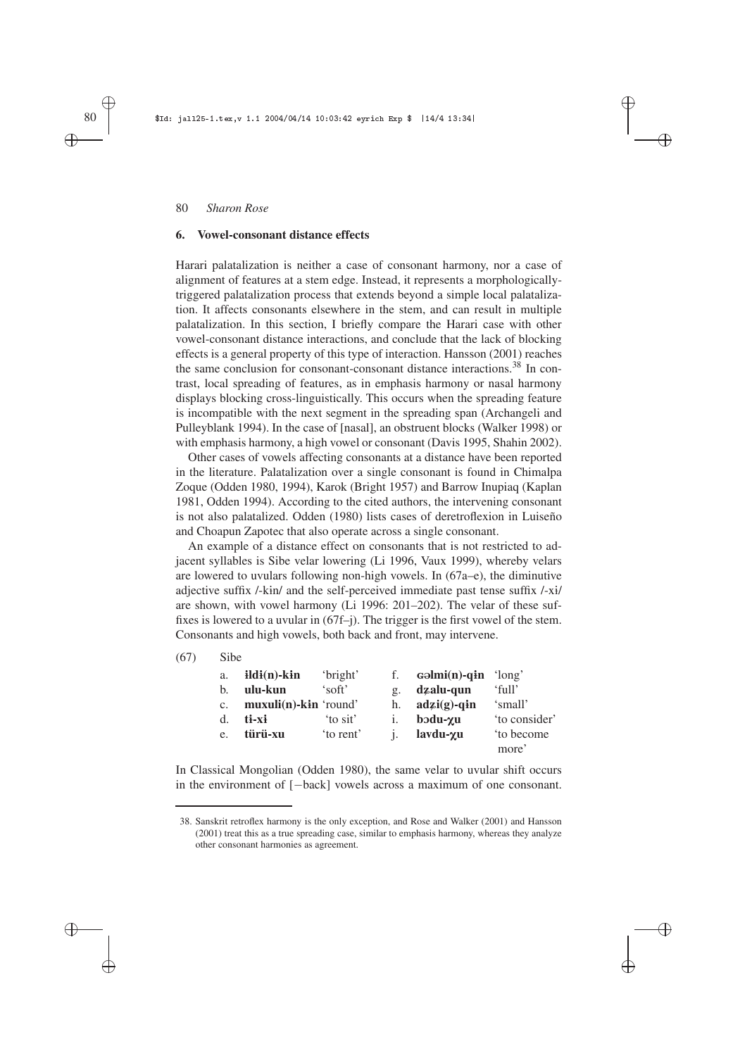#### **6. Vowel-consonant distance effects**

Harari palatalization is neither a case of consonant harmony, nor a case of alignment of features at a stem edge. Instead, it represents a morphologicallytriggered palatalization process that extends beyond a simple local palatalization. It affects consonants elsewhere in the stem, and can result in multiple palatalization. In this section, I briefly compare the Harari case with other vowel-consonant distance interactions, and conclude that the lack of blocking effects is a general property of this type of interaction. Hansson (2001) reaches the same conclusion for consonant-consonant distance interactions.<sup>38</sup> In contrast, local spreading of features, as in emphasis harmony or nasal harmony displays blocking cross-linguistically. This occurs when the spreading feature is incompatible with the next segment in the spreading span (Archangeli and Pulleyblank 1994). In the case of [nasal], an obstruent blocks (Walker 1998) or with emphasis harmony, a high vowel or consonant (Davis 1995, Shahin 2002). ✐

✐

✐

✐

Other cases of vowels affecting consonants at a distance have been reported in the literature. Palatalization over a single consonant is found in Chimalpa Zoque (Odden 1980, 1994), Karok (Bright 1957) and Barrow Inupiaq (Kaplan 1981, Odden 1994). According to the cited authors, the intervening consonant is not also palatalized. Odden (1980) lists cases of deretroflexion in Luiseño and Choapun Zapotec that also operate across a single consonant.

An example of a distance effect on consonants that is not restricted to adjacent syllables is Sibe velar lowering (Li 1996, Vaux 1999), whereby velars are lowered to uvulars following non-high vowels. In (67a–e), the diminutive adjective suffix  $/$ -kin $/$  and the self-perceived immediate past tense suffix  $/$ -xi $/$ are shown, with vowel harmony (Li 1996: 201–202). The velar of these suffixes is lowered to a uvular in (67f–j). The trigger is the first vowel of the stem. Consonants and high vowels, both back and front, may intervene.

(67) Sibe

| a.          | $ildi(n)$ -k $i$ n              | 'bright' | f.              | $\text{colmi}(n)$ -qin ' $\text{long}'$ |                    |
|-------------|---------------------------------|----------|-----------------|-----------------------------------------|--------------------|
| b.          | ulu-kun                         | 'soft'   | $\mathfrak{C}.$ | dzalu-qun                               | 'full'             |
| $C_{\star}$ | $\text{mu}$ xuli(n)-kin 'round' |          | h.              | $\text{adz}i(\mathbf{g})$ -gin          | 'small'            |
| d.          | ti-xi                           | 'to sit' |                 | $\bold{b}$ odu- $\boldsymbol{\gamma}$ u | 'to consider'      |
| e.          | türü-xu                         | to rent' |                 | lavdu-yu                                | to become<br>more' |

In Classical Mongolian (Odden 1980), the same velar to uvular shift occurs in the environment of [−back] vowels across a maximum of one consonant.

✐

✐

✐

<sup>38.</sup> Sanskrit retroflex harmony is the only exception, and Rose and Walker (2001) and Hansson (2001) treat this as a true spreading case, similar to emphasis harmony, whereas they analyze other consonant harmonies as agreement.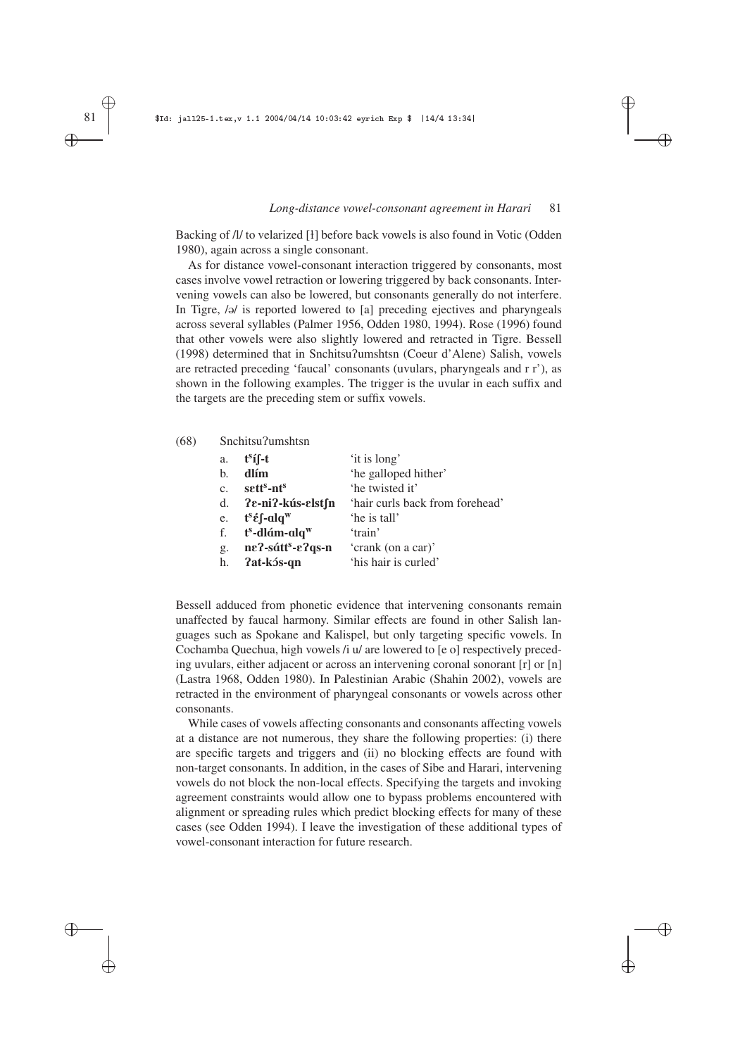✐

✐

✐

✐

Backing of *II* to velarized [<del>1</del>] before back vowels is also found in Votic (Odden 1980), again across a single consonant.

As for distance vowel-consonant interaction triggered by consonants, most cases involve vowel retraction or lowering triggered by back consonants. Intervening vowels can also be lowered, but consonants generally do not interfere. In Tigre,  $\omega$  is reported lowered to [a] preceding ejectives and pharyngeals across several syllables (Palmer 1956, Odden 1980, 1994). Rose (1996) found that other vowels were also slightly lowered and retracted in Tigre. Bessell (1998) determined that in Snchitsu?umshtsn (Coeur d'Alene) Salish, vowels are retracted preceding 'faucal' consonants (uvulars, pharyngeals and r r'), as shown in the following examples. The trigger is the uvular in each suffix and the targets are the preceding stem or suffix vowels.

(68) Snchitsu?umshtsn

| a. | $t^{s}$ í f-t                                                                      | 'it is long'                    |
|----|------------------------------------------------------------------------------------|---------------------------------|
| b. | dlím                                                                               | 'he galloped hither'            |
| c. | sett <sup>s</sup> -nt <sup>s</sup>                                                 | 'he twisted it'                 |
|    | d. ?e-ni?-kús-elstfn                                                               | 'hair curls back from forehead' |
| e. | $\mathbf{t}^{\mathrm{s}}\mathbf{\acute{e}}\mathbf{\small{\int}}$ -alq <sup>w</sup> | 'he is tall'                    |
|    | f. $t^s$ -dlám-alq <sup>w</sup>                                                    | 'train'                         |
| g. | ne?-sátt <sup>s</sup> -e?qs-n                                                      | 'crank (on a car)'              |
| h. | ?at-kós-qn                                                                         | 'his hair is curled'            |

Bessell adduced from phonetic evidence that intervening consonants remain unaffected by faucal harmony. Similar effects are found in other Salish languages such as Spokane and Kalispel, but only targeting specific vowels. In Cochamba Quechua, high vowels /i u/ are lowered to [e o] respectively preceding uvulars, either adjacent or across an intervening coronal sonorant [r] or [n] (Lastra 1968, Odden 1980). In Palestinian Arabic (Shahin 2002), vowels are retracted in the environment of pharyngeal consonants or vowels across other consonants.

While cases of vowels affecting consonants and consonants affecting vowels at a distance are not numerous, they share the following properties: (i) there are specific targets and triggers and (ii) no blocking effects are found with non-target consonants. In addition, in the cases of Sibe and Harari, intervening vowels do not block the non-local effects. Specifying the targets and invoking agreement constraints would allow one to bypass problems encountered with alignment or spreading rules which predict blocking effects for many of these cases (see Odden 1994). I leave the investigation of these additional types of vowel-consonant interaction for future research.

✐

✐

✐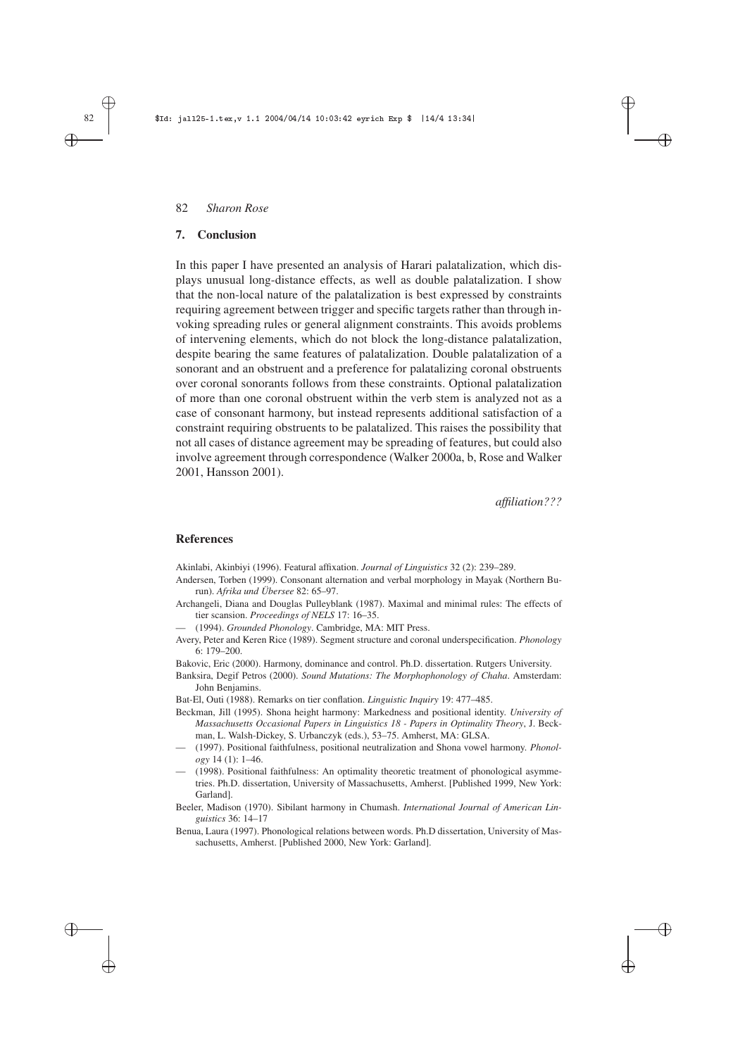### **7. Conclusion**

In this paper I have presented an analysis of Harari palatalization, which displays unusual long-distance effects, as well as double palatalization. I show that the non-local nature of the palatalization is best expressed by constraints requiring agreement between trigger and specific targets rather than through invoking spreading rules or general alignment constraints. This avoids problems of intervening elements, which do not block the long-distance palatalization, despite bearing the same features of palatalization. Double palatalization of a sonorant and an obstruent and a preference for palatalizing coronal obstruents over coronal sonorants follows from these constraints. Optional palatalization of more than one coronal obstruent within the verb stem is analyzed not as a case of consonant harmony, but instead represents additional satisfaction of a constraint requiring obstruents to be palatalized. This raises the possibility that not all cases of distance agreement may be spreading of features, but could also involve agreement through correspondence (Walker 2000a, b, Rose and Walker 2001, Hansson 2001).

*affiliation???*

✐

✐

✐

✐

#### **References**

Akinlabi, Akinbiyi (1996). Featural affixation. *Journal of Linguistics* 32 (2): 239–289.

- Andersen, Torben (1999). Consonant alternation and verbal morphology in Mayak (Northern Burun). *Afrika und Übersee* 82: 65–97.
- Archangeli, Diana and Douglas Pulleyblank (1987). Maximal and minimal rules: The effects of tier scansion. *Proceedings of NELS* 17: 16–35.
- (1994). *Grounded Phonology*. Cambridge, MA: MIT Press.
- Avery, Peter and Keren Rice (1989). Segment structure and coronal underspecification. *Phonology* 6: 179–200.
- Bakovic, Eric (2000). Harmony, dominance and control. Ph.D. dissertation. Rutgers University.
- Banksira, Degif Petros (2000). *Sound Mutations: The Morphophonology of Chaha*. Amsterdam: John Benjamins.

Bat-El, Outi (1988). Remarks on tier conflation. *Linguistic Inquiry* 19: 477–485.

- Beckman, Jill (1995). Shona height harmony: Markedness and positional identity. *University of Massachusetts Occasional Papers in Linguistics 18 - Papers in Optimality Theory*, J. Beckman, L. Walsh-Dickey, S. Urbanczyk (eds.), 53–75. Amherst, MA: GLSA.
- (1997). Positional faithfulness, positional neutralization and Shona vowel harmony. *Phonology* 14 (1): 1–46.
- (1998). Positional faithfulness: An optimality theoretic treatment of phonological asymmetries. Ph.D. dissertation, University of Massachusetts, Amherst. [Published 1999, New York: Garland].
- Beeler, Madison (1970). Sibilant harmony in Chumash. *International Journal of American Linguistics* 36: 14–17
- Benua, Laura (1997). Phonological relations between words. Ph.D dissertation, University of Massachusetts, Amherst. [Published 2000, New York: Garland].

✐

✐

✐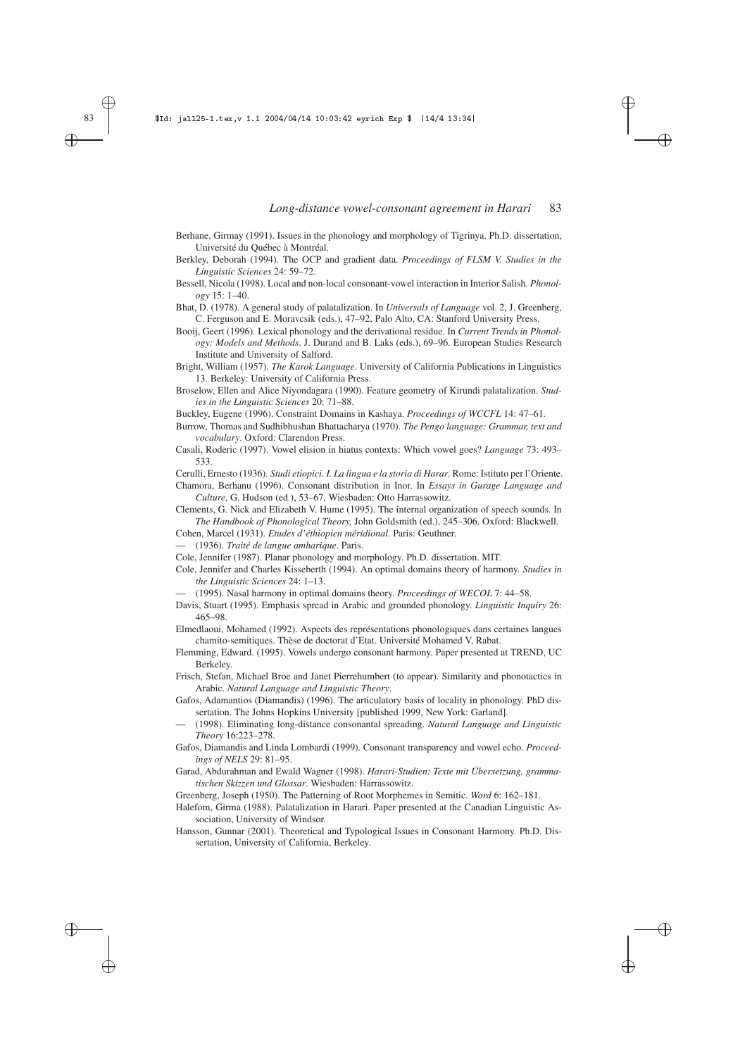✐

✐

✐

✐

- Berhane, Girmay (1991). Issues in the phonology and morphology of Tigrinya. Ph.D. dissertation, Université du Québec à Montréal.
- Berkley, Deborah (1994). The OCP and gradient data. *Proceedings of FLSM V. Studies in the Linguistic Sciences* 24: 59–72.
- Bessell, Nicola (1998). Local and non-local consonant-vowel interaction in Interior Salish. *Phonology* 15: 1–40.

Bhat, D. (1978). A general study of palatalization. In *Universals of Language* vol. 2, J. Greenberg, C. Ferguson and E. Moravcsik (eds.), 47–92, Palo Alto, CA: Stanford University Press.

Booij, Geert (1996). Lexical phonology and the derivational residue. In *Current Trends in Phonology: Models and Methods*. J. Durand and B. Laks (eds.), 69–96. European Studies Research Institute and University of Salford.

Bright, William (1957). *The Karok Language*. University of California Publications in Linguistics 13. Berkeley: University of California Press.

Broselow, Ellen and Alice Niyondagara (1990). Feature geometry of Kirundi palatalization. *Studies in the Linguistic Sciences* 20: 71–88.

Buckley, Eugene (1996). Constraint Domains in Kashaya. *Proceedings of WCCFL* 14: 47–61.

Burrow, Thomas and Sudhibhushan Bhattacharya (1970). *The Pengo language: Grammar, text and vocabulary*. Oxford: Clarendon Press.

Casali, Roderic (1997). Vowel elision in hiatus contexts: Which vowel goes? *Language* 73: 493– 533.

Cerulli, Ernesto (1936). *Studi etiopici. I. La lingua e la storia di Harar*. Rome: Istituto per l'Oriente.

Chamora, Berhanu (1996). Consonant distribution in Inor. In *Essays in Gurage Language and Culture*, G. Hudson (ed.), 53–67, Wiesbaden: Otto Harrassowitz.

Clements, G. Nick and Elizabeth V. Hume (1995). The internal organization of speech sounds. In *The Handbook of Phonological Theory,* John Goldsmith (ed.), 245–306. Oxford: Blackwell.

Cohen, Marcel (1931). *Etudes d'éthiopien méridional*. Paris: Geuthner.

— (1936). *Traité de langue amharique*. Paris.

Cole, Jennifer (1987). Planar phonology and morphology. Ph.D. dissertation. MIT.

- Cole, Jennifer and Charles Kisseberth (1994). An optimal domains theory of harmony. *Studies in the Linguistic Sciences* 24: 1–13.
	- (1995). Nasal harmony in optimal domains theory. *Proceedings of WECOL* 7: 44–58.
- Davis, Stuart (1995). Emphasis spread in Arabic and grounded phonology. *Linguistic Inquiry* 26: 465–98.

Elmedlaoui, Mohamed (1992). Aspects des représentations phonologiques dans certaines langues chamito-semitiques. Thèse de doctorat d'Etat. Université Mohamed V, Rabat.

Flemming, Edward. (1995). Vowels undergo consonant harmony. Paper presented at TREND, UC Berkeley.

Frisch, Stefan, Michael Broe and Janet Pierrehumbert (to appear). Similarity and phonotactics in Arabic. *Natural Language and Linguistic Theory*.

Gafos, Adamantios (Diamandis) (1996). The articulatory basis of locality in phonology. PhD dissertation. The Johns Hopkins University [published 1999, New York: Garland].

— (1998). Eliminating long-distance consonantal spreading. *Natural Language and Linguistic Theory* 16:223–278.

Gafos, Diamandis and Linda Lombardi (1999). Consonant transparency and vowel echo. *Proceedings of NELS* 29: 81–95.

Garad, Abdurahman and Ewald Wagner (1998). *Harari-Studien: Texte mit Übersetzung, grammatischen Skizzen und Glossar*. Wiesbaden: Harrassowitz.

Greenberg, Joseph (1950). The Patterning of Root Morphemes in Semitic. *Word* 6: 162–181.

- Halefom, Girma (1988). Palatalization in Harari. Paper presented at the Canadian Linguistic Association, University of Windsor.
- Hansson, Gunnar (2001). Theoretical and Typological Issues in Consonant Harmony. Ph.D. Dissertation, University of California, Berkeley.

✐

✐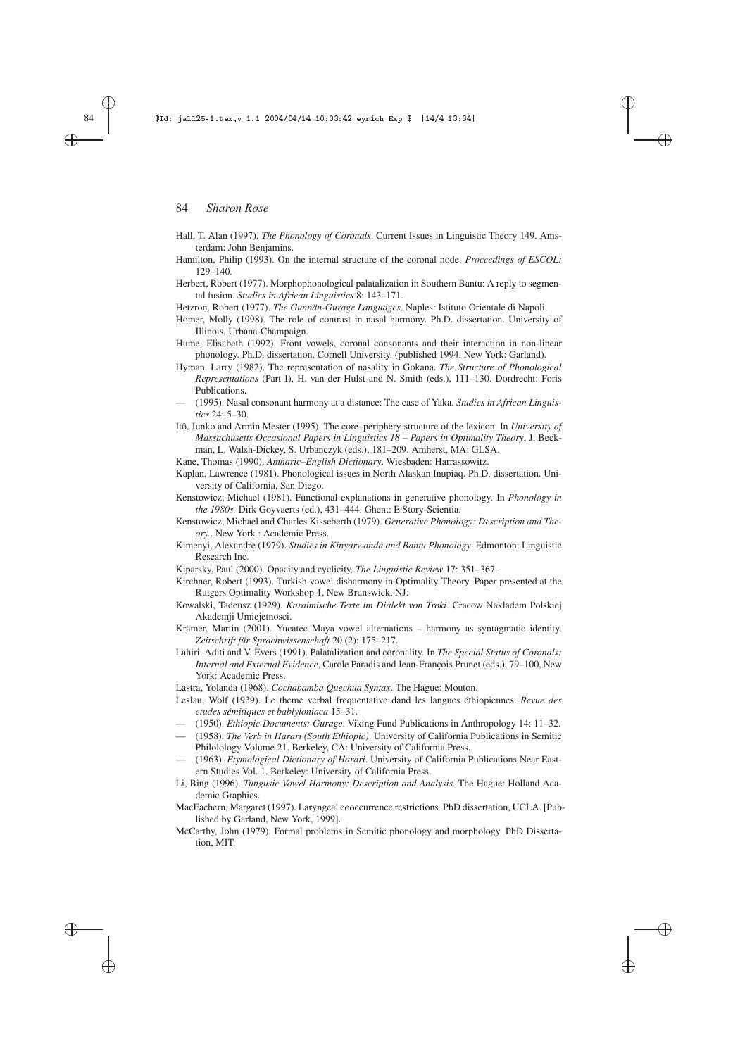#### 84 | \$Id: jall25-1.tex,v 1.1 2004/04/14 10:03:42 eyrich Exp \$ |14/4 13:34|

# 84 *Sharon Rose*

Hall, T. Alan (1997). *The Phonology of Coronals*. Current Issues in Linguistic Theory 149. Amsterdam: John Benjamins.

✐

✐

✐

✐

- Hamilton, Philip (1993). On the internal structure of the coronal node. *Proceedings of ESCOL:* 129–140.
- Herbert, Robert (1977). Morphophonological palatalization in Southern Bantu: A reply to segmental fusion. *Studies in African Linguistics* 8: 143–171.

Hetzron, Robert (1977). *The Gunnän-Gurage Languages*. Naples: Istituto Orientale di Napoli.

- Homer, Molly (1998). The role of contrast in nasal harmony. Ph.D. dissertation. University of Illinois, Urbana-Champaign.
- Hume, Elisabeth (1992). Front vowels, coronal consonants and their interaction in non-linear phonology. Ph.D. dissertation, Cornell University. (published 1994, New York: Garland).
- Hyman, Larry (1982). The representation of nasality in Gokana. *The Structure of Phonological Representations* (Part I), H. van der Hulst and N. Smith (eds.), 111–130. Dordrecht: Foris Publications.
- (1995). Nasal consonant harmony at a distance: The case of Yaka. *Studies in African Linguistics* 24: 5–30.
- Itô, Junko and Armin Mester (1995). The core–periphery structure of the lexicon. In *University of Massachusetts Occasional Papers in Linguistics 18 – Papers in Optimality Theory*, J. Beckman, L. Walsh-Dickey, S. Urbanczyk (eds.), 181–209. Amherst, MA: GLSA.
- Kane, Thomas (1990). *Amharic–English Dictionary*. Wiesbaden: Harrassowitz.
- Kaplan, Lawrence (1981). Phonological issues in North Alaskan Inupiaq. Ph.D. dissertation. University of California, San Diego.
- Kenstowicz, Michael (1981). Functional explanations in generative phonology. In *Phonology in the 1980s.* Dirk Goyvaerts (ed.), 431–444. Ghent: E.Story-Scientia.
- Kenstowicz, Michael and Charles Kisseberth (1979). *Generative Phonology: Description and Theory.*. New York : Academic Press.
- Kimenyi, Alexandre (1979). *Studies in Kinyarwanda and Bantu Phonology*. Edmonton: Linguistic Research Inc.
- Kiparsky, Paul (2000). Opacity and cyclicity. *The Linguistic Review* 17: 351–367.
- Kirchner, Robert (1993). Turkish vowel disharmony in Optimality Theory. Paper presented at the Rutgers Optimality Workshop 1, New Brunswick, NJ.
- Kowalski, Tadeusz (1929). *Karaimische Texte im Dialekt von Troki*. Cracow Nakladem Polskiej Akademji Umiejetnosci.
- Krämer, Martin (2001). Yucatec Maya vowel alternations harmony as syntagmatic identity. *Zeitschrift für Sprachwissenschaft* 20 (2): 175–217.
- Lahiri, Aditi and V. Evers (1991). Palatalization and coronality. In *The Special Status of Coronals: Internal and External Evidence*, Carole Paradis and Jean-François Prunet (eds.), 79–100, New York: Academic Press.
- Lastra, Yolanda (1968). *Cochabamba Quechua Syntax*. The Hague: Mouton.
- Leslau, Wolf (1939). Le theme verbal frequentative dand les langues éthiopiennes. *Revue des etudes sémitiques et bablyloniaca* 15–31.
- (1950). *Ethiopic Documents: Gurage*. Viking Fund Publications in Anthropology 14: 11–32.
- (1958). *The Verb in Harari (South Ethiopic)*. University of California Publications in Semitic Philolology Volume 21. Berkeley, CA: University of California Press.
- (1963). *Etymological Dictionary of Harari*. University of California Publications Near Eastern Studies Vol. 1. Berkeley: University of California Press.
- Li, Bing (1996). *Tungusic Vowel Harmony: Description and Analysis*. The Hague: Holland Academic Graphics.
- MacEachern, Margaret (1997). Laryngeal cooccurrence restrictions. PhD dissertation, UCLA. [Published by Garland, New York, 1999].
- McCarthy, John (1979). Formal problems in Semitic phonology and morphology. PhD Dissertation, MIT.

✐

✐

✐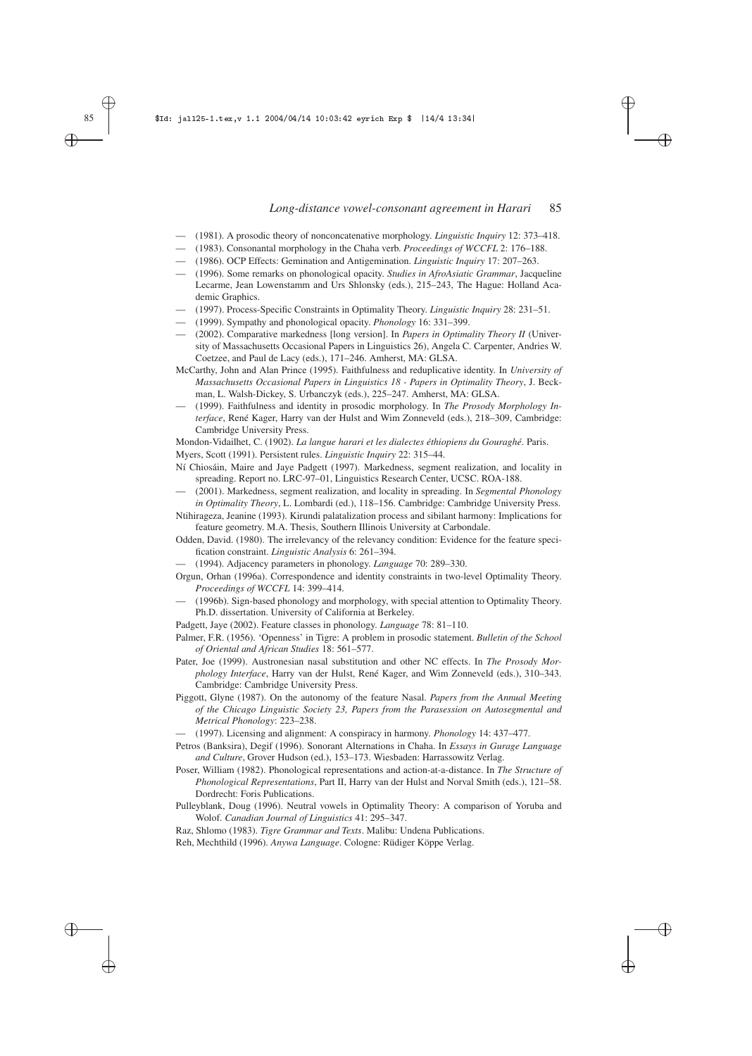✐

✐

✐

✐

- (1981). A prosodic theory of nonconcatenative morphology. *Linguistic Inquiry* 12: 373–418.
- (1983). Consonantal morphology in the Chaha verb. *Proceedings of WCCFL* 2: 176–188.
- (1986). OCP Effects: Gemination and Antigemination. *Linguistic Inquiry* 17: 207–263.
- (1996). Some remarks on phonological opacity. *Studies in AfroAsiatic Grammar*, Jacqueline Lecarme, Jean Lowenstamm and Urs Shlonsky (eds.), 215–243, The Hague: Holland Academic Graphics.
- (1997). Process-Specific Constraints in Optimality Theory. *Linguistic Inquiry* 28: 231–51.
- (1999). Sympathy and phonological opacity. *Phonology* 16: 331–399.
- (2002). Comparative markedness [long version]. In *Papers in Optimality Theory II* (University of Massachusetts Occasional Papers in Linguistics 26), Angela C. Carpenter, Andries W. Coetzee, and Paul de Lacy (eds.), 171–246. Amherst, MA: GLSA.
- McCarthy, John and Alan Prince (1995). Faithfulness and reduplicative identity. In *University of Massachusetts Occasional Papers in Linguistics 18 - Papers in Optimality Theory*, J. Beckman, L. Walsh-Dickey, S. Urbanczyk (eds.), 225–247. Amherst, MA: GLSA.
- (1999). Faithfulness and identity in prosodic morphology. In *The Prosody Morphology Interface*, René Kager, Harry van der Hulst and Wim Zonneveld (eds.), 218–309, Cambridge: Cambridge University Press.

Mondon-Vidailhet, C. (1902). *La langue harari et les dialectes éthiopiens du Gouraghé*. Paris.

Myers, Scott (1991). Persistent rules. *Linguistic Inquiry* 22: 315–44.

Ní Chiosáin, Maire and Jaye Padgett (1997). Markedness, segment realization, and locality in spreading. Report no. LRC-97–01, Linguistics Research Center, UCSC. ROA-188.

— (2001). Markedness, segment realization, and locality in spreading. In *Segmental Phonology in Optimality Theory*, L. Lombardi (ed.), 118–156. Cambridge: Cambridge University Press.

Ntihirageza, Jeanine (1993). Kirundi palatalization process and sibilant harmony: Implications for feature geometry. M.A. Thesis, Southern Illinois University at Carbondale.

Odden, David. (1980). The irrelevancy of the relevancy condition: Evidence for the feature specification constraint. *Linguistic Analysis* 6: 261–394.

- (1994). Adjacency parameters in phonology. *Language* 70: 289–330.
- Orgun, Orhan (1996a). Correspondence and identity constraints in two-level Optimality Theory. *Proceedings of WCCFL* 14: 399–414.
- (1996b). Sign-based phonology and morphology, with special attention to Optimality Theory. Ph.D. dissertation. University of California at Berkeley.
- Padgett, Jaye (2002). Feature classes in phonology. *Language* 78: 81–110.

Palmer, F.R. (1956). 'Openness' in Tigre: A problem in prosodic statement. *Bulletin of the School of Oriental and African Studies* 18: 561–577.

Pater, Joe (1999). Austronesian nasal substitution and other NC effects. In *The Prosody Morphology Interface*, Harry van der Hulst, René Kager, and Wim Zonneveld (eds.), 310–343. Cambridge: Cambridge University Press.

Piggott, Glyne (1987). On the autonomy of the feature Nasal. *Papers from the Annual Meeting of the Chicago Linguistic Society 23, Papers from the Parasession on Autosegmental and Metrical Phonology*: 223–238.

— (1997). Licensing and alignment: A conspiracy in harmony. *Phonology* 14: 437–477.

Petros (Banksira), Degif (1996). Sonorant Alternations in Chaha. In *Essays in Gurage Language and Culture*, Grover Hudson (ed.), 153–173. Wiesbaden: Harrassowitz Verlag.

Poser, William (1982). Phonological representations and action-at-a-distance. In *The Structure of Phonological Representations*, Part II, Harry van der Hulst and Norval Smith (eds.), 121–58. Dordrecht: Foris Publications.

Pulleyblank, Doug (1996). Neutral vowels in Optimality Theory: A comparison of Yoruba and Wolof. *Canadian Journal of Linguistics* 41: 295–347.

Raz, Shlomo (1983). *Tigre Grammar and Texts*. Malibu: Undena Publications.

Reh, Mechthild (1996). *Anywa Language*. Cologne: Rüdiger Köppe Verlag.

✐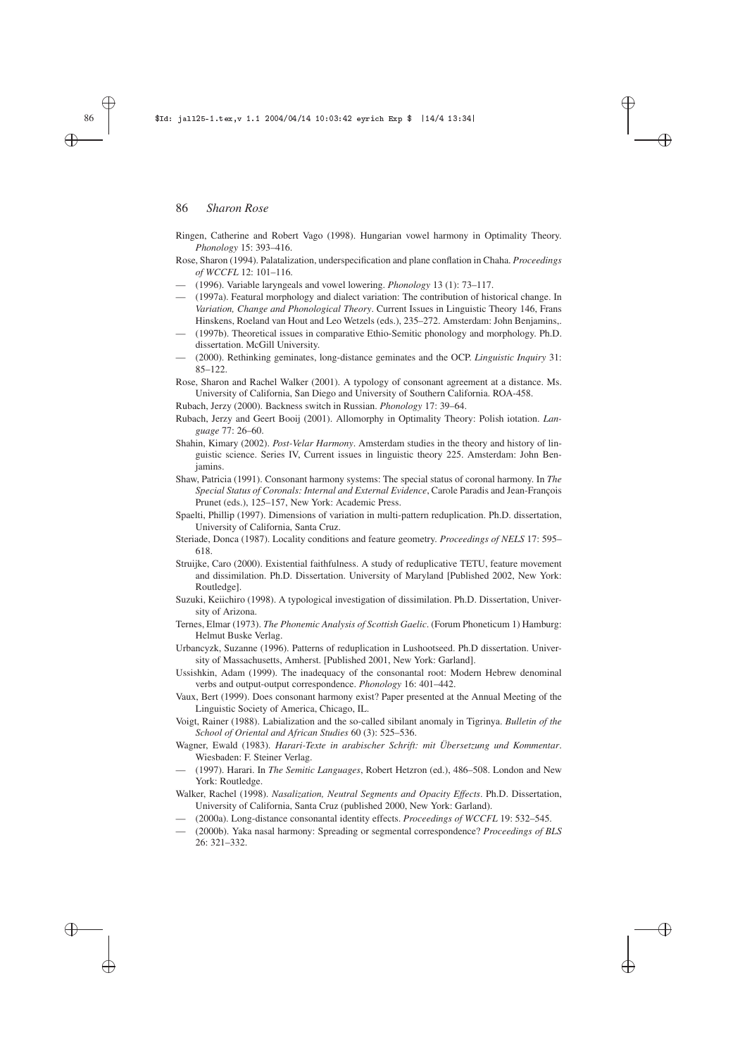#### 86 | \$Id: jall25-1.tex,v 1.1 2004/04/14 10:03:42 eyrich Exp \$ |14/4 13:34|

#### 86 *Sharon Rose*

Ringen, Catherine and Robert Vago (1998). Hungarian vowel harmony in Optimality Theory. *Phonology* 15: 393–416.

✐

✐

✐

✐

- Rose, Sharon (1994). Palatalization, underspecification and plane conflation in Chaha. *Proceedings of WCCFL* 12: 101–116.
- (1996). Variable laryngeals and vowel lowering. *Phonology* 13 (1): 73–117.
- (1997a). Featural morphology and dialect variation: The contribution of historical change. In *Variation, Change and Phonological Theory*. Current Issues in Linguistic Theory 146, Frans Hinskens, Roeland van Hout and Leo Wetzels (eds.), 235–272. Amsterdam: John Benjamins,.
- (1997b). Theoretical issues in comparative Ethio-Semitic phonology and morphology. Ph.D. dissertation. McGill University.
- (2000). Rethinking geminates, long-distance geminates and the OCP. *Linguistic Inquiry* 31: 85–122.

Rose, Sharon and Rachel Walker (2001). A typology of consonant agreement at a distance. Ms. University of California, San Diego and University of Southern California. ROA-458.

Rubach, Jerzy (2000). Backness switch in Russian. *Phonology* 17: 39–64.

- Rubach, Jerzy and Geert Booij (2001). Allomorphy in Optimality Theory: Polish iotation. *Language* 77: 26–60.
- Shahin, Kimary (2002). *Post-Velar Harmony*. Amsterdam studies in the theory and history of linguistic science. Series IV, Current issues in linguistic theory 225. Amsterdam: John Benjamins.
- Shaw, Patricia (1991). Consonant harmony systems: The special status of coronal harmony. In *The Special Status of Coronals: Internal and External Evidence*, Carole Paradis and Jean-François Prunet (eds.), 125–157, New York: Academic Press.
- Spaelti, Phillip (1997). Dimensions of variation in multi-pattern reduplication. Ph.D. dissertation, University of California, Santa Cruz.
- Steriade, Donca (1987). Locality conditions and feature geometry. *Proceedings of NELS* 17: 595– 618.
- Struijke, Caro (2000). Existential faithfulness. A study of reduplicative TETU, feature movement and dissimilation. Ph.D. Dissertation. University of Maryland [Published 2002, New York: Routledge].
- Suzuki, Keiichiro (1998). A typological investigation of dissimilation. Ph.D. Dissertation, University of Arizona.
- Ternes, Elmar (1973). *The Phonemic Analysis of Scottish Gaelic*. (Forum Phoneticum 1) Hamburg: Helmut Buske Verlag.
- Urbancyzk, Suzanne (1996). Patterns of reduplication in Lushootseed. Ph.D dissertation. University of Massachusetts, Amherst. [Published 2001, New York: Garland].

Ussishkin, Adam (1999). The inadequacy of the consonantal root: Modern Hebrew denominal verbs and output-output correspondence. *Phonology* 16: 401–442.

Vaux, Bert (1999). Does consonant harmony exist? Paper presented at the Annual Meeting of the Linguistic Society of America, Chicago, IL.

Voigt, Rainer (1988). Labialization and the so-called sibilant anomaly in Tigrinya. *Bulletin of the School of Oriental and African Studies* 60 (3): 525–536.

- Wagner, Ewald (1983). *Harari-Texte in arabischer Schrift: mit Übersetzung und Kommentar*. Wiesbaden: F. Steiner Verlag.
- (1997). Harari. In *The Semitic Languages*, Robert Hetzron (ed.), 486–508. London and New York: Routledge.

Walker, Rachel (1998). *Nasalization, Neutral Segments and Opacity Effects*. Ph.D. Dissertation, University of California, Santa Cruz (published 2000, New York: Garland).

- (2000a). Long-distance consonantal identity effects. *Proceedings of WCCFL* 19: 532–545.
- (2000b). Yaka nasal harmony: Spreading or segmental correspondence? *Proceedings of BLS* 26: 321–332.

✐

✐

✐